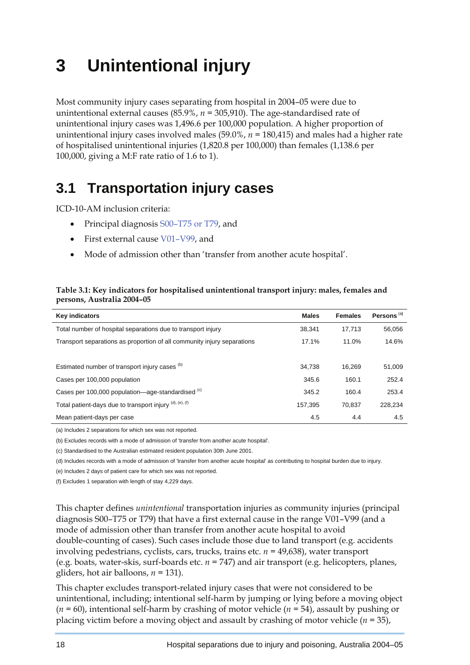# **3 Unintentional injury**

Most community injury cases separating from hospital in 2004–05 were due to unintentional external causes (85.9%, *n =* 305,910). The age-standardised rate of unintentional injury cases was 1,496.6 per 100,000 population. A higher proportion of unintentional injury cases involved males (59.0%, *n =* 180,415) and males had a higher rate of hospitalised unintentional injuries (1,820.8 per 100,000) than females (1,138.6 per 100,000, giving a M:F rate ratio of 1.6 to 1).

# **3.1 Transportation injury cases**

ICD-10-AM inclusion criteria:

- Principal diagnosis S00–T75 or T79, and
- First external cause V01–V99, and
- Mode of admission other than 'transfer from another acute hospital'.

#### **Table 3.1: Key indicators for hospitalised unintentional transport injury: males, females and persons, Australia 2004–05**

| <b>Key indicators</b>                                                   | <b>Males</b> | <b>Females</b> | Persons <sup>(a)</sup> |
|-------------------------------------------------------------------------|--------------|----------------|------------------------|
| Total number of hospital separations due to transport injury            | 38.341       | 17,713         | 56,056                 |
| Transport separations as proportion of all community injury separations | 17.1%        | 11.0%          | 14.6%                  |
|                                                                         |              |                |                        |
| Estimated number of transport injury cases (b)                          | 34.738       | 16.269         | 51,009                 |
| Cases per 100,000 population                                            | 345.6        | 160.1          | 252.4                  |
| Cases per 100,000 population—age-standardised (c)                       | 345.2        | 160.4          | 253.4                  |
| Total patient-days due to transport injury (d), (e), (f)                | 157.395      | 70.837         | 228.234                |
| Mean patient-days per case                                              | 4.5          | 4.4            | 4.5                    |

(a) Includes 2 separations for which sex was not reported.

(b) Excludes records with a mode of admission of 'transfer from another acute hospital'.

(c) Standardised to the Australian estimated resident population 30th June 2001.

(d) Includes records with a mode of admission of 'transfer from another acute hospital' as contributing to hospital burden due to injury.

(e) Includes 2 days of patient care for which sex was not reported.

(f) Excludes 1 separation with length of stay 4,229 days.

This chapter defines *unintentional* transportation injuries as community injuries (principal diagnosis S00–T75 or T79) that have a first external cause in the range V01–V99 (and a mode of admission other than transfer from another acute hospital to avoid double-counting of cases). Such cases include those due to land transport (e.g. accidents involving pedestrians, cyclists, cars, trucks, trains etc. *n =* 49,638), water transport (e.g. boats, water-skis, surf-boards etc. *n =* 747) and air transport (e.g. helicopters, planes, gliders, hot air balloons, *n =* 131).

This chapter excludes transport-related injury cases that were not considered to be unintentional, including; intentional self-harm by jumping or lying before a moving object (*n =* 60), intentional self-harm by crashing of motor vehicle (*n =* 54), assault by pushing or placing victim before a moving object and assault by crashing of motor vehicle (*n =* 35),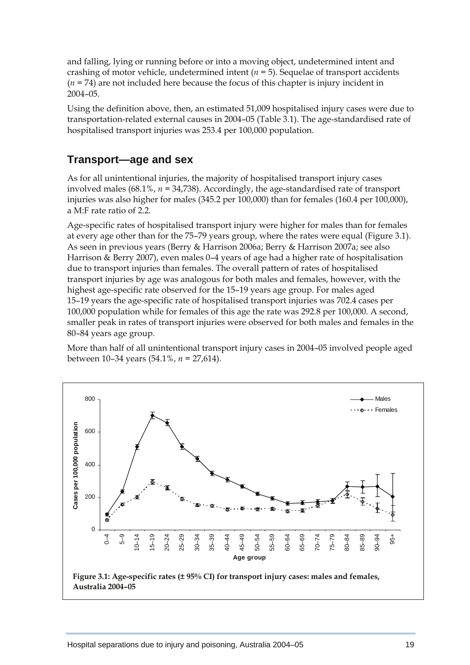and falling, lying or running before or into a moving object, undetermined intent and crashing of motor vehicle, undetermined intent (*n =* 5). Sequelae of transport accidents (*n =* 74) are not included here because the focus of this chapter is injury incident in 2004–05.

Using the definition above, then, an estimated 51,009 hospitalised injury cases were due to transportation-related external causes in 2004–05 (Table 3.1). The age-standardised rate of hospitalised transport injuries was 253.4 per 100,000 population.

### **Transport—age and sex**

As for all unintentional injuries, the majority of hospitalised transport injury cases involved males (68.1%, *n =* 34,738). Accordingly, the age-standardised rate of transport injuries was also higher for males (345.2 per 100,000) than for females (160.4 per 100,000), a M:F rate ratio of 2.2.

Age-specific rates of hospitalised transport injury were higher for males than for females at every age other than for the 75–79 years group, where the rates were equal (Figure 3.1). As seen in previous years (Berry & Harrison 2006a; Berry & Harrison 2007a; see also Harrison & Berry 2007), even males 0–4 years of age had a higher rate of hospitalisation due to transport injuries than females. The overall pattern of rates of hospitalised transport injuries by age was analogous for both males and females, however, with the highest age-specific rate observed for the 15–19 years age group. For males aged 15–19 years the age-specific rate of hospitalised transport injuries was 702.4 cases per 100,000 population while for females of this age the rate was 292.8 per 100,000. A second, smaller peak in rates of transport injuries were observed for both males and females in the 80–84 years age group.

More than half of all unintentional transport injury cases in 2004–05 involved people aged between 10–34 years (54.1%, *n =* 27,614).

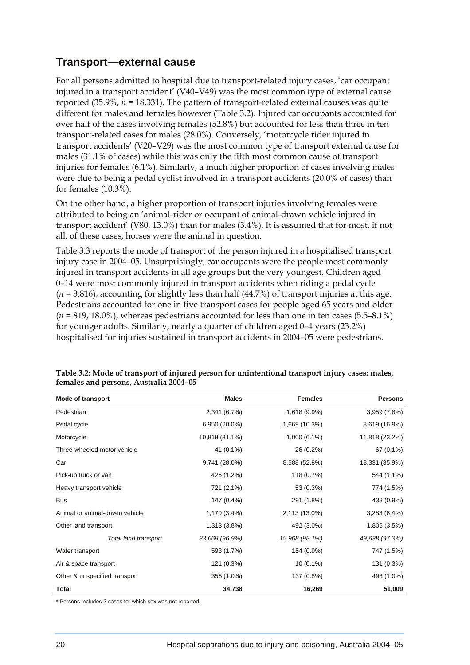## **Transport—external cause**

For all persons admitted to hospital due to transport-related injury cases, 'car occupant injured in a transport accident' (V40–V49) was the most common type of external cause reported (35.9%, *n =* 18,331). The pattern of transport-related external causes was quite different for males and females however (Table 3.2). Injured car occupants accounted for over half of the cases involving females (52.8%) but accounted for less than three in ten transport-related cases for males (28.0%). Conversely, 'motorcycle rider injured in transport accidents' (V20–V29) was the most common type of transport external cause for males (31.1% of cases) while this was only the fifth most common cause of transport injuries for females (6.1%). Similarly, a much higher proportion of cases involving males were due to being a pedal cyclist involved in a transport accidents (20.0% of cases) than for females (10.3%).

On the other hand, a higher proportion of transport injuries involving females were attributed to being an 'animal-rider or occupant of animal-drawn vehicle injured in transport accident' (V80, 13.0%) than for males (3.4%). It is assumed that for most, if not all, of these cases, horses were the animal in question.

Table 3.3 reports the mode of transport of the person injured in a hospitalised transport injury case in 2004–05. Unsurprisingly, car occupants were the people most commonly injured in transport accidents in all age groups but the very youngest. Children aged 0–14 were most commonly injured in transport accidents when riding a pedal cycle (*n =* 3,816), accounting for slightly less than half (44.7%) of transport injuries at this age. Pedestrians accounted for one in five transport cases for people aged 65 years and older (*n =* 819, 18.0%), whereas pedestrians accounted for less than one in ten cases (5.5–8.1%) for younger adults. Similarly, nearly a quarter of children aged 0–4 years (23.2%) hospitalised for injuries sustained in transport accidents in 2004–05 were pedestrians.

| <b>Mode of transport</b>        | <b>Males</b>   | <b>Females</b> | <b>Persons</b> |
|---------------------------------|----------------|----------------|----------------|
| Pedestrian                      | 2,341 (6.7%)   | 1,618 (9.9%)   | 3,959 (7.8%)   |
| Pedal cycle                     | 6,950 (20.0%)  | 1,669 (10.3%)  | 8,619 (16.9%)  |
| Motorcycle                      | 10,818 (31.1%) | 1,000 (6.1%)   | 11,818 (23.2%) |
| Three-wheeled motor vehicle     | 41 (0.1%)      | 26 (0.2%)      | 67 (0.1%)      |
| Car                             | 9,741 (28.0%)  | 8,588 (52.8%)  | 18,331 (35.9%) |
| Pick-up truck or van            | 426 (1.2%)     | 118 (0.7%)     | 544 (1.1%)     |
| Heavy transport vehicle         | 721 (2.1%)     | 53 (0.3%)      | 774 (1.5%)     |
| <b>Bus</b>                      | 147 (0.4%)     | 291 (1.8%)     | 438 (0.9%)     |
| Animal or animal-driven vehicle | 1,170 (3.4%)   | 2,113 (13.0%)  | 3,283(6.4%)    |
| Other land transport            | 1,313 (3.8%)   | 492 (3.0%)     | 1,805 (3.5%)   |
| Total land transport            | 33,668 (96.9%) | 15,968 (98.1%) | 49,638 (97.3%) |
| Water transport                 | 593 (1.7%)     | 154 (0.9%)     | 747 (1.5%)     |
| Air & space transport           | 121 (0.3%)     | $10(0.1\%)$    | 131 (0.3%)     |
| Other & unspecified transport   | 356 (1.0%)     | 137 (0.8%)     | 493 (1.0%)     |
| Total                           | 34,738         | 16,269         | 51,009         |

**Table 3.2: Mode of transport of injured person for unintentional transport injury cases: males, females and persons, Australia 2004–05** 

\* Persons includes 2 cases for which sex was not reported.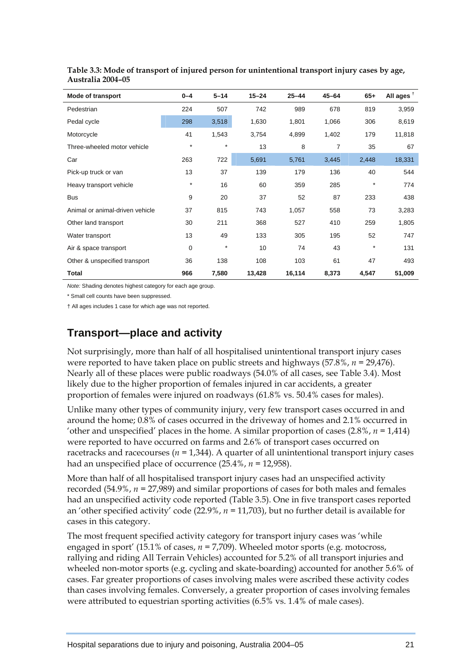| Mode of transport               | $0 - 4$     | $5 - 14$ | $15 - 24$ | $25 - 44$ | $45 - 64$ | $65+$    | All ages $†$ |
|---------------------------------|-------------|----------|-----------|-----------|-----------|----------|--------------|
| Pedestrian                      | 224         | 507      | 742       | 989       | 678       | 819      | 3,959        |
| Pedal cycle                     | 298         | 3,518    | 1,630     | 1,801     | 1,066     | 306      | 8,619        |
| Motorcycle                      | 41          | 1,543    | 3,754     | 4,899     | 1,402     | 179      | 11,818       |
| Three-wheeled motor vehicle     | $\star$     | $\star$  | 13        | 8         | 7         | 35       | 67           |
| Car                             | 263         | 722      | 5,691     | 5,761     | 3,445     | 2,448    | 18,331       |
| Pick-up truck or van            | 13          | 37       | 139       | 179       | 136       | 40       | 544          |
| Heavy transport vehicle         | $^\star$    | 16       | 60        | 359       | 285       | $\star$  | 774          |
| <b>Bus</b>                      | 9           | 20       | 37        | 52        | 87        | 233      | 438          |
| Animal or animal-driven vehicle | 37          | 815      | 743       | 1,057     | 558       | 73       | 3,283        |
| Other land transport            | 30          | 211      | 368       | 527       | 410       | 259      | 1,805        |
| Water transport                 | 13          | 49       | 133       | 305       | 195       | 52       | 747          |
| Air & space transport           | $\mathbf 0$ | $\star$  | 10        | 74        | 43        | $^\star$ | 131          |
| Other & unspecified transport   | 36          | 138      | 108       | 103       | 61        | 47       | 493          |
| <b>Total</b>                    | 966         | 7,580    | 13,428    | 16,114    | 8,373     | 4,547    | 51,009       |

**Table 3.3: Mode of transport of injured person for unintentional transport injury cases by age, Australia 2004–05** 

*Note:* Shading denotes highest category for each age group.

\* Small cell counts have been suppressed.

† All ages includes 1 case for which age was not reported.

## **Transport—place and activity**

Not surprisingly, more than half of all hospitalised unintentional transport injury cases were reported to have taken place on public streets and highways (57.8%, *n =* 29,476). Nearly all of these places were public roadways (54.0% of all cases, see Table 3.4). Most likely due to the higher proportion of females injured in car accidents, a greater proportion of females were injured on roadways (61.8% vs. 50.4% cases for males).

Unlike many other types of community injury, very few transport cases occurred in and around the home; 0.8% of cases occurred in the driveway of homes and 2.1% occurred in 'other and unspecified' places in the home. A similar proportion of cases (2.8%, *n =* 1,414) were reported to have occurred on farms and 2.6% of transport cases occurred on racetracks and racecourses (*n =* 1,344). A quarter of all unintentional transport injury cases had an unspecified place of occurrence (25.4%, *n =* 12,958).

More than half of all hospitalised transport injury cases had an unspecified activity recorded (54.9%, *n =* 27,989) and similar proportions of cases for both males and females had an unspecified activity code reported (Table 3.5). One in five transport cases reported an 'other specified activity' code (22.9%, *n =* 11,703), but no further detail is available for cases in this category.

The most frequent specified activity category for transport injury cases was 'while engaged in sport' (15.1% of cases, *n =* 7,709). Wheeled motor sports (e.g. motocross, rallying and riding All Terrain Vehicles) accounted for 5.2% of all transport injuries and wheeled non-motor sports (e.g. cycling and skate-boarding) accounted for another 5.6% of cases. Far greater proportions of cases involving males were ascribed these activity codes than cases involving females. Conversely, a greater proportion of cases involving females were attributed to equestrian sporting activities (6.5% vs. 1.4% of male cases).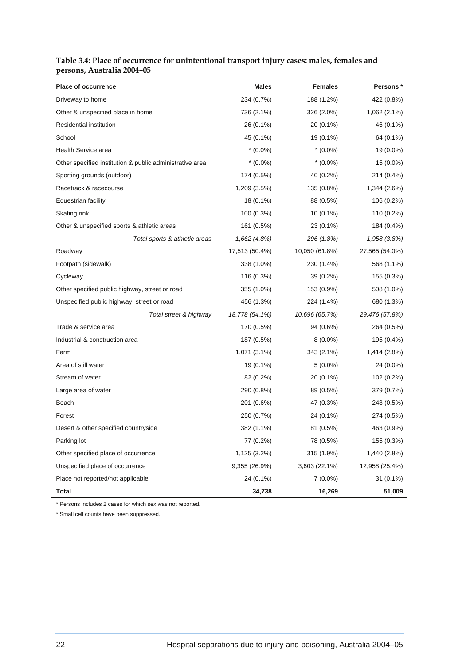| <b>Place of occurrence</b>                               | <b>Males</b>   | Females        | Persons *      |
|----------------------------------------------------------|----------------|----------------|----------------|
| Driveway to home                                         | 234 (0.7%)     | 188 (1.2%)     | 422 (0.8%)     |
| Other & unspecified place in home                        | 736 (2.1%)     | 326 (2.0%)     | 1,062 (2.1%)   |
| <b>Residential institution</b>                           | 26 (0.1%)      | 20 (0.1%)      | 46 (0.1%)      |
| School                                                   | 45 (0.1%)      | 19 (0.1%)      | 64 (0.1%)      |
| Health Service area                                      | $*(0.0\%)$     | $*(0.0\%)$     | 19 (0.0%)      |
| Other specified institution & public administrative area | $*(0.0\%)$     | $*(0.0\%)$     | 15 (0.0%)      |
| Sporting grounds (outdoor)                               | 174 (0.5%)     | 40 (0.2%)      | 214 (0.4%)     |
| Racetrack & racecourse                                   | 1,209 (3.5%)   | 135 (0.8%)     | 1,344 (2.6%)   |
| Equestrian facility                                      | 18 (0.1%)      | 88 (0.5%)      | 106 (0.2%)     |
| Skating rink                                             | 100 (0.3%)     | $10(0.1\%)$    | 110 (0.2%)     |
| Other & unspecified sports & athletic areas              | 161 (0.5%)     | 23 (0.1%)      | 184 (0.4%)     |
| Total sports & athletic areas                            | 1,662 (4.8%)   | 296 (1.8%)     | 1,958 (3.8%)   |
| Roadway                                                  | 17,513 (50.4%) | 10,050 (61.8%) | 27,565 (54.0%) |
| Footpath (sidewalk)                                      | 338 (1.0%)     | 230 (1.4%)     | 568 (1.1%)     |
| Cycleway                                                 | 116 (0.3%)     | 39 (0.2%)      | 155 (0.3%)     |
| Other specified public highway, street or road           | 355 (1.0%)     | 153 (0.9%)     | 508 (1.0%)     |
| Unspecified public highway, street or road               | 456 (1.3%)     | 224 (1.4%)     | 680 (1.3%)     |
| Total street & highway                                   | 18,778 (54.1%) | 10,696 (65.7%) | 29,476 (57.8%) |
| Trade & service area                                     | 170 (0.5%)     | 94 (0.6%)      | 264 (0.5%)     |
| Industrial & construction area                           | 187 (0.5%)     | $8(0.0\%)$     | 195 (0.4%)     |
| Farm                                                     | 1,071 (3.1%)   | 343 (2.1%)     | 1,414 (2.8%)   |
| Area of still water                                      | 19 (0.1%)      | $5(0.0\%)$     | 24 (0.0%)      |
| Stream of water                                          | 82 (0.2%)      | 20 (0.1%)      | 102 (0.2%)     |
| Large area of water                                      | 290 (0.8%)     | 89 (0.5%)      | 379 (0.7%)     |
| Beach                                                    | 201 (0.6%)     | 47 (0.3%)      | 248 (0.5%)     |
| Forest                                                   | 250 (0.7%)     | 24 (0.1%)      | 274 (0.5%)     |
| Desert & other specified countryside                     | 382 (1.1%)     | 81 (0.5%)      | 463 (0.9%)     |
| Parking lot                                              | 77 (0.2%)      | 78 (0.5%)      | 155 (0.3%)     |
| Other specified place of occurrence                      | 1,125 (3.2%)   | 315 (1.9%)     | 1,440 (2.8%)   |
| Unspecified place of occurrence                          | 9,355 (26.9%)  | 3,603 (22.1%)  | 12,958 (25.4%) |
| Place not reported/not applicable                        | 24 (0.1%)      | $7(0.0\%)$     | $31(0.1\%)$    |
| <b>Total</b>                                             | 34,738         | 16,269         | 51,009         |

#### **Table 3.4: Place of occurrence for unintentional transport injury cases: males, females and persons, Australia 2004–05**

\* Persons includes 2 cases for which sex was not reported.

\* Small cell counts have been suppressed.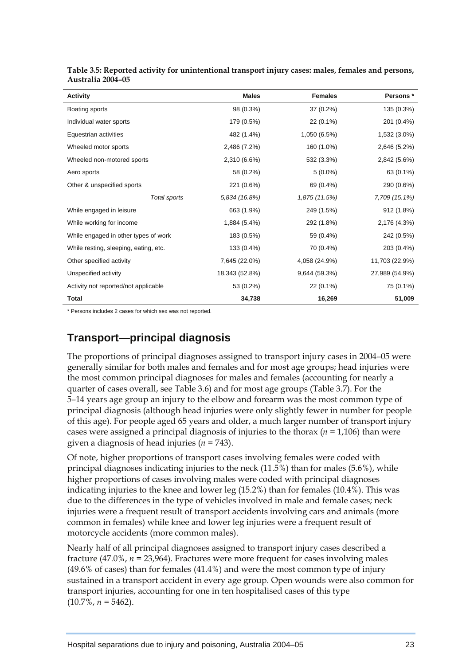| <b>Activity</b>                       | <b>Males</b>   | <b>Females</b> | Persons *      |
|---------------------------------------|----------------|----------------|----------------|
| Boating sports                        | 98 (0.3%)      | 37 (0.2%)      | 135 (0.3%)     |
| Individual water sports               | 179 (0.5%)     | $22(0.1\%)$    | 201 (0.4%)     |
| Equestrian activities                 | 482 (1.4%)     | 1,050 (6.5%)   | 1,532 (3.0%)   |
| Wheeled motor sports                  | 2,486 (7.2%)   | 160 (1.0%)     | 2,646 (5.2%)   |
| Wheeled non-motored sports            | 2,310 (6.6%)   | 532 (3.3%)     | 2,842 (5.6%)   |
| Aero sports                           | 58 (0.2%)      | $5(0.0\%)$     | 63 (0.1%)      |
| Other & unspecified sports            | 221 (0.6%)     | 69 (0.4%)      | 290 (0.6%)     |
| Total sports                          | 5,834 (16.8%)  | 1,875 (11.5%)  | 7,709 (15.1%)  |
| While engaged in leisure              | 663 (1.9%)     | 249 (1.5%)     | 912 (1.8%)     |
| While working for income              | 1,884 (5.4%)   | 292 (1.8%)     | 2,176 (4.3%)   |
| While engaged in other types of work  | 183 (0.5%)     | 59 (0.4%)      | 242 (0.5%)     |
| While resting, sleeping, eating, etc. | 133 (0.4%)     | 70 (0.4%)      | 203 (0.4%)     |
| Other specified activity              | 7,645 (22.0%)  | 4,058 (24.9%)  | 11,703 (22.9%) |
| Unspecified activity                  | 18,343 (52.8%) | 9,644 (59.3%)  | 27,989 (54.9%) |
| Activity not reported/not applicable  | 53 (0.2%)      | 22 (0.1%)      | 75 (0.1%)      |
| <b>Total</b>                          | 34,738         | 16,269         | 51,009         |

| Table 3.5: Reported activity for unintentional transport injury cases: males, females and persons, |  |
|----------------------------------------------------------------------------------------------------|--|
| Australia 2004–05                                                                                  |  |

\* Persons includes 2 cases for which sex was not reported.

## **Transport—principal diagnosis**

The proportions of principal diagnoses assigned to transport injury cases in 2004–05 were generally similar for both males and females and for most age groups; head injuries were the most common principal diagnoses for males and females (accounting for nearly a quarter of cases overall, see Table 3.6) and for most age groups (Table 3.7). For the 5–14 years age group an injury to the elbow and forearm was the most common type of principal diagnosis (although head injuries were only slightly fewer in number for people of this age). For people aged 65 years and older, a much larger number of transport injury cases were assigned a principal diagnosis of injuries to the thorax (*n =* 1,106) than were given a diagnosis of head injuries (*n =* 743).

Of note, higher proportions of transport cases involving females were coded with principal diagnoses indicating injuries to the neck (11.5%) than for males (5.6%), while higher proportions of cases involving males were coded with principal diagnoses indicating injuries to the knee and lower leg (15.2%) than for females (10.4%). This was due to the differences in the type of vehicles involved in male and female cases; neck injuries were a frequent result of transport accidents involving cars and animals (more common in females) while knee and lower leg injuries were a frequent result of motorcycle accidents (more common males).

Nearly half of all principal diagnoses assigned to transport injury cases described a fracture (47.0%, *n =* 23,964). Fractures were more frequent for cases involving males (49.6% of cases) than for females (41.4%) and were the most common type of injury sustained in a transport accident in every age group. Open wounds were also common for transport injuries, accounting for one in ten hospitalised cases of this type  $(10.7\%, n = 5462)$ .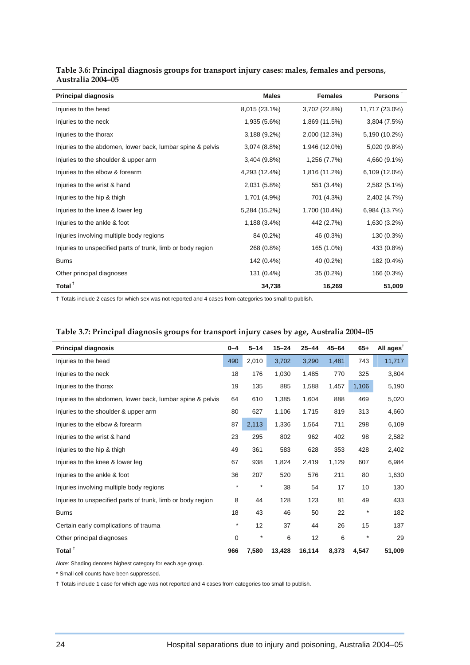| <b>Principal diagnosis</b>                                  | <b>Males</b>  | <b>Females</b> | Persons <sup>T</sup> |
|-------------------------------------------------------------|---------------|----------------|----------------------|
| Injuries to the head                                        | 8,015 (23.1%) | 3,702 (22.8%)  | 11,717 (23.0%)       |
| Injuries to the neck                                        | 1,935 (5.6%)  | 1,869 (11.5%)  | 3,804 (7.5%)         |
| Injuries to the thorax                                      | 3,188 (9.2%)  | 2,000 (12.3%)  | 5,190 (10.2%)        |
| Injuries to the abdomen, lower back, lumbar spine & pelvis  | 3,074 (8.8%)  | 1,946 (12.0%)  | 5,020 (9.8%)         |
| Injuries to the shoulder & upper arm                        | 3,404 (9.8%)  | 1,256 (7.7%)   | 4,660 (9.1%)         |
| Injuries to the elbow & forearm                             | 4,293 (12.4%) | 1,816 (11.2%)  | 6,109 (12.0%)        |
| Injuries to the wrist & hand                                | 2,031 (5.8%)  | 551 (3.4%)     | 2,582 (5.1%)         |
| Injuries to the hip & thigh                                 | 1,701 (4.9%)  | 701 (4.3%)     | 2,402 (4.7%)         |
| Injuries to the knee & lower leg                            | 5,284 (15.2%) | 1,700 (10.4%)  | 6,984 (13.7%)        |
| Injuries to the ankle & foot                                | 1,188 (3.4%)  | 442 (2.7%)     | 1,630 (3.2%)         |
| Injuries involving multiple body regions                    | 84 (0.2%)     | 46 (0.3%)      | 130 (0.3%)           |
| Injuries to unspecified parts of trunk, limb or body region | 268 (0.8%)    | 165 (1.0%)     | 433 (0.8%)           |
| <b>Burns</b>                                                | 142 (0.4%)    | 40 (0.2%)      | 182 (0.4%)           |
| Other principal diagnoses                                   | 131 (0.4%)    | $35(0.2\%)$    | 166 (0.3%)           |
| Total $†$                                                   | 34,738        | 16,269         | 51,009               |

#### **Table 3.6: Principal diagnosis groups for transport injury cases: males, females and persons, Australia 2004–05**

† Totals include 2 cases for which sex was not reported and 4 cases from categories too small to publish.

| <b>Principal diagnosis</b>                                  | $0 - 4$ | $5 - 14$ | $15 - 24$ | $25 - 44$ | $45 - 64$ | $65+$      | All ages <sup><math>†</math></sup> |
|-------------------------------------------------------------|---------|----------|-----------|-----------|-----------|------------|------------------------------------|
| Injuries to the head                                        | 490     | 2,010    | 3,702     | 3,290     | 1,481     | 743        | 11,717                             |
| Injuries to the neck                                        | 18      | 176      | 1,030     | 1,485     | 770       | 325        | 3,804                              |
| Injuries to the thorax                                      | 19      | 135      | 885       | 1,588     | 1,457     | 1,106      | 5,190                              |
| Injuries to the abdomen, lower back, lumbar spine & pelvis  | 64      | 610      | 1,385     | 1,604     | 888       | 469        | 5,020                              |
| Injuries to the shoulder & upper arm                        | 80      | 627      | 1,106     | 1,715     | 819       | 313        | 4,660                              |
| Injuries to the elbow & forearm                             | 87      | 2,113    | 1,336     | 1,564     | 711       | 298        | 6,109                              |
| Injuries to the wrist & hand                                | 23      | 295      | 802       | 962       | 402       | 98         | 2,582                              |
| Injuries to the hip & thigh                                 | 49      | 361      | 583       | 628       | 353       | 428        | 2,402                              |
| Injuries to the knee & lower leg                            | 67      | 938      | 1,824     | 2,419     | 1,129     | 607        | 6,984                              |
| Injuries to the ankle & foot                                | 36      | 207      | 520       | 576       | 211       | 80         | 1,630                              |
| Injuries involving multiple body regions                    | $\star$ | $\star$  | 38        | 54        | 17        | 10         | 130                                |
| Injuries to unspecified parts of trunk, limb or body region | 8       | 44       | 128       | 123       | 81        | 49         | 433                                |
| <b>Burns</b>                                                | 18      | 43       | 46        | 50        | 22        | $^{\star}$ | 182                                |
| Certain early complications of trauma                       | $^\ast$ | 12       | 37        | 44        | 26        | 15         | 137                                |
| Other principal diagnoses                                   | 0       | $\star$  | 6         | 12        | 6         | $\star$    | 29                                 |
| Total <sup>t</sup>                                          | 966     | 7,580    | 13,428    | 16,114    | 8,373     | 4.547      | 51,009                             |

#### **Table 3.7: Principal diagnosis groups for transport injury cases by age, Australia 2004–05**

*Note:* Shading denotes highest category for each age group.

\* Small cell counts have been suppressed.

† Totals include 1 case for which age was not reported and 4 cases from categories too small to publish.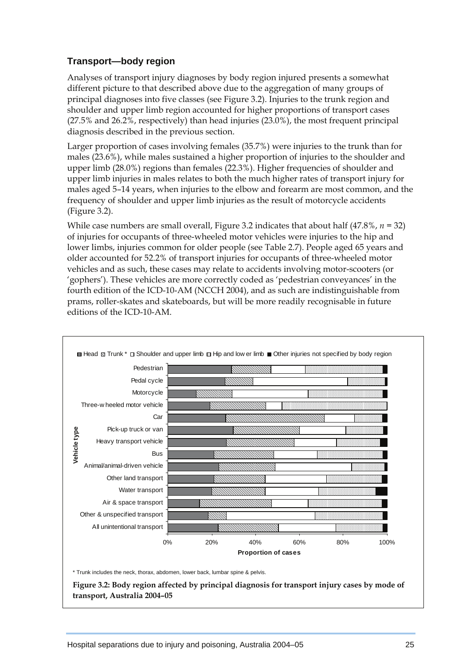### **Transport—body region**

Analyses of transport injury diagnoses by body region injured presents a somewhat different picture to that described above due to the aggregation of many groups of principal diagnoses into five classes (see Figure 3.2). Injuries to the trunk region and shoulder and upper limb region accounted for higher proportions of transport cases (27.5% and 26.2%, respectively) than head injuries (23.0%), the most frequent principal diagnosis described in the previous section.

Larger proportion of cases involving females (35.7%) were injuries to the trunk than for males (23.6%), while males sustained a higher proportion of injuries to the shoulder and upper limb (28.0%) regions than females (22.3%). Higher frequencies of shoulder and upper limb injuries in males relates to both the much higher rates of transport injury for males aged 5–14 years, when injuries to the elbow and forearm are most common, and the frequency of shoulder and upper limb injuries as the result of motorcycle accidents (Figure 3.2).

While case numbers are small overall, Figure 3.2 indicates that about half (47.8%, *n =* 32) of injuries for occupants of three-wheeled motor vehicles were injuries to the hip and lower limbs, injuries common for older people (see Table 2.7). People aged 65 years and older accounted for 52.2% of transport injuries for occupants of three-wheeled motor vehicles and as such, these cases may relate to accidents involving motor-scooters (or 'gophers'). These vehicles are more correctly coded as 'pedestrian conveyances' in the fourth edition of the ICD-10-AM (NCCH 2004), and as such are indistinguishable from prams, roller-skates and skateboards, but will be more readily recognisable in future editions of the ICD-10-AM.



 **Figure 3.2: Body region affected by principal diagnosis for transport injury cases by mode of transport, Australia 2004–05**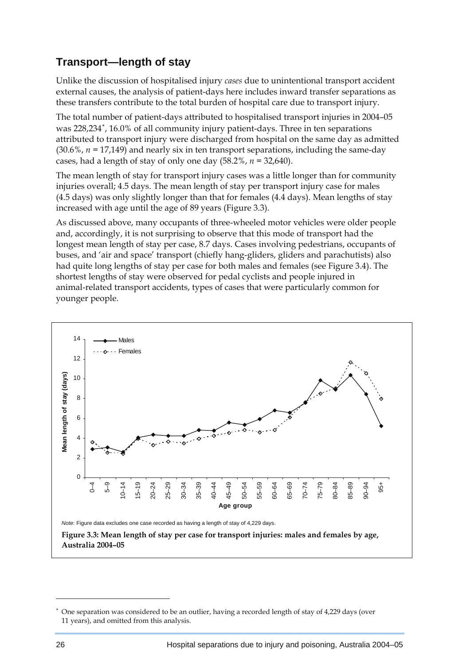# <span id="page-8-0"></span>**Transport—length of stay**

Unlike the discussion of hospitalised injury *cases* due to unintentional transport accident external causes, the analysis of patient-days here includes inward transfer separations as these transfers contribute to the total burden of hospital care due to transport injury.

The total number of patient-days attributed to hospitalised transport injuries in 2004–05 was 228,234<sup>\*</sup>, 16.0% of all community injury patient-days. Three in ten separations attributed to transport injury were discharged from hospital on the same day as admitted (30.6%, *n =* 17,149) and nearly six in ten transport separations, including the same-day cases, had a length of stay of only one day (58.2%, *n =* 32,640).

The mean length of stay for transport injury cases was a little longer than for community injuries overall; 4.5 days. The mean length of stay per transport injury case for males (4.5 days) was only slightly longer than that for females (4.4 days). Mean lengths of stay increased with age until the age of 89 years (Figure 3.3).

As discussed above, many occupants of three-wheeled motor vehicles were older people and, accordingly, it is not surprising to observe that this mode of transport had the longest mean length of stay per case, 8.7 days. Cases involving pedestrians, occupants of buses, and 'air and space' transport (chiefly hang-gliders, gliders and parachutists) also had quite long lengths of stay per case for both males and females (see Figure 3.4). The shortest lengths of stay were observed for pedal cyclists and people injured in animal-related transport accidents, types of cases that were particularly common for younger people.



 $\overline{a}$ 

<sup>∗</sup> One separation was considered to be an outlier, having a recorded length of stay of 4,229 days (over 11 years), and omitted from this analysis.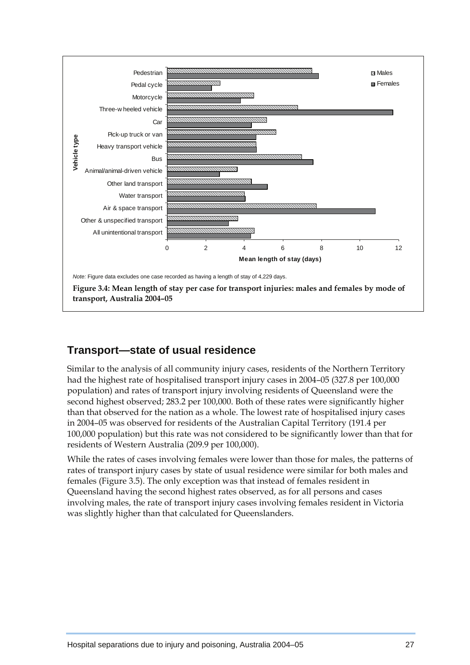

## **Transport—state of usual residence**

Similar to the analysis of all community injury cases, residents of the Northern Territory had the highest rate of hospitalised transport injury cases in 2004–05 (327.8 per 100,000 population) and rates of transport injury involving residents of Queensland were the second highest observed; 283.2 per 100,000. Both of these rates were significantly higher than that observed for the nation as a whole. The lowest rate of hospitalised injury cases in 2004–05 was observed for residents of the Australian Capital Territory (191.4 per 100,000 population) but this rate was not considered to be significantly lower than that for residents of Western Australia (209.9 per 100,000).

While the rates of cases involving females were lower than those for males, the patterns of rates of transport injury cases by state of usual residence were similar for both males and females (Figure 3.5). The only exception was that instead of females resident in Queensland having the second highest rates observed, as for all persons and cases involving males, the rate of transport injury cases involving females resident in Victoria was slightly higher than that calculated for Queenslanders.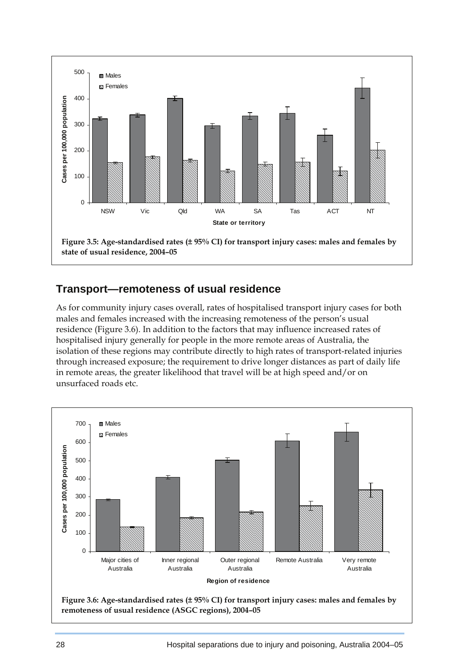

## **Transport—remoteness of usual residence**

As for community injury cases overall, rates of hospitalised transport injury cases for both males and females increased with the increasing remoteness of the person's usual residence (Figure 3.6). In addition to the factors that may influence increased rates of hospitalised injury generally for people in the more remote areas of Australia, the isolation of these regions may contribute directly to high rates of transport-related injuries through increased exposure; the requirement to drive longer distances as part of daily life in remote areas, the greater likelihood that travel will be at high speed and/or on unsurfaced roads etc.



 **Figure 3.6: Age-standardised rates (± 95% CI) for transport injury cases: males and females by remoteness of usual residence (ASGC regions), 2004–05**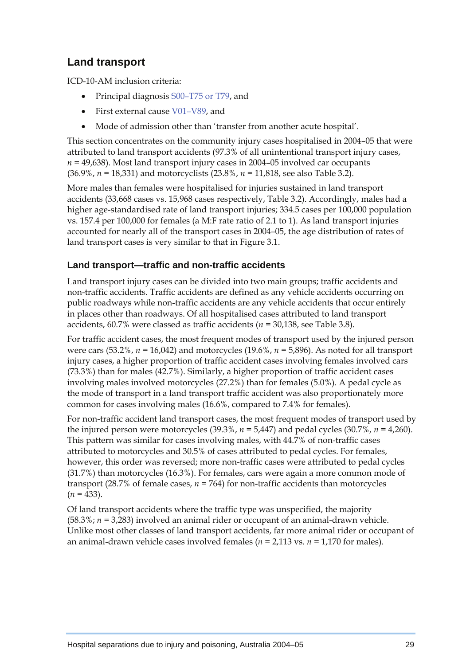# **Land transport**

ICD-10-AM inclusion criteria:

- Principal diagnosis S00–T75 or T79, and
- First external cause V01–V89, and
- Mode of admission other than 'transfer from another acute hospital'.

This section concentrates on the community injury cases hospitalised in 2004–05 that were attributed to land transport accidents (97.3% of all unintentional transport injury cases, *n =* 49,638). Most land transport injury cases in 2004–05 involved car occupants (36.9%, *n =* 18,331) and motorcyclists (23.8%, *n =* 11,818, see also Table 3.2).

More males than females were hospitalised for injuries sustained in land transport accidents (33,668 cases vs. 15,968 cases respectively, Table 3.2). Accordingly, males had a higher age-standardised rate of land transport injuries; 334.5 cases per 100,000 population vs. 157.4 per 100,000 for females (a M:F rate ratio of 2.1 to 1). As land transport injuries accounted for nearly all of the transport cases in 2004–05, the age distribution of rates of land transport cases is very similar to that in Figure 3.1.

### **Land transport—traffic and non-traffic accidents**

Land transport injury cases can be divided into two main groups; traffic accidents and non-traffic accidents. Traffic accidents are defined as any vehicle accidents occurring on public roadways while non-traffic accidents are any vehicle accidents that occur entirely in places other than roadways. Of all hospitalised cases attributed to land transport accidents, 60.7% were classed as traffic accidents (*n =* 30,138, see Table 3.8).

For traffic accident cases, the most frequent modes of transport used by the injured person were cars (53.2%, *n =* 16,042) and motorcycles (19.6%, *n =* 5,896). As noted for all transport injury cases, a higher proportion of traffic accident cases involving females involved cars (73.3%) than for males (42.7%). Similarly, a higher proportion of traffic accident cases involving males involved motorcycles (27.2%) than for females (5.0%). A pedal cycle as the mode of transport in a land transport traffic accident was also proportionately more common for cases involving males (16.6%, compared to 7.4% for females).

For non-traffic accident land transport cases, the most frequent modes of transport used by the injured person were motorcycles  $(39.3\%, n = 5.447)$  and pedal cycles  $(30.7\%, n = 4.260)$ . This pattern was similar for cases involving males, with 44.7% of non-traffic cases attributed to motorcycles and 30.5% of cases attributed to pedal cycles. For females, however, this order was reversed; more non-traffic cases were attributed to pedal cycles (31.7%) than motorcycles (16.3%). For females, cars were again a more common mode of transport (28.7% of female cases, *n =* 764) for non-traffic accidents than motorcycles  $(n = 433)$ .

Of land transport accidents where the traffic type was unspecified, the majority (58.3%; *n =* 3,283) involved an animal rider or occupant of an animal-drawn vehicle. Unlike most other classes of land transport accidents, far more animal rider or occupant of an animal-drawn vehicle cases involved females (*n =* 2,113 vs. *n =* 1,170 for males).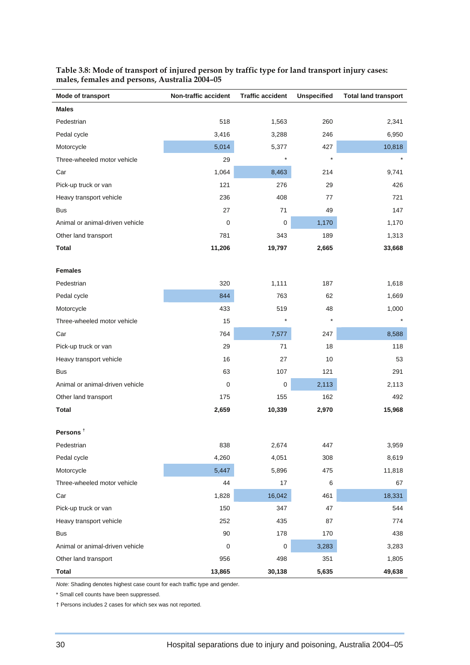| Mode of transport               | Non-traffic accident | <b>Traffic accident</b> | <b>Unspecified</b> | <b>Total land transport</b> |
|---------------------------------|----------------------|-------------------------|--------------------|-----------------------------|
| <b>Males</b>                    |                      |                         |                    |                             |
| Pedestrian                      | 518                  | 1,563                   | 260                | 2,341                       |
| Pedal cycle                     | 3,416                | 3,288                   | 246                | 6,950                       |
| Motorcycle                      | 5,014                | 5,377                   | 427                | 10,818                      |
| Three-wheeled motor vehicle     | 29                   | $\star$                 | $\star$            | $\star$                     |
| Car                             | 1,064                | 8,463                   | 214                | 9,741                       |
| Pick-up truck or van            | 121                  | 276                     | 29                 | 426                         |
| Heavy transport vehicle         | 236                  | 408                     | 77                 | 721                         |
| <b>Bus</b>                      | 27                   | 71                      | 49                 | 147                         |
| Animal or animal-driven vehicle | 0                    | $\pmb{0}$               | 1,170              | 1,170                       |
| Other land transport            | 781                  | 343                     | 189                | 1,313                       |
| <b>Total</b>                    | 11,206               | 19,797                  | 2,665              | 33,668                      |
| <b>Females</b>                  |                      |                         |                    |                             |
| Pedestrian                      | 320                  | 1,111                   | 187                | 1,618                       |
| Pedal cycle                     | 844                  | 763                     | 62                 | 1,669                       |
| Motorcycle                      | 433                  | 519                     | 48                 | 1,000                       |
| Three-wheeled motor vehicle     | 15                   | $\star$                 | $\ast$             | $\star$                     |
| Car                             | 764                  | 7,577                   | 247                | 8,588                       |
| Pick-up truck or van            | 29                   | 71                      | 18                 | 118                         |
| Heavy transport vehicle         | 16                   | 27                      | 10                 | 53                          |
| <b>Bus</b>                      | 63                   | 107                     | 121                | 291                         |
| Animal or animal-driven vehicle | 0                    | $\pmb{0}$               | 2,113              | 2,113                       |
| Other land transport            | 175                  | 155                     | 162                | 492                         |
| Total                           | 2,659                | 10,339                  | 2,970              | 15,968                      |
| Persons <sup>†</sup>            |                      |                         |                    |                             |
| Pedestrian                      | 838                  | 2,674                   | 447                | 3,959                       |
| Pedal cycle                     | 4,260                | 4,051                   | 308                | 8,619                       |
| Motorcycle                      | 5,447                | 5,896                   | 475                | 11,818                      |
| Three-wheeled motor vehicle     | 44                   | 17                      | 6                  | 67                          |
| Car                             | 1,828                | 16,042                  | 461                | 18,331                      |
| Pick-up truck or van            | 150                  | 347                     | 47                 | 544                         |
| Heavy transport vehicle         | 252                  | 435                     | 87                 | 774                         |
| <b>Bus</b>                      | 90                   | 178                     | 170                | 438                         |
| Animal or animal-driven vehicle | $\pmb{0}$            | $\pmb{0}$               | 3,283              | 3,283                       |
| Other land transport            | 956                  | 498                     | 351                | 1,805                       |
| <b>Total</b>                    | 13,865               | 30,138                  | 5,635              | 49,638                      |

#### **Table 3.8: Mode of transport of injured person by traffic type for land transport injury cases: males, females and persons, Australia 2004–05**

*Note:* Shading denotes highest case count for each traffic type and gender.

\* Small cell counts have been suppressed.

† Persons includes 2 cases for which sex was not reported.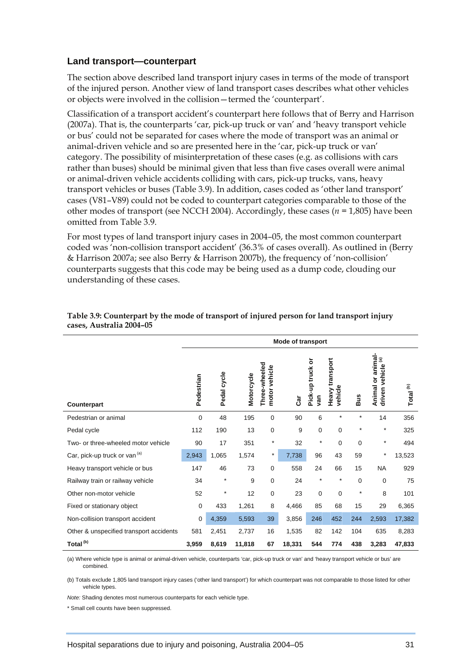#### **Land transport—counterpart**

The section above described land transport injury cases in terms of the mode of transport of the injured person. Another view of land transport cases describes what other vehicles or objects were involved in the collision—termed the 'counterpart'.

Classification of a transport accident's counterpart here follows that of Berry and Harrison (2007a). That is, the counterparts 'car, pick-up truck or van' and 'heavy transport vehicle or bus' could not be separated for cases where the mode of transport was an animal or animal-driven vehicle and so are presented here in the 'car, pick-up truck or van' category. The possibility of misinterpretation of these cases (e.g. as collisions with cars rather than buses) should be minimal given that less than five cases overall were animal or animal-driven vehicle accidents colliding with cars, pick-up trucks, vans, heavy transport vehicles or buses (Table 3.9). In addition, cases coded as 'other land transport' cases (V81–V89) could not be coded to counterpart categories comparable to those of the other modes of transport (see NCCH 2004). Accordingly, these cases (*n =* 1,805) have been omitted from Table 3.9.

For most types of land transport injury cases in 2004–05, the most common counterpart coded was 'non-collision transport accident' (36.3% of cases overall). As outlined in (Berry & Harrison 2007a; see also Berry & Harrison 2007b), the frequency of 'non-collision' counterparts suggests that this code may be being used as a dump code, clouding our understanding of these cases.

|                                          | <b>Mode of transport</b> |             |            |                                   |        |                         |                            |            |                                                       |                      |
|------------------------------------------|--------------------------|-------------|------------|-----------------------------------|--------|-------------------------|----------------------------|------------|-------------------------------------------------------|----------------------|
| Counterpart                              | Pedestrian               | Pedal cycle | Motorcycle | Three-wheeled<br>vehicle<br>motor | Car    | Pick-up truck or<br>gan | Heavy transport<br>vehicle | <b>Bus</b> | Animal or animal-<br>vehicle <sup>(a)</sup><br>driven | Total <sup>(b)</sup> |
| Pedestrian or animal                     | $\Omega$                 | 48          | 195        | 0                                 | 90     | 6                       | $\star$                    | $^{\star}$ | 14                                                    | 356                  |
| Pedal cycle                              | 112                      | 190         | 13         | 0                                 | 9      | 0                       | $\mathbf 0$                | $\star$    | $^\star$                                              | 325                  |
| Two- or three-wheeled motor vehicle      | 90                       | 17          | 351        | $\star$                           | 32     | $\star$                 | 0                          | 0          | $^\star$                                              | 494                  |
| Car, pick-up truck or van <sup>(a)</sup> | 2,943                    | 1,065       | 1,574      | $^\star$                          | 7,738  | 96                      | 43                         | 59         | $^\star$                                              | 13,523               |
| Heavy transport vehicle or bus           | 147                      | 46          | 73         | 0                                 | 558    | 24                      | 66                         | 15         | <b>NA</b>                                             | 929                  |
| Railway train or railway vehicle         | 34                       | $\star$     | 9          | 0                                 | 24     | $\star$                 | $\star$                    | 0          | 0                                                     | 75                   |
| Other non-motor vehicle                  | 52                       | $\star$     | 12         | 0                                 | 23     | $\mathbf 0$             | $\mathbf 0$                | $\star$    | 8                                                     | 101                  |
| Fixed or stationary object               | 0                        | 433         | 1,261      | 8                                 | 4,466  | 85                      | 68                         | 15         | 29                                                    | 6,365                |
| Non-collision transport accident         | $\mathbf 0$              | 4,359       | 5,593      | 39                                | 3,856  | 246                     | 452                        | 244        | 2,593                                                 | 17,382               |
| Other & unspecified transport accidents  | 581                      | 2,451       | 2,737      | 16                                | 1,535  | 82                      | 142                        | 104        | 635                                                   | 8,283                |
| Total <sup>(b)</sup>                     | 3,959                    | 8,619       | 11,818     | 67                                | 18,331 | 544                     | 774                        | 438        | 3,283                                                 | 47,833               |

#### **Table 3.9: Counterpart by the mode of transport of injured person for land transport injury cases, Australia 2004–05**

(a) Where vehicle type is animal or animal-driven vehicle, counterparts 'car, pick-up truck or van' and 'heavy transport vehicle or bus' are combined.

(b) Totals exclude 1,805 land transport injury cases ('other land transport') for which counterpart was not comparable to those listed for other vehicle types.

*Note:* Shading denotes most numerous counterparts for each vehicle type.

\* Small cell counts have been suppressed.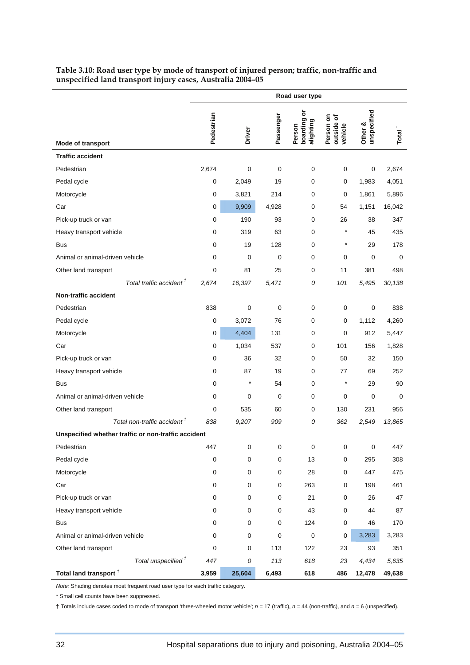|                                                     | Road user type |             |           |                                      |                                      |                        |                    |
|-----------------------------------------------------|----------------|-------------|-----------|--------------------------------------|--------------------------------------|------------------------|--------------------|
| Mode of transport                                   | Pedestrian     | Driver      | Passenger | ৯<br>boarding<br>alighting<br>Person | Person on<br>৳<br>outside<br>vehicle | unspecified<br>Other & | Total <sup>+</sup> |
| <b>Traffic accident</b>                             |                |             |           |                                      |                                      |                        |                    |
| Pedestrian                                          | 2,674          | $\mathbf 0$ | 0         | 0                                    | $\mathbf 0$                          | 0                      | 2,674              |
| Pedal cycle                                         | 0              | 2,049       | 19        | 0                                    | 0                                    | 1,983                  | 4,051              |
| Motorcycle                                          | 0              | 3,821       | 214       | 0                                    | 0                                    | 1,861                  | 5,896              |
| Car                                                 | 0              | 9,909       | 4,928     | 0                                    | 54                                   | 1,151                  | 16,042             |
| Pick-up truck or van                                | 0              | 190         | 93        | 0                                    | 26                                   | 38                     | 347                |
| Heavy transport vehicle                             | 0              | 319         | 63        | 0                                    | *                                    | 45                     | 435                |
| <b>Bus</b>                                          | 0              | 19          | 128       | 0                                    | $^{\star}$                           | 29                     | 178                |
| Animal or animal-driven vehicle                     | 0              | 0           | 0         | 0                                    | 0                                    | 0                      | 0                  |
| Other land transport                                | 0              | 81          | 25        | 0                                    | 11                                   | 381                    | 498                |
| Total traffic accident <sup>†</sup>                 | 2,674          | 16,397      | 5,471     | 0                                    | 101                                  | 5,495                  | 30,138             |
| <b>Non-traffic accident</b>                         |                |             |           |                                      |                                      |                        |                    |
| Pedestrian                                          | 838            | $\mathbf 0$ | 0         | 0                                    | 0                                    | 0                      | 838                |
| Pedal cycle                                         | 0              | 3,072       | 76        | 0                                    | 0                                    | 1,112                  | 4,260              |
| Motorcycle                                          | 0              | 4,404       | 131       | 0                                    | 0                                    | 912                    | 5,447              |
| Car                                                 | 0              | 1,034       | 537       | 0                                    | 101                                  | 156                    | 1,828              |
| Pick-up truck or van                                | 0              | 36          | 32        | 0                                    | 50                                   | 32                     | 150                |
| Heavy transport vehicle                             | 0              | 87          | 19        | 0                                    | 77                                   | 69                     | 252                |
| <b>Bus</b>                                          | 0              | $^\star$    | 54        | 0                                    | *                                    | 29                     | 90                 |
| Animal or animal-driven vehicle                     | 0              | 0           | 0         | 0                                    | 0                                    | 0                      | 0                  |
| Other land transport                                | 0              | 535         | 60        | 0                                    | 130                                  | 231                    | 956                |
| Total non-traffic accident <sup>†</sup>             | 838            | 9,207       | 909       | 0                                    | 362                                  | 2,549                  | 13,865             |
| Unspecified whether traffic or non-traffic accident |                |             |           |                                      |                                      |                        |                    |
| Pedestrian                                          | 447            | $\pmb{0}$   | 0         | $\pmb{0}$                            | 0                                    | $\pmb{0}$              | 447                |
| Pedal cycle                                         | 0              | 0           | 0         | 13                                   | 0                                    | 295                    | 308                |
| Motorcycle                                          | $\pmb{0}$      | 0           | 0         | 28                                   | 0                                    | 447                    | 475                |
| Car                                                 | 0              | 0           | 0         | 263                                  | 0                                    | 198                    | 461                |
| Pick-up truck or van                                | 0              | 0           | 0         | 21                                   | 0                                    | 26                     | 47                 |
| Heavy transport vehicle                             | 0              | 0           | 0         | 43                                   | 0                                    | 44                     | 87                 |
| <b>Bus</b>                                          | 0              | 0           | 0         | 124                                  | 0                                    | 46                     | 170                |
| Animal or animal-driven vehicle                     | 0              | 0           | 0         | 0                                    | 0                                    | 3,283                  | 3,283              |
| Other land transport                                | 0              | $\pmb{0}$   | 113       | 122                                  | 23                                   | 93                     | 351                |
| Total unspecified <sup>†</sup>                      | 447            | 0           | 113       | 618                                  | 23                                   | 4,434                  | 5,635              |
| Total land transport <sup>+</sup>                   | 3,959          | 25,604      | 6,493     | 618                                  | 486                                  | 12,478                 | 49,638             |

#### **Table 3.10: Road user type by mode of transport of injured person; traffic, non-traffic and unspecified land transport injury cases, Australia 2004–05**

*Note:* Shading denotes most frequent road user type for each traffic category.

\* Small cell counts have been suppressed.

† Totals include cases coded to mode of transport 'three-wheeled motor vehicle'; *n =* 17 (traffic), *n =* 44 (non-traffic), and *n =* 6 (unspecified).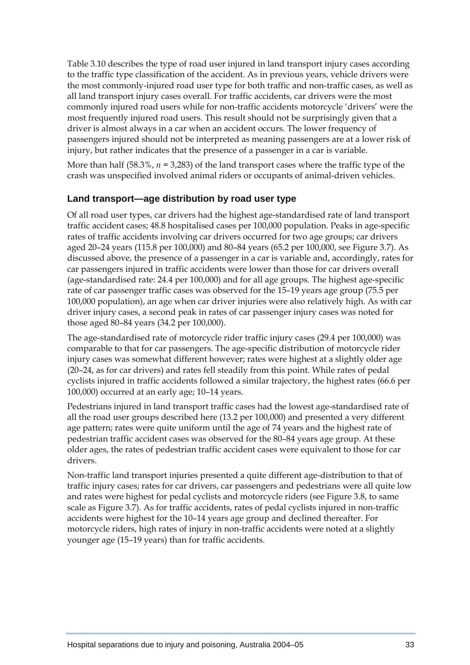Table 3.10 describes the type of road user injured in land transport injury cases according to the traffic type classification of the accident. As in previous years, vehicle drivers were the most commonly-injured road user type for both traffic and non-traffic cases, as well as all land transport injury cases overall. For traffic accidents, car drivers were the most commonly injured road users while for non-traffic accidents motorcycle 'drivers' were the most frequently injured road users. This result should not be surprisingly given that a driver is almost always in a car when an accident occurs. The lower frequency of passengers injured should not be interpreted as meaning passengers are at a lower risk of injury, but rather indicates that the presence of a passenger in a car is variable.

More than half (58.3%,  $n = 3,283$ ) of the land transport cases where the traffic type of the crash was unspecified involved animal riders or occupants of animal-driven vehicles.

#### **Land transport—age distribution by road user type**

Of all road user types, car drivers had the highest age-standardised rate of land transport traffic accident cases; 48.8 hospitalised cases per 100,000 population. Peaks in age-specific rates of traffic accidents involving car drivers occurred for two age groups; car drivers aged 20–24 years (115.8 per 100,000) and 80–84 years (65.2 per 100,000, see Figure 3.7). As discussed above, the presence of a passenger in a car is variable and, accordingly, rates for car passengers injured in traffic accidents were lower than those for car drivers overall (age-standardised rate: 24.4 per 100,000) and for all age groups. The highest age-specific rate of car passenger traffic cases was observed for the 15–19 years age group (75.5 per 100,000 population), an age when car driver injuries were also relatively high. As with car driver injury cases, a second peak in rates of car passenger injury cases was noted for those aged 80–84 years (34.2 per 100,000).

The age-standardised rate of motorcycle rider traffic injury cases (29.4 per 100,000) was comparable to that for car passengers. The age-specific distribution of motorcycle rider injury cases was somewhat different however; rates were highest at a slightly older age (20–24, as for car drivers) and rates fell steadily from this point. While rates of pedal cyclists injured in traffic accidents followed a similar trajectory, the highest rates (66.6 per 100,000) occurred at an early age; 10–14 years.

Pedestrians injured in land transport traffic cases had the lowest age-standardised rate of all the road user groups described here (13.2 per 100,000) and presented a very different age pattern; rates were quite uniform until the age of 74 years and the highest rate of pedestrian traffic accident cases was observed for the 80–84 years age group. At these older ages, the rates of pedestrian traffic accident cases were equivalent to those for car drivers.

Non-traffic land transport injuries presented a quite different age-distribution to that of traffic injury cases; rates for car drivers, car passengers and pedestrians were all quite low and rates were highest for pedal cyclists and motorcycle riders (see Figure 3.8, to same scale as Figure 3.7). As for traffic accidents, rates of pedal cyclists injured in non-traffic accidents were highest for the 10–14 years age group and declined thereafter. For motorcycle riders, high rates of injury in non-traffic accidents were noted at a slightly younger age (15–19 years) than for traffic accidents.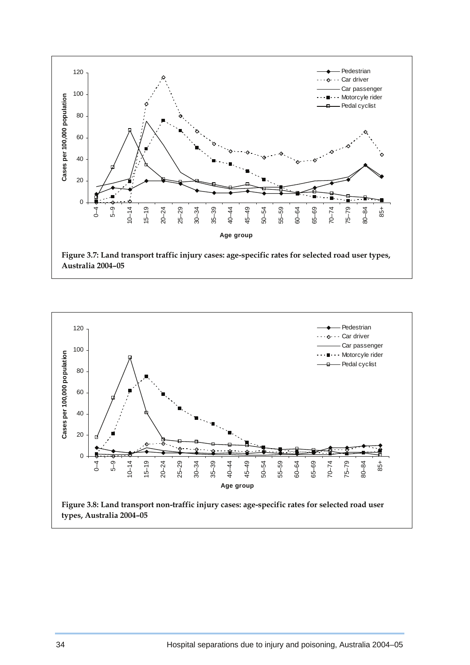

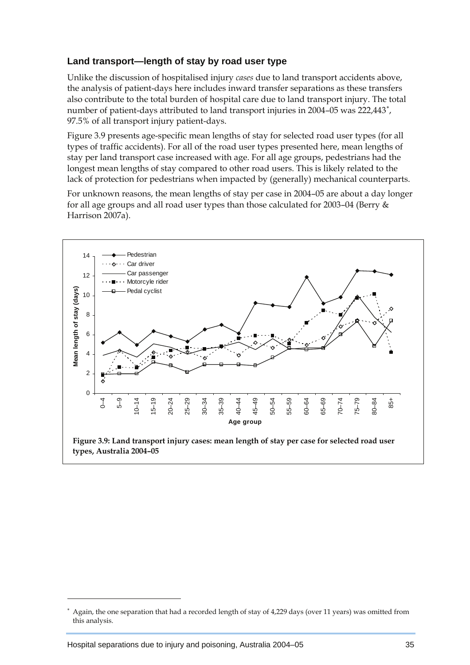### <span id="page-17-0"></span>**Land transport—length of stay by road user type**

Unlike the discussion of hospitalised injury *cases* due to land transport accidents above, the analysis of patient-days here includes inward transfer separations as these transfers also contribute to the total burden of hospital care due to land transport injury. The total number of patient-days attributed to land transport injuries in 2004–05 was 222,443<sup>\*</sup>, 97.5% of all transport injury patient-days.

Figure 3.9 presents age-specific mean lengths of stay for selected road user types (for all types of traffic accidents). For all of the road user types presented here, mean lengths of stay per land transport case increased with age. For all age groups, pedestrians had the longest mean lengths of stay compared to other road users. This is likely related to the lack of protection for pedestrians when impacted by (generally) mechanical counterparts.

For unknown reasons, the mean lengths of stay per case in 2004–05 are about a day longer for all age groups and all road user types than those calculated for 2003–04 (Berry & Harrison 2007a).



 **Figure 3.9: Land transport injury cases: mean length of stay per case for selected road user types, Australia 2004–05** 

 $\overline{a}$ 

<sup>∗</sup> Again, the one separation that had a recorded length of stay of 4,229 days (over 11 years) was omitted from this analysis.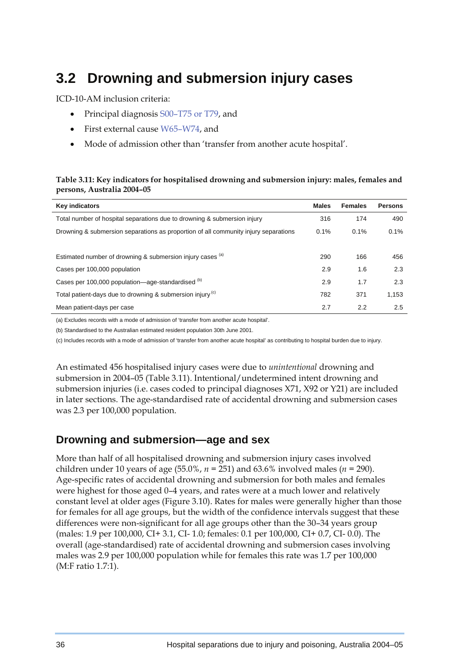# **3.2 Drowning and submersion injury cases**

ICD-10-AM inclusion criteria:

- Principal diagnosis S00–T75 or T79, and
- First external cause W65–W74, and
- Mode of admission other than 'transfer from another acute hospital'.

#### **Table 3.11: Key indicators for hospitalised drowning and submersion injury: males, females and persons, Australia 2004–05**

| <b>Key indicators</b>                                                               | <b>Males</b> | <b>Females</b> | <b>Persons</b> |
|-------------------------------------------------------------------------------------|--------------|----------------|----------------|
| Total number of hospital separations due to drowning & submersion injury            | 316          | 174            | 490            |
| Drowning & submersion separations as proportion of all community injury separations | 0.1%         | 0.1%           | 0.1%           |
|                                                                                     |              |                |                |
| Estimated number of drowning & submersion injury cases (a)                          | 290          | 166            | 456            |
| Cases per 100,000 population                                                        | 2.9          | 1.6            | 2.3            |
| Cases per 100,000 population—age-standardised (b)                                   | 2.9          | 1.7            | 2.3            |
| Total patient-days due to drowning & submersion injury <sup>(c)</sup>               | 782          | 371            | 1,153          |
| Mean patient-days per case                                                          | 2.7          | 2.2            | 2.5            |

(a) Excludes records with a mode of admission of 'transfer from another acute hospital'.

(b) Standardised to the Australian estimated resident population 30th June 2001.

(c) Includes records with a mode of admission of 'transfer from another acute hospital' as contributing to hospital burden due to injury.

An estimated 456 hospitalised injury cases were due to *unintentional* drowning and submersion in 2004–05 (Table 3.11). Intentional/undetermined intent drowning and submersion injuries (i.e. cases coded to principal diagnoses X71, X92 or Y21) are included in later sections. The age-standardised rate of accidental drowning and submersion cases was 2.3 per 100,000 population.

## **Drowning and submersion—age and sex**

More than half of all hospitalised drowning and submersion injury cases involved children under 10 years of age (55.0%, *n =* 251) and 63.6% involved males (*n =* 290). Age-specific rates of accidental drowning and submersion for both males and females were highest for those aged 0–4 years, and rates were at a much lower and relatively constant level at older ages (Figure 3.10). Rates for males were generally higher than those for females for all age groups, but the width of the confidence intervals suggest that these differences were non-significant for all age groups other than the 30–34 years group (males: 1.9 per 100,000, CI+ 3.1, CI- 1.0; females: 0.1 per 100,000, CI+ 0.7, CI- 0.0). The overall (age-standardised) rate of accidental drowning and submersion cases involving males was 2.9 per 100,000 population while for females this rate was 1.7 per 100,000 (M:F ratio 1.7:1).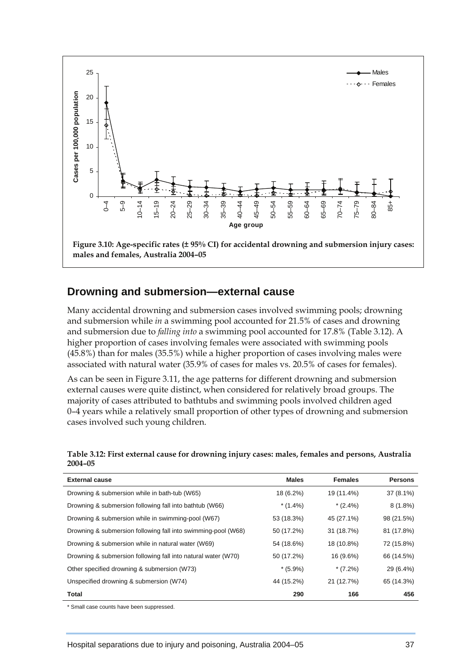

### **Drowning and submersion—external cause**

Many accidental drowning and submersion cases involved swimming pools; drowning and submersion while *in* a swimming pool accounted for 21.5% of cases and drowning and submersion due to *falling into* a swimming pool accounted for 17.8% (Table 3.12). A higher proportion of cases involving females were associated with swimming pools (45.8%) than for males (35.5%) while a higher proportion of cases involving males were associated with natural water (35.9% of cases for males vs. 20.5% of cases for females).

As can be seen in Figure 3.11, the age patterns for different drowning and submersion external causes were quite distinct, when considered for relatively broad groups. The majority of cases attributed to bathtubs and swimming pools involved children aged 0–4 years while a relatively small proportion of other types of drowning and submersion cases involved such young children.

| Table 3.12: First external cause for drowning injury cases: males, females and persons, Australia |  |
|---------------------------------------------------------------------------------------------------|--|
| $2004 - 05$                                                                                       |  |

| <b>External cause</b>                                         | <b>Males</b> | <b>Females</b> | <b>Persons</b> |
|---------------------------------------------------------------|--------------|----------------|----------------|
| Drowning & submersion while in bath-tub (W65)                 | 18 (6.2%)    | 19 (11.4%)     | $37(8.1\%)$    |
| Drowning & submersion following fall into bathtub (W66)       | $*(1.4\%)$   | $*(2.4\%)$     | $8(1.8\%)$     |
| Drowning & submersion while in swimming-pool (W67)            | 53 (18.3%)   | 45 (27.1%)     | 98 (21.5%)     |
| Drowning & submersion following fall into swimming-pool (W68) | 50 (17.2%)   | 31 (18.7%)     | 81 (17.8%)     |
| Drowning & submersion while in natural water (W69)            | 54 (18.6%)   | 18 (10.8%)     | 72 (15.8%)     |
| Drowning & submersion following fall into natural water (W70) | 50 (17.2%)   | 16 (9.6%)      | 66 (14.5%)     |
| Other specified drowning & submersion (W73)                   | $*(5.9\%)$   | $*(7.2\%)$     | 29 (6.4%)      |
| Unspecified drowning & submersion (W74)                       | 44 (15.2%)   | 21 (12.7%)     | 65 (14.3%)     |
| Total                                                         | 290          | 166            | 456            |

Small case counts have been suppressed.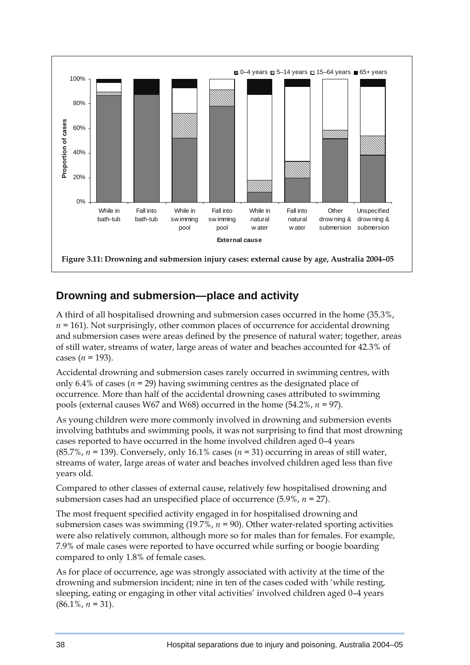

# **Drowning and submersion—place and activity**

A third of all hospitalised drowning and submersion cases occurred in the home (35.3%, *n =* 161). Not surprisingly, other common places of occurrence for accidental drowning and submersion cases were areas defined by the presence of natural water; together, areas of still water, streams of water, large areas of water and beaches accounted for 42.3% of cases ( $n = 193$ ).

Accidental drowning and submersion cases rarely occurred in swimming centres, with only 6.4% of cases ( $n = 29$ ) having swimming centres as the designated place of occurrence. More than half of the accidental drowning cases attributed to swimming pools (external causes W67 and W68) occurred in the home (54.2%, *n =* 97).

As young children were more commonly involved in drowning and submersion events involving bathtubs and swimming pools, it was not surprising to find that most drowning cases reported to have occurred in the home involved children aged 0–4 years (85.7%, *n =* 139). Conversely, only 16.1% cases (*n =* 31) occurring in areas of still water, streams of water, large areas of water and beaches involved children aged less than five years old.

Compared to other classes of external cause, relatively few hospitalised drowning and submersion cases had an unspecified place of occurrence (5.9%, *n =* 27).

The most frequent specified activity engaged in for hospitalised drowning and submersion cases was swimming (19.7%, *n =* 90). Other water-related sporting activities were also relatively common, although more so for males than for females. For example, 7.9% of male cases were reported to have occurred while surfing or boogie boarding compared to only 1.8% of female cases.

As for place of occurrence, age was strongly associated with activity at the time of the drowning and submersion incident; nine in ten of the cases coded with 'while resting, sleeping, eating or engaging in other vital activities' involved children aged 0–4 years  $(86.1\%, n = 31).$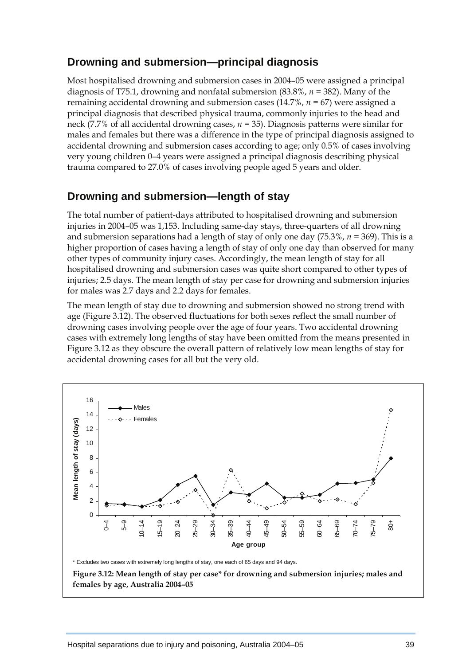## **Drowning and submersion—principal diagnosis**

Most hospitalised drowning and submersion cases in 2004–05 were assigned a principal diagnosis of T75.1, drowning and nonfatal submersion (83.8%, *n =* 382). Many of the remaining accidental drowning and submersion cases (14.7%, *n =* 67) were assigned a principal diagnosis that described physical trauma, commonly injuries to the head and neck (7.7% of all accidental drowning cases, *n =* 35). Diagnosis patterns were similar for males and females but there was a difference in the type of principal diagnosis assigned to accidental drowning and submersion cases according to age; only 0.5% of cases involving very young children 0–4 years were assigned a principal diagnosis describing physical trauma compared to 27.0% of cases involving people aged 5 years and older.

## **Drowning and submersion—length of stay**

The total number of patient-days attributed to hospitalised drowning and submersion injuries in 2004–05 was 1,153. Including same-day stays, three-quarters of all drowning and submersion separations had a length of stay of only one day (75.3%, *n =* 369). This is a higher proportion of cases having a length of stay of only one day than observed for many other types of community injury cases. Accordingly, the mean length of stay for all hospitalised drowning and submersion cases was quite short compared to other types of injuries; 2.5 days. The mean length of stay per case for drowning and submersion injuries for males was 2.7 days and 2.2 days for females.

The mean length of stay due to drowning and submersion showed no strong trend with age (Figure 3.12). The observed fluctuations for both sexes reflect the small number of drowning cases involving people over the age of four years. Two accidental drowning cases with extremely long lengths of stay have been omitted from the means presented in Figure 3.12 as they obscure the overall pattern of relatively low mean lengths of stay for accidental drowning cases for all but the very old.



**females by age, Australia 2004–05**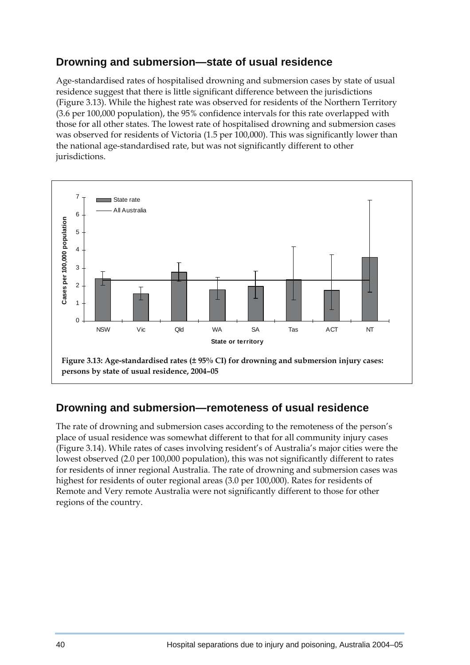# **Drowning and submersion—state of usual residence**

Age-standardised rates of hospitalised drowning and submersion cases by state of usual residence suggest that there is little significant difference between the jurisdictions (Figure 3.13). While the highest rate was observed for residents of the Northern Territory (3.6 per 100,000 population), the 95% confidence intervals for this rate overlapped with those for all other states. The lowest rate of hospitalised drowning and submersion cases was observed for residents of Victoria (1.5 per 100,000). This was significantly lower than the national age-standardised rate, but was not significantly different to other jurisdictions.



## **Drowning and submersion—remoteness of usual residence**

The rate of drowning and submersion cases according to the remoteness of the person's place of usual residence was somewhat different to that for all community injury cases (Figure 3.14). While rates of cases involving resident's of Australia's major cities were the lowest observed (2.0 per 100,000 population), this was not significantly different to rates for residents of inner regional Australia. The rate of drowning and submersion cases was highest for residents of outer regional areas (3.0 per 100,000). Rates for residents of Remote and Very remote Australia were not significantly different to those for other regions of the country.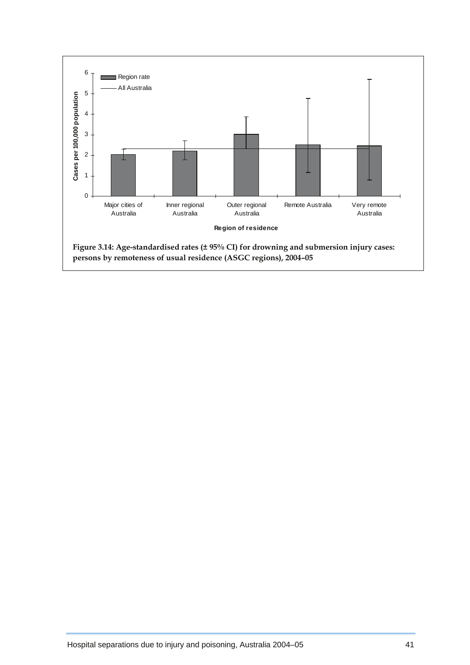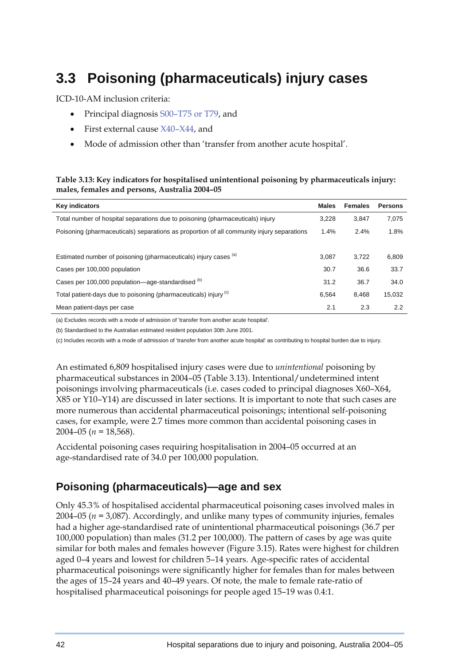# **3.3 Poisoning (pharmaceuticals) injury cases**

ICD-10-AM inclusion criteria:

- Principal diagnosis S00–T75 or T79, and
- First external cause X40–X44, and
- Mode of admission other than 'transfer from another acute hospital'.

#### **Table 3.13: Key indicators for hospitalised unintentional poisoning by pharmaceuticals injury: males, females and persons, Australia 2004–05**

| <b>Key indicators</b>                                                                     | <b>Males</b> | <b>Females</b> | <b>Persons</b> |
|-------------------------------------------------------------------------------------------|--------------|----------------|----------------|
| Total number of hospital separations due to poisoning (pharmaceuticals) injury            | 3.228        | 3.847          | 7,075          |
| Poisoning (pharmaceuticals) separations as proportion of all community injury separations | 1.4%         | 2.4%           | 1.8%           |
|                                                                                           |              |                |                |
| Estimated number of poisoning (pharmaceuticals) injury cases (a)                          | 3.087        | 3.722          | 6,809          |
| Cases per 100,000 population                                                              | 30.7         | 36.6           | 33.7           |
| Cases per 100,000 population—age-standardised (b)                                         | 31.2         | 36.7           | 34.0           |
| Total patient-days due to poisoning (pharmaceuticals) injury <sup>(c)</sup>               | 6.564        | 8.468          | 15,032         |
| Mean patient-days per case                                                                | 2.1          | 2.3            | 2.2            |

(a) Excludes records with a mode of admission of 'transfer from another acute hospital'.

(b) Standardised to the Australian estimated resident population 30th June 2001.

(c) Includes records with a mode of admission of 'transfer from another acute hospital' as contributing to hospital burden due to injury.

An estimated 6,809 hospitalised injury cases were due to *unintentional* poisoning by pharmaceutical substances in 2004–05 (Table 3.13). Intentional/undetermined intent poisonings involving pharmaceuticals (i.e. cases coded to principal diagnoses X60–X64, X85 or Y10–Y14) are discussed in later sections. It is important to note that such cases are more numerous than accidental pharmaceutical poisonings; intentional self-poisoning cases, for example, were 2.7 times more common than accidental poisoning cases in 2004–05 (*n =* 18,568).

Accidental poisoning cases requiring hospitalisation in 2004–05 occurred at an age-standardised rate of 34.0 per 100,000 population.

# **Poisoning (pharmaceuticals)—age and sex**

Only 45.3% of hospitalised accidental pharmaceutical poisoning cases involved males in 2004–05 (*n =* 3,087). Accordingly, and unlike many types of community injuries, females had a higher age-standardised rate of unintentional pharmaceutical poisonings (36.7 per 100,000 population) than males (31.2 per 100,000). The pattern of cases by age was quite similar for both males and females however (Figure 3.15). Rates were highest for children aged 0–4 years and lowest for children 5–14 years. Age-specific rates of accidental pharmaceutical poisonings were significantly higher for females than for males between the ages of 15–24 years and 40–49 years. Of note, the male to female rate-ratio of hospitalised pharmaceutical poisonings for people aged 15–19 was 0.4:1.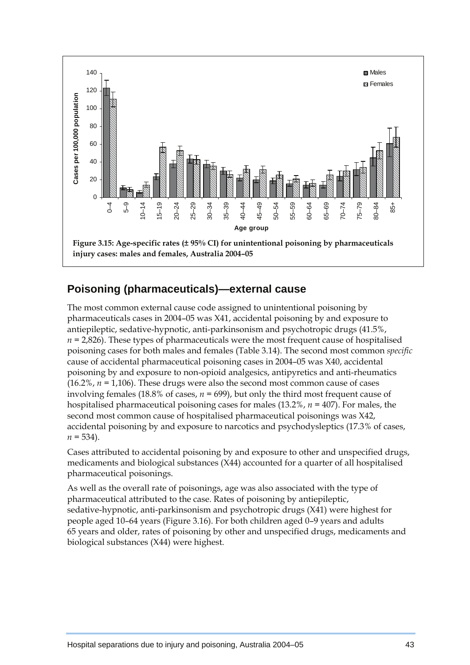

## **Poisoning (pharmaceuticals)—external cause**

The most common external cause code assigned to unintentional poisoning by pharmaceuticals cases in 2004–05 was X41, accidental poisoning by and exposure to antiepileptic, sedative-hypnotic, anti-parkinsonism and psychotropic drugs (41.5%,  $n = 2,826$ ). These types of pharmaceuticals were the most frequent cause of hospitalised poisoning cases for both males and females (Table 3.14). The second most common *specific* cause of accidental pharmaceutical poisoning cases in 2004–05 was X40, accidental poisoning by and exposure to non-opioid analgesics, antipyretics and anti-rheumatics  $(16.2\% , n = 1,106)$ . These drugs were also the second most common cause of cases involving females (18.8% of cases, *n =* 699), but only the third most frequent cause of hospitalised pharmaceutical poisoning cases for males (13.2%, *n =* 407). For males, the second most common cause of hospitalised pharmaceutical poisonings was X42, accidental poisoning by and exposure to narcotics and psychodysleptics (17.3% of cases,  $n = 534$ ).

Cases attributed to accidental poisoning by and exposure to other and unspecified drugs, medicaments and biological substances (X44) accounted for a quarter of all hospitalised pharmaceutical poisonings.

As well as the overall rate of poisonings, age was also associated with the type of pharmaceutical attributed to the case. Rates of poisoning by antiepileptic, sedative-hypnotic, anti-parkinsonism and psychotropic drugs (X41) were highest for people aged 10–64 years (Figure 3.16). For both children aged 0–9 years and adults 65 years and older, rates of poisoning by other and unspecified drugs, medicaments and biological substances (X44) were highest.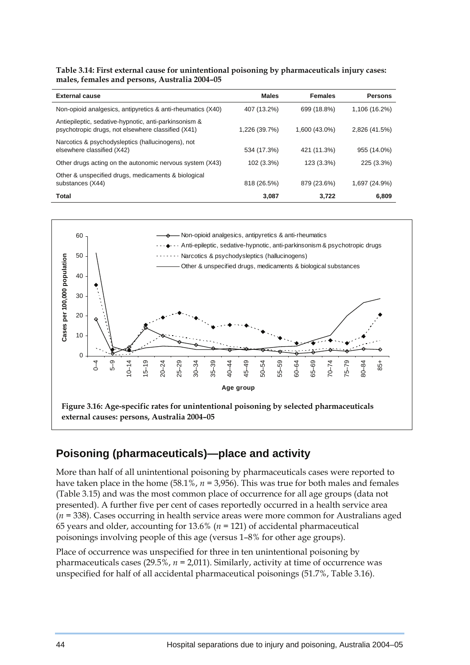**Table 3.14: First external cause for unintentional poisoning by pharmaceuticals injury cases: males, females and persons, Australia 2004–05** 

| <b>External cause</b>                                                                                       | <b>Males</b>  | <b>Females</b> | <b>Persons</b> |
|-------------------------------------------------------------------------------------------------------------|---------------|----------------|----------------|
| Non-opioid analgesics, antipyretics & anti-rheumatics (X40)                                                 | 407 (13.2%)   | 699 (18.8%)    | 1,106 (16.2%)  |
| Antiepileptic, sedative-hypnotic, anti-parkinsonism &<br>psychotropic drugs, not elsewhere classified (X41) | 1,226 (39.7%) | 1,600 (43.0%)  | 2,826 (41.5%)  |
| Narcotics & psychodysleptics (hallucinogens), not<br>elsewhere classified (X42)                             | 534 (17.3%)   | 421 (11.3%)    | 955 (14.0%)    |
| Other drugs acting on the autonomic nervous system (X43)                                                    | 102 (3.3%)    | 123 (3.3%)     | 225 (3.3%)     |
| Other & unspecified drugs, medicaments & biological<br>substances (X44)                                     | 818 (26.5%)   | 879 (23.6%)    | 1,697 (24.9%)  |
| Total                                                                                                       | 3,087         | 3.722          | 6,809          |



# **Poisoning (pharmaceuticals)—place and activity**

More than half of all unintentional poisoning by pharmaceuticals cases were reported to have taken place in the home (58.1%, *n =* 3,956). This was true for both males and females (Table 3.15) and was the most common place of occurrence for all age groups (data not presented). A further five per cent of cases reportedly occurred in a health service area (*n =* 338). Cases occurring in health service areas were more common for Australians aged 65 years and older, accounting for 13.6% (*n =* 121) of accidental pharmaceutical poisonings involving people of this age (versus 1–8% for other age groups).

Place of occurrence was unspecified for three in ten unintentional poisoning by pharmaceuticals cases (29.5%, *n =* 2,011). Similarly, activity at time of occurrence was unspecified for half of all accidental pharmaceutical poisonings (51.7%, Table 3.16).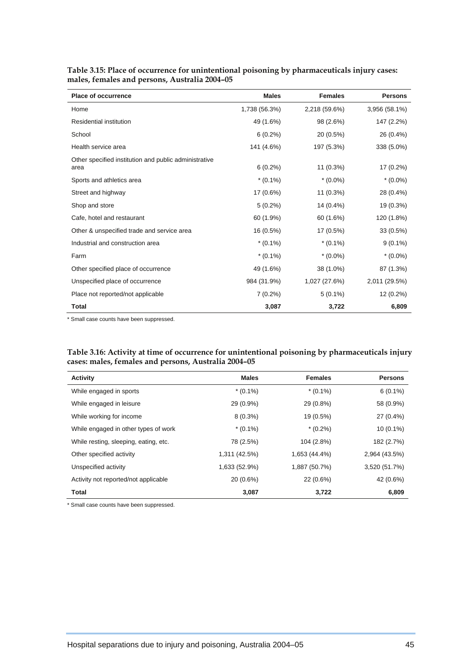| <b>Place of occurrence</b>                            | <b>Males</b>  | <b>Females</b> | <b>Persons</b> |
|-------------------------------------------------------|---------------|----------------|----------------|
| Home                                                  | 1,738 (56.3%) | 2,218 (59.6%)  | 3,956 (58.1%)  |
| <b>Residential institution</b>                        | 49 (1.6%)     | 98 (2.6%)      | 147 (2.2%)     |
| School                                                | $6(0.2\%)$    | 20 (0.5%)      | 26 (0.4%)      |
| Health service area                                   | 141 (4.6%)    | 197 (5.3%)     | 338 (5.0%)     |
| Other specified institution and public administrative |               |                |                |
| area                                                  | $6(0.2\%)$    | $11(0.3\%)$    | 17 (0.2%)      |
| Sports and athletics area                             | $*(0.1\%)$    | $*(0.0\%)$     | $*(0.0\%)$     |
| Street and highway                                    | 17 (0.6%)     | $11(0.3\%)$    | 28 (0.4%)      |
| Shop and store                                        | $5(0.2\%)$    | 14 (0.4%)      | 19 (0.3%)      |
| Cafe, hotel and restaurant                            | 60 (1.9%)     | 60 (1.6%)      | 120 (1.8%)     |
| Other & unspecified trade and service area            | 16 (0.5%)     | 17 (0.5%)      | $33(0.5\%)$    |
| Industrial and construction area                      | $*(0.1\%)$    | $*(0.1\%)$     | $9(0.1\%)$     |
| Farm                                                  | $*(0.1\%)$    | $*(0.0\%)$     | $*(0.0\%)$     |
| Other specified place of occurrence                   | 49 (1.6%)     | 38 (1.0%)      | 87 (1.3%)      |
| Unspecified place of occurrence                       | 984 (31.9%)   | 1,027 (27.6%)  | 2,011 (29.5%)  |
| Place not reported/not applicable                     | $7(0.2\%)$    | $5(0.1\%)$     | 12 (0.2%)      |
| Total                                                 | 3,087         | 3,722          | 6,809          |

**Table 3.15: Place of occurrence for unintentional poisoning by pharmaceuticals injury cases: males, females and persons, Australia 2004–05** 

\* Small case counts have been suppressed.

#### **Table 3.16: Activity at time of occurrence for unintentional poisoning by pharmaceuticals injury cases: males, females and persons, Australia 2004–05**

| <b>Activity</b>                       | <b>Males</b>  | <b>Females</b> | <b>Persons</b> |
|---------------------------------------|---------------|----------------|----------------|
| While engaged in sports               | $*(0.1\%)$    | $*(0.1\%)$     | $6(0.1\%)$     |
| While engaged in leisure              | 29 (0.9%)     | 29 (0.8%)      | 58 (0.9%)      |
| While working for income              | $8(0.3\%)$    | 19 (0.5%)      | 27 (0.4%)      |
| While engaged in other types of work  | $*(0.1\%)$    | $*(0.2\%)$     | $10(0.1\%)$    |
| While resting, sleeping, eating, etc. | 78 (2.5%)     | 104 (2.8%)     | 182 (2.7%)     |
| Other specified activity              | 1,311 (42.5%) | 1,653 (44.4%)  | 2,964 (43.5%)  |
| Unspecified activity                  | 1,633 (52.9%) | 1,887 (50.7%)  | 3,520 (51.7%)  |
| Activity not reported/not applicable  | 20 (0.6%)     | 22 (0.6%)      | 42 (0.6%)      |
| <b>Total</b>                          | 3,087         | 3.722          | 6,809          |

\* Small case counts have been suppressed.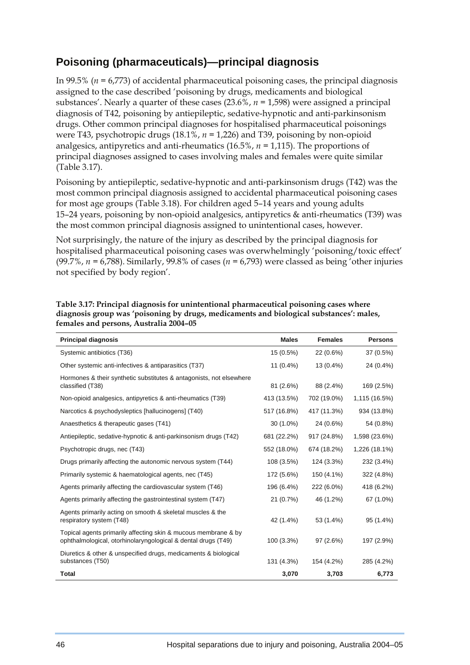# **Poisoning (pharmaceuticals)—principal diagnosis**

In 99.5% (*n =* 6,773) of accidental pharmaceutical poisoning cases, the principal diagnosis assigned to the case described 'poisoning by drugs, medicaments and biological substances'. Nearly a quarter of these cases (23.6%, *n =* 1,598) were assigned a principal diagnosis of T42, poisoning by antiepileptic, sedative-hypnotic and anti-parkinsonism drugs. Other common principal diagnoses for hospitalised pharmaceutical poisonings were T43, psychotropic drugs (18.1%, *n =* 1,226) and T39, poisoning by non-opioid analgesics, antipyretics and anti-rheumatics (16.5%, *n =* 1,115). The proportions of principal diagnoses assigned to cases involving males and females were quite similar (Table 3.17).

Poisoning by antiepileptic, sedative-hypnotic and anti-parkinsonism drugs (T42) was the most common principal diagnosis assigned to accidental pharmaceutical poisoning cases for most age groups (Table 3.18). For children aged 5–14 years and young adults 15–24 years, poisoning by non-opioid analgesics, antipyretics & anti-rheumatics (T39) was the most common principal diagnosis assigned to unintentional cases, however.

Not surprisingly, the nature of the injury as described by the principal diagnosis for hospitalised pharmaceutical poisoning cases was overwhelmingly 'poisoning/toxic effect' (99.7%, *n =* 6,788). Similarly, 99.8% of cases (*n =* 6,793) were classed as being 'other injuries not specified by body region'.

| <b>Principal diagnosis</b>                                                                                                      | <b>Males</b> | <b>Females</b> | <b>Persons</b> |
|---------------------------------------------------------------------------------------------------------------------------------|--------------|----------------|----------------|
| Systemic antibiotics (T36)                                                                                                      | 15 (0.5%)    | 22 (0.6%)      | 37 (0.5%)      |
| Other systemic anti-infectives & antiparasitics (T37)                                                                           | $11(0.4\%)$  | 13 (0.4%)      | 24 (0.4%)      |
| Hormones & their synthetic substitutes & antagonists, not elsewhere<br>classified (T38)                                         | 81 (2.6%)    | 88 (2.4%)      | 169 (2.5%)     |
| Non-opioid analgesics, antipyretics & anti-rheumatics (T39)                                                                     | 413 (13.5%)  | 702 (19.0%)    | 1,115 (16.5%)  |
| Narcotics & psychodysleptics [hallucinogens] (T40)                                                                              | 517 (16.8%)  | 417 (11.3%)    | 934 (13.8%)    |
| Anaesthetics & therapeutic gases (T41)                                                                                          | 30 (1.0%)    | 24 (0.6%)      | 54 (0.8%)      |
| Antiepileptic, sedative-hypnotic & anti-parkinsonism drugs (T42)                                                                | 681 (22.2%)  | 917 (24.8%)    | 1,598 (23.6%)  |
| Psychotropic drugs, nec (T43)                                                                                                   | 552 (18.0%)  | 674 (18.2%)    | 1,226 (18.1%)  |
| Drugs primarily affecting the autonomic nervous system (T44)                                                                    | 108 (3.5%)   | 124 (3.3%)     | 232 (3.4%)     |
| Primarily systemic & haematological agents, nec (T45)                                                                           | 172 (5.6%)   | 150 (4.1%)     | 322 (4.8%)     |
| Agents primarily affecting the cardiovascular system (T46)                                                                      | 196 (6.4%)   | 222 (6.0%)     | 418 (6.2%)     |
| Agents primarily affecting the gastrointestinal system (T47)                                                                    | 21 (0.7%)    | 46 (1.2%)      | 67 (1.0%)      |
| Agents primarily acting on smooth & skeletal muscles & the<br>respiratory system (T48)                                          | 42 (1.4%)    | 53 (1.4%)      | 95 (1.4%)      |
| Topical agents primarily affecting skin & mucous membrane & by<br>ophthalmological, otorhinolaryngological & dental drugs (T49) | 100 (3.3%)   | 97 (2.6%)      | 197 (2.9%)     |
| Diuretics & other & unspecified drugs, medicaments & biological<br>substances (T50)                                             | 131 (4.3%)   | 154 (4.2%)     | 285 (4.2%)     |
| <b>Total</b>                                                                                                                    | 3,070        | 3,703          | 6,773          |

**Table 3.17: Principal diagnosis for unintentional pharmaceutical poisoning cases where diagnosis group was 'poisoning by drugs, medicaments and biological substances': males, females and persons, Australia 2004–05**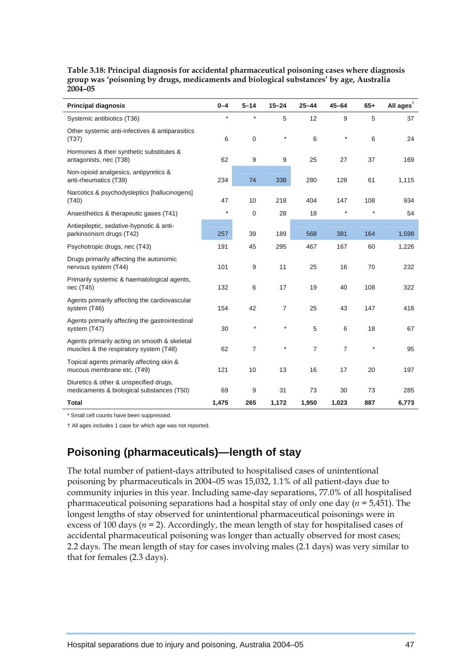| <b>Principal diagnosis</b>                                                             | $0 - 4$ | $5 - 14$       | $15 - 24$      | $25 - 44$ | $45 - 64$      | $65+$     | All ages <sup><math>†</math></sup> |
|----------------------------------------------------------------------------------------|---------|----------------|----------------|-----------|----------------|-----------|------------------------------------|
| Systemic antibiotics (T36)                                                             | $\star$ | $\star$        | 5              | 12        | 9              | 5         | 37                                 |
| Other systemic anti-infectives & antiparasitics<br>(T37)                               | 6       | 0              | $\star$        | 6         | $\star$        | 6         | 24                                 |
| Hormones & their synthetic substitutes &<br>antagonists, nec (T38)                     | 62      | 9              | 9              | 25        | 27             | 37        | 169                                |
| Non-opioid analgesics, antipyretics &<br>anti-rheumatics (T39)                         | 234     | 74             | 338            | 280       | 128            | 61        | 1,115                              |
| Narcotics & psychodysleptics [hallucinogens]<br>(T40)                                  | 47      | 10             | 218            | 404       | 147            | 108       | 934                                |
| Anaesthetics & therapeutic gases (T41)                                                 | $\star$ | 0              | 28             | 18        |                | $\star$   | 54                                 |
| Antiepileptic, sedative-hypnotic & anti-<br>parkinsonism drugs (T42)                   | 257     | 39             | 189            | 568       | 381            | 164       | 1,598                              |
| Psychotropic drugs, nec (T43)                                                          | 191     | 45             | 295            | 467       | 167            | 60        | 1,226                              |
| Drugs primarily affecting the autonomic<br>nervous system (T44)                        | 101     | 9              | 11             | 25        | 16             | 70        | 232                                |
| Primarily systemic & haematological agents,<br>nec (T45)                               | 132     | 6              | 17             | 19        | 40             | 108       | 322                                |
| Agents primarily affecting the cardiovascular<br>system (T46)                          | 154     | 42             | $\overline{7}$ | 25        | 43             | 147       | 418                                |
| Agents primarily affecting the gastrointestinal<br>system (T47)                        | 30      | $\star$        |                | 5         | 6              | 18        | 67                                 |
| Agents primarily acting on smooth & skeletal<br>muscles & the respiratory system (T48) | 62      | $\overline{7}$ |                | 7         | $\overline{7}$ | $^{\ast}$ | 95                                 |
| Topical agents primarily affecting skin &<br>mucous membrane etc. (T49)                | 121     | 10             | 13             | 16        | 17             | 20        | 197                                |
| Diuretics & other & unspecified drugs,<br>medicaments & biological substances (T50)    | 69      | 9              | 31             | 73        | 30             | 73        | 285                                |
| <b>Total</b>                                                                           | 1,475   | 265            | 1,172          | 1,950     | 1,023          | 887       | 6,773                              |

**Table 3.18: Principal diagnosis for accidental pharmaceutical poisoning cases where diagnosis group was 'poisoning by drugs, medicaments and biological substances' by age, Australia 2004–05** 

\* Small cell counts have been suppressed.

† All ages includes 1 case for which age was not reported.

# **Poisoning (pharmaceuticals)—length of stay**

The total number of patient-days attributed to hospitalised cases of unintentional poisoning by pharmaceuticals in 2004–05 was 15,032, 1.1% of all patient-days due to community injuries in this year. Including same-day separations, 77.0% of all hospitalised pharmaceutical poisoning separations had a hospital stay of only one day (*n =* 5,451). The longest lengths of stay observed for unintentional pharmaceutical poisonings were in excess of 100 days ( $n = 2$ ). Accordingly, the mean length of stay for hospitalised cases of accidental pharmaceutical poisoning was longer than actually observed for most cases; 2.2 days. The mean length of stay for cases involving males (2.1 days) was very similar to that for females (2.3 days).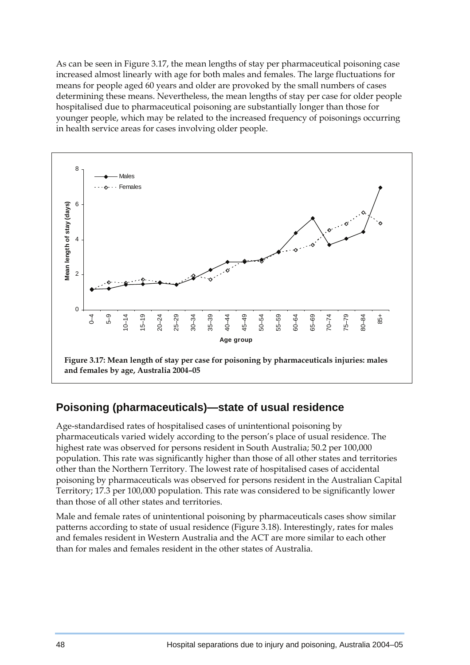As can be seen in Figure 3.17, the mean lengths of stay per pharmaceutical poisoning case increased almost linearly with age for both males and females. The large fluctuations for means for people aged 60 years and older are provoked by the small numbers of cases determining these means. Nevertheless, the mean lengths of stay per case for older people hospitalised due to pharmaceutical poisoning are substantially longer than those for younger people, which may be related to the increased frequency of poisonings occurring in health service areas for cases involving older people.



## **Poisoning (pharmaceuticals)—state of usual residence**

Age-standardised rates of hospitalised cases of unintentional poisoning by pharmaceuticals varied widely according to the person's place of usual residence. The highest rate was observed for persons resident in South Australia; 50.2 per 100,000 population. This rate was significantly higher than those of all other states and territories other than the Northern Territory. The lowest rate of hospitalised cases of accidental poisoning by pharmaceuticals was observed for persons resident in the Australian Capital Territory; 17.3 per 100,000 population. This rate was considered to be significantly lower than those of all other states and territories.

Male and female rates of unintentional poisoning by pharmaceuticals cases show similar patterns according to state of usual residence (Figure 3.18). Interestingly, rates for males and females resident in Western Australia and the ACT are more similar to each other than for males and females resident in the other states of Australia.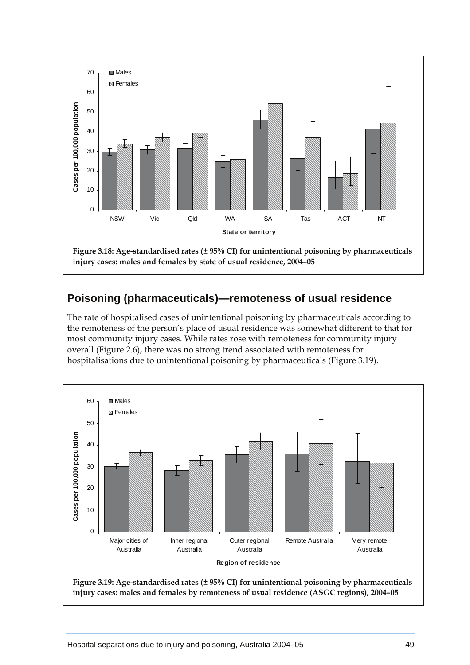

# **Poisoning (pharmaceuticals)—remoteness of usual residence**

The rate of hospitalised cases of unintentional poisoning by pharmaceuticals according to the remoteness of the person's place of usual residence was somewhat different to that for most community injury cases. While rates rose with remoteness for community injury overall (Figure 2.6), there was no strong trend associated with remoteness for hospitalisations due to unintentional poisoning by pharmaceuticals (Figure 3.19).

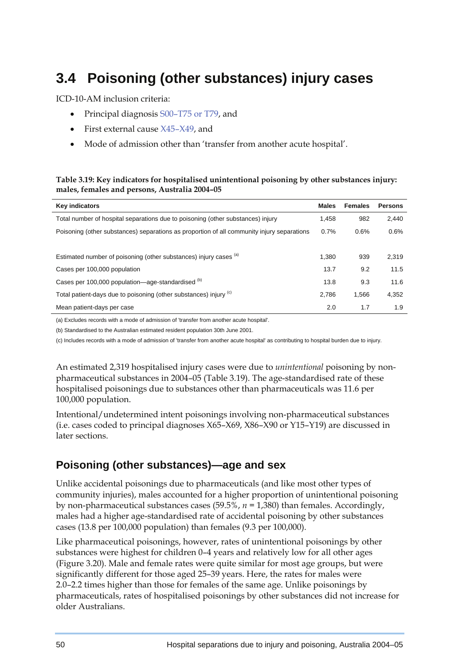# **3.4 Poisoning (other substances) injury cases**

ICD-10-AM inclusion criteria:

- Principal diagnosis S00–T75 or T79, and
- First external cause X45–X49, and
- Mode of admission other than 'transfer from another acute hospital'.

#### **Table 3.19: Key indicators for hospitalised unintentional poisoning by other substances injury: males, females and persons, Australia 2004–05**

| <b>Key indicators</b>                                                                      | <b>Males</b> | <b>Females</b> | <b>Persons</b> |
|--------------------------------------------------------------------------------------------|--------------|----------------|----------------|
| Total number of hospital separations due to poisoning (other substances) injury            | 1,458        | 982            | 2,440          |
| Poisoning (other substances) separations as proportion of all community injury separations | 0.7%         | 0.6%           | 0.6%           |
|                                                                                            |              |                |                |
| Estimated number of poisoning (other substances) injury cases (a)                          | 1.380        | 939            | 2,319          |
| Cases per 100,000 population                                                               | 13.7         | 9.2            | 11.5           |
| Cases per 100,000 population—age-standardised (b)                                          | 13.8         | 9.3            | 11.6           |
| Total patient-days due to poisoning (other substances) injury (c)                          | 2.786        | 1.566          | 4,352          |
| Mean patient-days per case                                                                 | 2.0          | 1.7            | 1.9            |

(a) Excludes records with a mode of admission of 'transfer from another acute hospital'.

(b) Standardised to the Australian estimated resident population 30th June 2001.

(c) Includes records with a mode of admission of 'transfer from another acute hospital' as contributing to hospital burden due to injury.

An estimated 2,319 hospitalised injury cases were due to *unintentional* poisoning by nonpharmaceutical substances in 2004–05 (Table 3.19). The age-standardised rate of these hospitalised poisonings due to substances other than pharmaceuticals was 11.6 per 100,000 population.

Intentional/undetermined intent poisonings involving non-pharmaceutical substances (i.e. cases coded to principal diagnoses X65–X69, X86–X90 or Y15–Y19) are discussed in later sections.

## **Poisoning (other substances)—age and sex**

Unlike accidental poisonings due to pharmaceuticals (and like most other types of community injuries), males accounted for a higher proportion of unintentional poisoning by non-pharmaceutical substances cases (59.5%, *n =* 1,380) than females. Accordingly, males had a higher age-standardised rate of accidental poisoning by other substances cases (13.8 per 100,000 population) than females (9.3 per 100,000).

Like pharmaceutical poisonings, however, rates of unintentional poisonings by other substances were highest for children 0–4 years and relatively low for all other ages (Figure 3.20). Male and female rates were quite similar for most age groups, but were significantly different for those aged 25–39 years. Here, the rates for males were 2.0–2.2 times higher than those for females of the same age. Unlike poisonings by pharmaceuticals, rates of hospitalised poisonings by other substances did not increase for older Australians.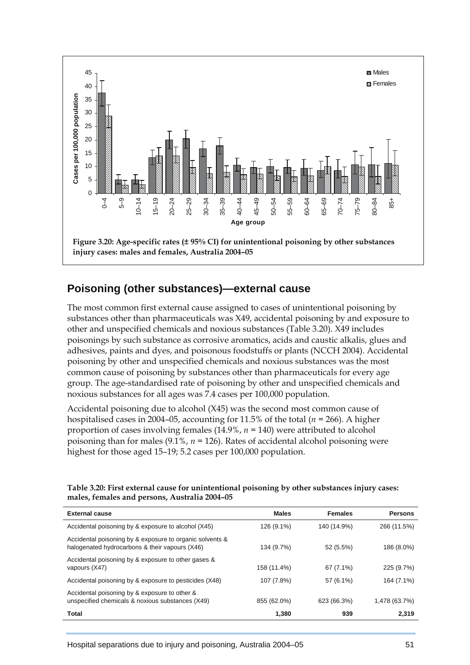

## **Poisoning (other substances)—external cause**

The most common first external cause assigned to cases of unintentional poisoning by substances other than pharmaceuticals was X49, accidental poisoning by and exposure to other and unspecified chemicals and noxious substances (Table 3.20). X49 includes poisonings by such substance as corrosive aromatics, acids and caustic alkalis, glues and adhesives, paints and dyes, and poisonous foodstuffs or plants (NCCH 2004). Accidental poisoning by other and unspecified chemicals and noxious substances was the most common cause of poisoning by substances other than pharmaceuticals for every age group. The age-standardised rate of poisoning by other and unspecified chemicals and noxious substances for all ages was 7.4 cases per 100,000 population.

Accidental poisoning due to alcohol (X45) was the second most common cause of hospitalised cases in 2004–05, accounting for 11.5% of the total (*n =* 266). A higher proportion of cases involving females (14.9%, *n =* 140) were attributed to alcohol poisoning than for males (9.1%, *n =* 126). Rates of accidental alcohol poisoning were highest for those aged 15–19; 5.2 cases per 100,000 population.

**Table 3.20: First external cause for unintentional poisoning by other substances injury cases: males, females and persons, Australia 2004–05** 

| <b>External cause</b>                                                                                      | <b>Males</b> | <b>Females</b> | <b>Persons</b> |
|------------------------------------------------------------------------------------------------------------|--------------|----------------|----------------|
| Accidental poisoning by & exposure to alcohol (X45)                                                        | 126 (9.1%)   | 140 (14.9%)    | 266 (11.5%)    |
| Accidental poisoning by & exposure to organic solvents &<br>halogenated hydrocarbons & their vapours (X46) | 134 (9.7%)   | 52 (5.5%)      | 186 (8.0%)     |
| Accidental poisoning by & exposure to other gases &<br>vapours (X47)                                       | 158 (11.4%)  | $67(7.1\%)$    | 225 (9.7%)     |
| Accidental poisoning by & exposure to pesticides (X48)                                                     | 107 (7.8%)   | 57 (6.1%)      | 164 (7.1%)     |
| Accidental poisoning by & exposure to other &<br>unspecified chemicals & noxious substances (X49)          | 855 (62.0%)  | 623 (66.3%)    | 1,478 (63.7%)  |
| <b>Total</b>                                                                                               | 1,380        | 939            | 2,319          |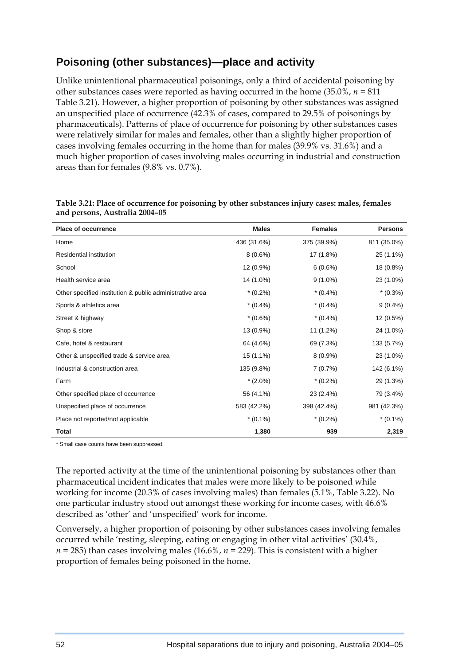# **Poisoning (other substances)—place and activity**

Unlike unintentional pharmaceutical poisonings, only a third of accidental poisoning by other substances cases were reported as having occurred in the home (35.0%, *n =* 811 Table 3.21). However, a higher proportion of poisoning by other substances was assigned an unspecified place of occurrence (42.3% of cases, compared to 29.5% of poisonings by pharmaceuticals). Patterns of place of occurrence for poisoning by other substances cases were relatively similar for males and females, other than a slightly higher proportion of cases involving females occurring in the home than for males (39.9% vs. 31.6%) and a much higher proportion of cases involving males occurring in industrial and construction areas than for females (9.8% vs. 0.7%).

| <b>Place of occurrence</b>                               | <b>Males</b> | <b>Females</b> | <b>Persons</b> |
|----------------------------------------------------------|--------------|----------------|----------------|
| Home                                                     | 436 (31.6%)  | 375 (39.9%)    | 811 (35.0%)    |
| Residential institution                                  | $8(0.6\%)$   | 17 (1.8%)      | 25 (1.1%)      |
| School                                                   | 12 (0.9%)    | 6(0.6%)        | 18 (0.8%)      |
| Health service area                                      | 14 (1.0%)    | $9(1.0\%)$     | 23 (1.0%)      |
| Other specified institution & public administrative area | $*(0.2\%)$   | $*(0.4\%)$     | $*(0.3\%)$     |
| Sports & athletics area                                  | $*(0.4\%)$   | $*(0.4\%)$     | $9(0.4\%)$     |
| Street & highway                                         | $*(0.6\%)$   | $*(0.4\%)$     | 12 (0.5%)      |
| Shop & store                                             | 13 (0.9%)    | 11 (1.2%)      | 24 (1.0%)      |
| Cafe, hotel & restaurant                                 | 64 (4.6%)    | 69 (7.3%)      | 133 (5.7%)     |
| Other & unspecified trade & service area                 | 15 (1.1%)    | $8(0.9\%)$     | 23 (1.0%)      |
| Industrial & construction area                           | 135 (9.8%)   | 7(0.7%)        | 142 (6.1%)     |
| Farm                                                     | $*(2.0\%)$   | $*(0.2\%)$     | 29 (1.3%)      |
| Other specified place of occurrence                      | 56 (4.1%)    | 23 (2.4%)      | 79 (3.4%)      |
| Unspecified place of occurrence                          | 583 (42.2%)  | 398 (42.4%)    | 981 (42.3%)    |
| Place not reported/not applicable                        | $*(0.1\%)$   | $*(0.2\%)$     | $*(0.1\%)$     |
| <b>Total</b>                                             | 1,380        | 939            | 2,319          |

| Table 3.21: Place of occurrence for poisoning by other substances injury cases: males, females |  |
|------------------------------------------------------------------------------------------------|--|
| and persons, Australia 2004–05                                                                 |  |

\* Small case counts have been suppressed.

The reported activity at the time of the unintentional poisoning by substances other than pharmaceutical incident indicates that males were more likely to be poisoned while working for income (20.3% of cases involving males) than females (5.1%, Table 3.22). No one particular industry stood out amongst these working for income cases, with 46.6% described as 'other' and 'unspecified' work for income.

Conversely, a higher proportion of poisoning by other substances cases involving females occurred while 'resting, sleeping, eating or engaging in other vital activities' (30.4%,  $n = 285$ ) than cases involving males (16.6%,  $n = 229$ ). This is consistent with a higher proportion of females being poisoned in the home.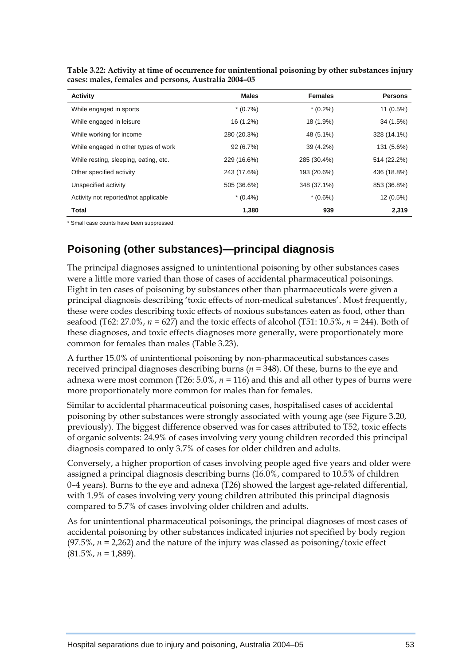| <b>Activity</b>                       | <b>Males</b> | <b>Females</b> | <b>Persons</b> |
|---------------------------------------|--------------|----------------|----------------|
| While engaged in sports               | $*(0.7\%)$   | $*(0.2\%)$     | 11 (0.5%)      |
| While engaged in leisure              | 16 (1.2%)    | 18 (1.9%)      | 34 (1.5%)      |
| While working for income              | 280 (20.3%)  | 48 (5.1%)      | 328 (14.1%)    |
| While engaged in other types of work  | 92(6.7%)     | 39 (4.2%)      | 131 (5.6%)     |
| While resting, sleeping, eating, etc. | 229 (16.6%)  | 285 (30.4%)    | 514 (22.2%)    |
| Other specified activity              | 243 (17.6%)  | 193 (20.6%)    | 436 (18.8%)    |
| Unspecified activity                  | 505 (36.6%)  | 348 (37.1%)    | 853 (36.8%)    |
| Activity not reported/not applicable  | $*(0.4\%)$   | $*(0.6\%)$     | 12 (0.5%)      |
| <b>Total</b>                          | 1,380        | 939            | 2,319          |

**Table 3.22: Activity at time of occurrence for unintentional poisoning by other substances injury cases: males, females and persons, Australia 2004–05** 

\* Small case counts have been suppressed.

# **Poisoning (other substances)—principal diagnosis**

The principal diagnoses assigned to unintentional poisoning by other substances cases were a little more varied than those of cases of accidental pharmaceutical poisonings. Eight in ten cases of poisoning by substances other than pharmaceuticals were given a principal diagnosis describing 'toxic effects of non-medical substances'. Most frequently, these were codes describing toxic effects of noxious substances eaten as food, other than seafood (T62: 27.0%, *n =* 627) and the toxic effects of alcohol (T51: 10.5%, *n =* 244). Both of these diagnoses, and toxic effects diagnoses more generally, were proportionately more common for females than males (Table 3.23).

A further 15.0% of unintentional poisoning by non-pharmaceutical substances cases received principal diagnoses describing burns (*n =* 348). Of these, burns to the eye and adnexa were most common (T26: 5.0%, *n =* 116) and this and all other types of burns were more proportionately more common for males than for females.

Similar to accidental pharmaceutical poisoning cases, hospitalised cases of accidental poisoning by other substances were strongly associated with young age (see Figure 3.20, previously). The biggest difference observed was for cases attributed to T52, toxic effects of organic solvents: 24.9% of cases involving very young children recorded this principal diagnosis compared to only 3.7% of cases for older children and adults.

Conversely, a higher proportion of cases involving people aged five years and older were assigned a principal diagnosis describing burns (16.0%, compared to 10.5% of children 0–4 years). Burns to the eye and adnexa (T26) showed the largest age-related differential, with 1.9% of cases involving very young children attributed this principal diagnosis compared to 5.7% of cases involving older children and adults.

As for unintentional pharmaceutical poisonings, the principal diagnoses of most cases of accidental poisoning by other substances indicated injuries not specified by body region (97.5%,  $n = 2,262$ ) and the nature of the injury was classed as poisoning/toxic effect (81.5%, *n =* 1,889).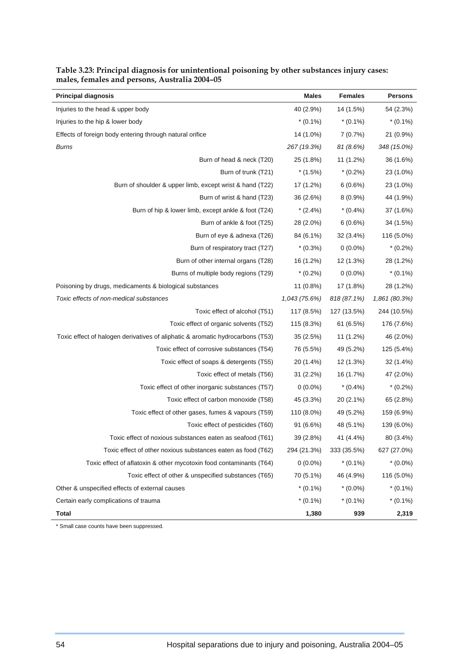| <b>Principal diagnosis</b>                                                     | <b>Males</b>  | <b>Females</b> | <b>Persons</b> |
|--------------------------------------------------------------------------------|---------------|----------------|----------------|
| Injuries to the head & upper body                                              | 40 (2.9%)     | 14 (1.5%)      | 54 (2.3%)      |
| Injuries to the hip & lower body                                               | $*(0.1\%)$    | $*(0.1\%)$     | $*(0.1\%)$     |
| Effects of foreign body entering through natural orifice                       | 14 (1.0%)     | 7(0.7%)        | 21 (0.9%)      |
| <b>Burns</b>                                                                   | 267 (19.3%)   | 81(8.6%)       | 348 (15.0%)    |
| Burn of head & neck (T20)                                                      | 25 (1.8%)     | 11 (1.2%)      | 36 (1.6%)      |
| Burn of trunk (T21)                                                            | $*(1.5\%)$    | $*(0.2\%)$     | 23 (1.0%)      |
| Burn of shoulder & upper limb, except wrist & hand (T22)                       | 17 (1.2%)     | 6(0.6%)        | 23 (1.0%)      |
| Burn of wrist & hand (T23)                                                     | 36 (2.6%)     | $8(0.9\%)$     | 44 (1.9%)      |
| Burn of hip & lower limb, except ankle & foot (T24)                            | $*(2.4\%)$    | $*(0.4\%)$     | 37 (1.6%)      |
| Burn of ankle & foot (T25)                                                     | 28 (2.0%)     | 6(0.6%)        | 34 (1.5%)      |
| Burn of eye & adnexa (T26)                                                     | 84 (6.1%)     | 32 (3.4%)      | 116 (5.0%)     |
| Burn of respiratory tract (T27)                                                | $*(0.3\%)$    | $0(0.0\%)$     | $*(0.2\%)$     |
| Burn of other internal organs (T28)                                            | 16 (1.2%)     | 12 (1.3%)      | 28 (1.2%)      |
| Burns of multiple body regions (T29)                                           | $*(0.2\%)$    | $0(0.0\%)$     | $*(0.1\%)$     |
| Poisoning by drugs, medicaments & biological substances                        | 11 (0.8%)     | 17 (1.8%)      | 28 (1.2%)      |
| Toxic effects of non-medical substances                                        | 1,043 (75.6%) | 818 (87.1%)    | 1,861 (80.3%)  |
| Toxic effect of alcohol (T51)                                                  | 117 (8.5%)    | 127 (13.5%)    | 244 (10.5%)    |
| Toxic effect of organic solvents (T52)                                         | 115 (8.3%)    | 61 (6.5%)      | 176 (7.6%)     |
| Toxic effect of halogen derivatives of aliphatic & aromatic hydrocarbons (T53) | 35(2.5%)      | 11 (1.2%)      | 46 (2.0%)      |
| Toxic effect of corrosive substances (T54)                                     | 76 (5.5%)     | 49 (5.2%)      | 125 (5.4%)     |
| Toxic effect of soaps & detergents (T55)                                       | 20 (1.4%)     | 12 (1.3%)      | 32 (1.4%)      |
| Toxic effect of metals (T56)                                                   | $31(2.2\%)$   | 16 (1.7%)      | 47 (2.0%)      |
| Toxic effect of other inorganic substances (T57)                               | $0(0.0\%)$    | $*(0.4\%)$     | $*(0.2\%)$     |
| Toxic effect of carbon monoxide (T58)                                          | 45 (3.3%)     | 20 (2.1%)      | 65 (2.8%)      |
| Toxic effect of other gases, fumes & vapours (T59)                             | 110 (8.0%)    | 49 (5.2%)      | 159 (6.9%)     |
| Toxic effect of pesticides (T60)                                               | $91(6.6\%)$   | 48 (5.1%)      | 139 (6.0%)     |
| Toxic effect of noxious substances eaten as seafood (T61)                      | 39 (2.8%)     | 41 (4.4%)      | 80 (3.4%)      |
| Toxic effect of other noxious substances eaten as food (T62)                   | 294 (21.3%)   | 333 (35.5%)    | 627 (27.0%)    |
| Toxic effect of aflatoxin & other mycotoxin food contaminants (T64)            | $0(0.0\%)$    | $*(0.1\%)$     | $*(0.0\%)$     |
| Toxic effect of other & unspecified substances (T65)                           | 70 (5.1%)     | 46 (4.9%)      | 116 (5.0%)     |
| Other & unspecified effects of external causes                                 | $*(0.1\%)$    | $*(0.0\%)$     | $*(0.1\%)$     |
| Certain early complications of trauma                                          | $*(0.1\%)$    | $*(0.1\%)$     | $*(0.1\%)$     |
| Total                                                                          | 1,380         | 939            | 2,319          |

#### **Table 3.23: Principal diagnosis for unintentional poisoning by other substances injury cases: males, females and persons, Australia 2004–05**

\* Small case counts have been suppressed.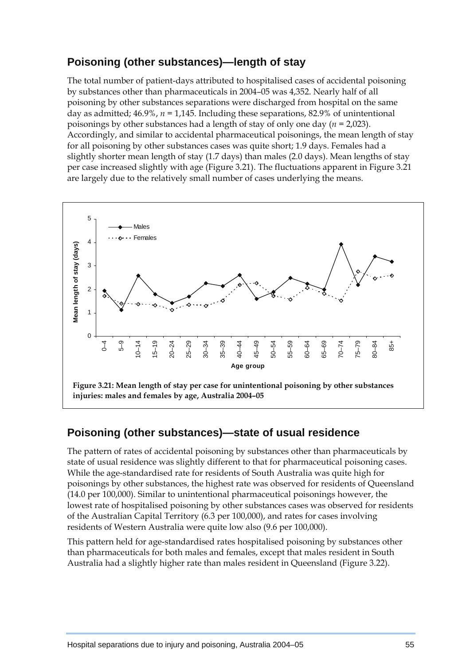# **Poisoning (other substances)—length of stay**

The total number of patient-days attributed to hospitalised cases of accidental poisoning by substances other than pharmaceuticals in 2004–05 was 4,352. Nearly half of all poisoning by other substances separations were discharged from hospital on the same day as admitted; 46.9%, *n =* 1,145. Including these separations, 82.9% of unintentional poisonings by other substances had a length of stay of only one day (*n =* 2,023). Accordingly, and similar to accidental pharmaceutical poisonings, the mean length of stay for all poisoning by other substances cases was quite short; 1.9 days. Females had a slightly shorter mean length of stay (1.7 days) than males (2.0 days). Mean lengths of stay per case increased slightly with age (Figure 3.21). The fluctuations apparent in Figure 3.21 are largely due to the relatively small number of cases underlying the means.



### **Poisoning (other substances)—state of usual residence**

The pattern of rates of accidental poisoning by substances other than pharmaceuticals by state of usual residence was slightly different to that for pharmaceutical poisoning cases. While the age-standardised rate for residents of South Australia was quite high for poisonings by other substances, the highest rate was observed for residents of Queensland (14.0 per 100,000). Similar to unintentional pharmaceutical poisonings however, the lowest rate of hospitalised poisoning by other substances cases was observed for residents of the Australian Capital Territory (6.3 per 100,000), and rates for cases involving residents of Western Australia were quite low also (9.6 per 100,000).

This pattern held for age-standardised rates hospitalised poisoning by substances other than pharmaceuticals for both males and females, except that males resident in South Australia had a slightly higher rate than males resident in Queensland (Figure 3.22).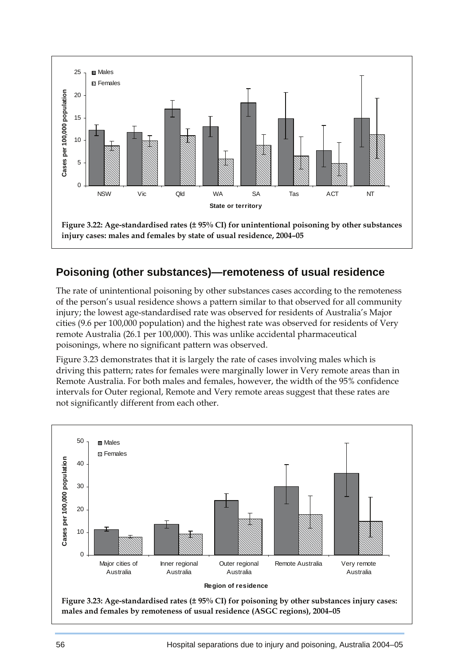

# **Poisoning (other substances)—remoteness of usual residence**

The rate of unintentional poisoning by other substances cases according to the remoteness of the person's usual residence shows a pattern similar to that observed for all community injury; the lowest age-standardised rate was observed for residents of Australia's Major cities (9.6 per 100,000 population) and the highest rate was observed for residents of Very remote Australia (26.1 per 100,000). This was unlike accidental pharmaceutical poisonings, where no significant pattern was observed.

Figure 3.23 demonstrates that it is largely the rate of cases involving males which is driving this pattern; rates for females were marginally lower in Very remote areas than in Remote Australia. For both males and females, however, the width of the 95% confidence intervals for Outer regional, Remote and Very remote areas suggest that these rates are not significantly different from each other.

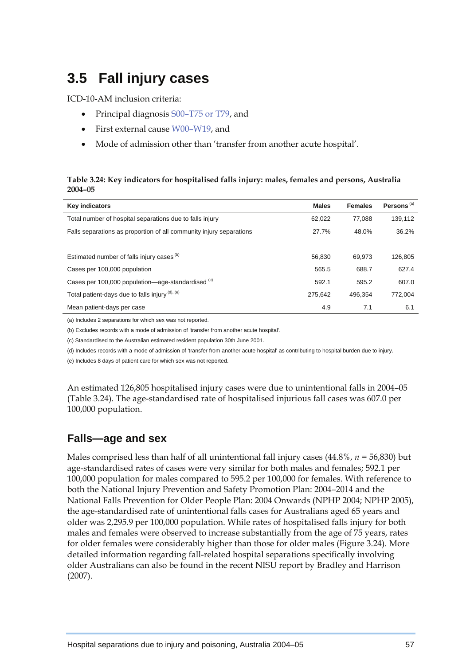# **3.5 Fall injury cases**

ICD-10-AM inclusion criteria:

- Principal diagnosis S00–T75 or T79, and
- First external cause W00–W19, and
- Mode of admission other than 'transfer from another acute hospital'.

#### **Table 3.24: Key indicators for hospitalised falls injury: males, females and persons, Australia 2004–05**

| <b>Key indicators</b>                                               | <b>Males</b> | <b>Females</b> | Persons <sup>(a)</sup> |
|---------------------------------------------------------------------|--------------|----------------|------------------------|
| Total number of hospital separations due to falls injury            | 62,022       | 77.088         | 139,112                |
| Falls separations as proportion of all community injury separations | 27.7%        | 48.0%          | 36.2%                  |
|                                                                     |              |                |                        |
| Estimated number of falls injury cases <sup>(b)</sup>               | 56.830       | 69.973         | 126.805                |
| Cases per 100,000 population                                        | 565.5        | 688.7          | 627.4                  |
| Cases per 100,000 population—age-standardised (c)                   | 592.1        | 595.2          | 607.0                  |
| Total patient-days due to falls injury (d), (e)                     | 275.642      | 496.354        | 772.004                |
| Mean patient-days per case                                          | 4.9          | 7.1            | 6.1                    |

(a) Includes 2 separations for which sex was not reported.

(b) Excludes records with a mode of admission of 'transfer from another acute hospital'.

(c) Standardised to the Australian estimated resident population 30th June 2001.

(d) Includes records with a mode of admission of 'transfer from another acute hospital' as contributing to hospital burden due to injury.

(e) Includes 8 days of patient care for which sex was not reported.

An estimated 126,805 hospitalised injury cases were due to unintentional falls in 2004–05 (Table 3.24). The age-standardised rate of hospitalised injurious fall cases was 607.0 per 100,000 population.

### **Falls—age and sex**

Males comprised less than half of all unintentional fall injury cases (44.8%, *n =* 56,830) but age-standardised rates of cases were very similar for both males and females; 592.1 per 100,000 population for males compared to 595.2 per 100,000 for females. With reference to both the National Injury Prevention and Safety Promotion Plan: 2004–2014 and the National Falls Prevention for Older People Plan: 2004 Onwards (NPHP 2004; NPHP 2005), the age-standardised rate of unintentional falls cases for Australians aged 65 years and older was 2,295.9 per 100,000 population. While rates of hospitalised falls injury for both males and females were observed to increase substantially from the age of 75 years, rates for older females were considerably higher than those for older males (Figure 3.24). More detailed information regarding fall-related hospital separations specifically involving older Australians can also be found in the recent NISU report by Bradley and Harrison (2007).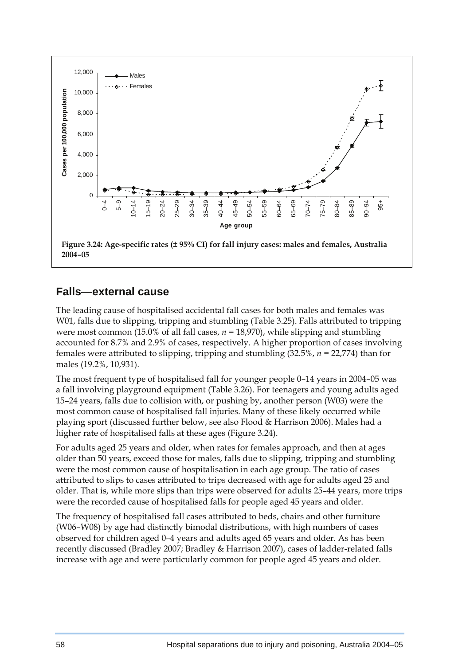

### **Falls—external cause**

The leading cause of hospitalised accidental fall cases for both males and females was W01, falls due to slipping, tripping and stumbling (Table 3.25). Falls attributed to tripping were most common (15.0% of all fall cases, *n =* 18,970), while slipping and stumbling accounted for 8.7% and 2.9% of cases, respectively. A higher proportion of cases involving females were attributed to slipping, tripping and stumbling (32.5%, *n =* 22,774) than for males (19.2%, 10,931).

The most frequent type of hospitalised fall for younger people 0–14 years in 2004–05 was a fall involving playground equipment (Table 3.26). For teenagers and young adults aged 15–24 years, falls due to collision with, or pushing by, another person (W03) were the most common cause of hospitalised fall injuries. Many of these likely occurred while playing sport (discussed further below, see also Flood & Harrison 2006). Males had a higher rate of hospitalised falls at these ages (Figure 3.24).

For adults aged 25 years and older, when rates for females approach, and then at ages older than 50 years, exceed those for males, falls due to slipping, tripping and stumbling were the most common cause of hospitalisation in each age group. The ratio of cases attributed to slips to cases attributed to trips decreased with age for adults aged 25 and older. That is, while more slips than trips were observed for adults 25–44 years, more trips were the recorded cause of hospitalised falls for people aged 45 years and older.

The frequency of hospitalised fall cases attributed to beds, chairs and other furniture (W06–W08) by age had distinctly bimodal distributions, with high numbers of cases observed for children aged 0–4 years and adults aged 65 years and older. As has been recently discussed (Bradley 2007; Bradley & Harrison 2007), cases of ladder-related falls increase with age and were particularly common for people aged 45 years and older.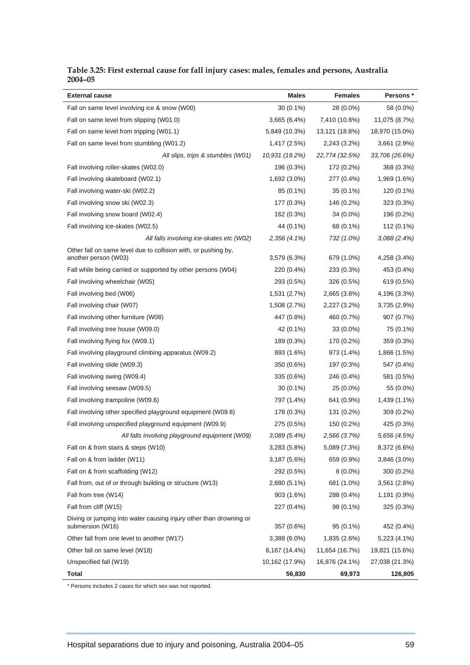| <b>External cause</b>                                                                  | Males          | <b>Females</b> | Persons *      |
|----------------------------------------------------------------------------------------|----------------|----------------|----------------|
| Fall on same level involving ice & snow (W00)                                          | $30(0.1\%)$    | 28 (0.0%)      | 58 (0.0%)      |
| Fall on same level from slipping (W01.0)                                               | 3,665 (6.4%)   | 7,410 (10.6%)  | 11,075 (8.7%)  |
| Fall on same level from tripping (W01.1)                                               | 5,849 (10.3%)  | 13,121 (18.8%) | 18,970 (15.0%) |
| Fall on same level from stumbling (W01.2)                                              | 1,417 (2.5%)   | 2,243 (3.2%)   | 3,661 (2.9%)   |
| All slips, trips & stumbles (W01)                                                      | 10,931 (19.2%) | 22,774 (32.5%) | 33,706 (26.6%) |
| Fall involving roller-skates (W02.0)                                                   | 196 (0.3%)     | 172 (0.2%)     | 368 (0.3%)     |
| Fall involving skateboard (W02.1)                                                      | 1,692 (3.0%)   | 277 (0.4%)     | 1,969 (1.6%)   |
| Fall involving water-ski (W02.2)                                                       | 85 (0.1%)      | $35(0.1\%)$    | 120 (0.1%)     |
| Fall involving snow ski (W02.3)                                                        | 177 (0.3%)     | 146 (0.2%)     | 323 (0.3%)     |
| Fall involving snow board (W02.4)                                                      | 162 (0.3%)     | 34 (0.0%)      | 196 (0.2%)     |
| Fall involving ice-skates (W02.5)                                                      | 44 (0.1%)      | 68 (0.1%)      | 112 (0.1%)     |
| All falls involving ice-skates etc (W02)                                               | 2,356 (4.1%)   | 732 (1.0%)     | 3,088(2.4%)    |
| Other fall on same level due to collision with, or pushing by,<br>another person (W03) | 3,579 (6.3%)   | 679 (1.0%)     | 4,258 (3.4%)   |
| Fall while being carried or supported by other persons (W04)                           | 220 (0.4%)     | 233 (0.3%)     | 453 (0.4%)     |
| Fall involving wheelchair (W05)                                                        | 293 (0.5%)     | 326 (0.5%)     | 619 (0.5%)     |
| Fall involving bed (W06)                                                               | 1,531 (2.7%)   | 2,665 (3.8%)   | 4,196 (3.3%)   |
| Fall involving chair (W07)                                                             | 1,508 (2.7%)   | 2,227 (3.2%)   | 3,735 (2.9%)   |
| Fall involving other furniture (W08)                                                   | 447 (0.8%)     | 460 (0.7%)     | 907 (0.7%)     |
| Fall involving tree house (W09.0)                                                      | 42 (0.1%)      | 33 (0.0%)      | 75 (0.1%)      |
| Fall involving flying fox (W09.1)                                                      | 189 (0.3%)     | 170 (0.2%)     | 359 (0.3%)     |
| Fall involving playground climbing apparatus (W09.2)                                   | 893 (1.6%)     | 973 (1.4%)     | 1,866 (1.5%)   |
| Fall involving slide (W09.3)                                                           | 350 (0.6%)     | 197 (0.3%)     | 547 (0.4%)     |
| Fall involving swing (W09.4)                                                           | 335 (0.6%)     | 246 (0.4%)     | 581 (0.5%)     |
| Fall involving seesaw (W09.5)                                                          | $30(0.1\%)$    | 25 (0.0%)      | 55 (0.0%)      |
| Fall involving trampoline (W09.6)                                                      | 797 (1.4%)     | 641 (0.9%)     | 1,439 (1.1%)   |
| Fall involving other specified playground equipment (W09.8)                            | 178 (0.3%)     | 131 (0.2%)     | 309 (0.2%)     |
| Fall involving unspecified playground equipment (W09.9)                                | 275 (0.5%)     | 150 (0.2%)     | 425 (0.3%)     |
| All falls involving playground equipment (W09)                                         | $3,089(5.4\%)$ | 2,566 (3.7%)   | 5,656 (4.5%)   |
| Fall on & from stairs & steps (W10)                                                    | 3,283 (5.8%)   | 5,089 (7.3%)   | 8,372 (6.6%)   |
| Fall on & from ladder (W11)                                                            | 3,187 (5.6%)   | 659 (0.9%)     | 3,846 (3.0%)   |
| Fall on & from scaffolding (W12)                                                       | 292 (0.5%)     | $8(0.0\%)$     | 300 (0.2%)     |
| Fall from, out of or through building or structure (W13)                               | 2,880 (5.1%)   | 681 (1.0%)     | 3,561 (2.8%)   |
| Fall from tree (W14)                                                                   | 903 (1.6%)     | 288 (0.4%)     | 1,191 (0.9%)   |
| Fall from cliff (W15)                                                                  | 227 (0.4%)     | 98 (0.1%)      | 325 (0.3%)     |
| Diving or jumping into water causing injury other than drowning or<br>submersion (W16) | 357 (0.6%)     | 95 (0.1%)      | 452 (0.4%)     |
| Other fall from one level to another (W17)                                             | 3,388 (6.0%)   | 1,835 (2.6%)   | 5,223 (4.1%)   |
| Other fall on same level (W18)                                                         | 8,167 (14.4%)  | 11,654 (16.7%) | 19,821 (15.6%) |
| Unspecified fall (W19)                                                                 | 10,162 (17.9%) | 16,876 (24.1%) | 27,038 (21.3%) |
| Total                                                                                  | 56,830         | 69,973         | 126,805        |

#### **Table 3.25: First external cause for fall injury cases: males, females and persons, Australia 2004–05**

\* Persons includes 2 cases for which sex was not reported.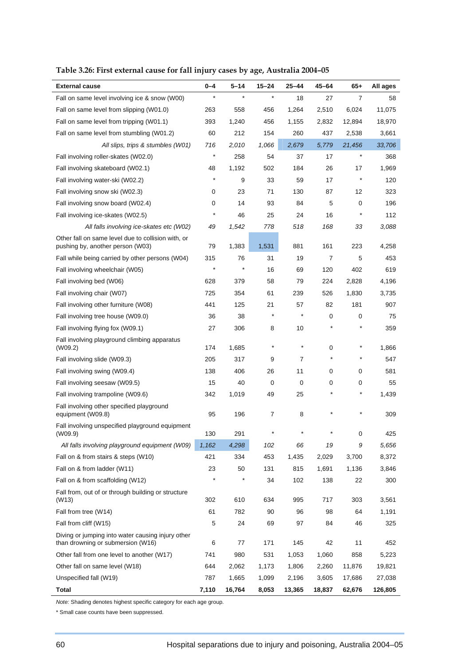| <b>External cause</b>                                                                  | 0-4        | $5 - 14$ | 15-24      | 25-44   | 45-64   | 65+      | All ages |
|----------------------------------------------------------------------------------------|------------|----------|------------|---------|---------|----------|----------|
| Fall on same level involving ice & snow (W00)                                          | $\star$    | $\star$  | $\star$    | 18      | 27      | 7        | 58       |
| Fall on same level from slipping (W01.0)                                               | 263        | 558      | 456        | 1,264   | 2,510   | 6,024    | 11,075   |
| Fall on same level from tripping (W01.1)                                               | 393        | 1,240    | 456        | 1,155   | 2,832   | 12,894   | 18,970   |
| Fall on same level from stumbling (W01.2)                                              | 60         | 212      | 154        | 260     | 437     | 2,538    | 3,661    |
| All slips, trips & stumbles (W01)                                                      | 716        | 2,010    | 1,066      | 2,679   | 5,779   | 21,456   | 33,706   |
| Fall involving roller-skates (W02.0)                                                   | $^{\star}$ | 258      | 54         | 37      | 17      | $^\star$ | 368      |
| Fall involving skateboard (W02.1)                                                      | 48         | 1,192    | 502        | 184     | 26      | 17       | 1,969    |
| Fall involving water-ski (W02.2)                                                       | $^{\star}$ | 9        | 33         | 59      | 17      | $\ast$   | 120      |
| Fall involving snow ski (W02.3)                                                        | 0          | 23       | 71         | 130     | 87      | 12       | 323      |
| Fall involving snow board (W02.4)                                                      | 0          | 14       | 93         | 84      | 5       | 0        | 196      |
| Fall involving ice-skates (W02.5)                                                      | $^{\star}$ | 46       | 25         | 24      | 16      | $\ast$   | 112      |
| All falls involving ice-skates etc (W02)                                               | 49         | 1,542    | 778        | 518     | 168     | 33       | 3,088    |
| Other fall on same level due to collision with, or<br>pushing by, another person (W03) | 79         | 1,383    | 1,531      | 881     | 161     | 223      | 4,258    |
| Fall while being carried by other persons (W04)                                        | 315        | 76       | 31         | 19      | 7       | 5        | 453      |
| Fall involving wheelchair (W05)                                                        | $\star$    | $\star$  | 16         | 69      | 120     | 402      | 619      |
| Fall involving bed (W06)                                                               | 628        | 379      | 58         | 79      | 224     | 2,828    | 4,196    |
| Fall involving chair (W07)                                                             | 725        | 354      | 61         | 239     | 526     | 1,830    | 3,735    |
| Fall involving other furniture (W08)                                                   | 441        | 125      | 21         | 57      | 82      | 181      | 907      |
| Fall involving tree house (W09.0)                                                      | 36         | 38       | *          | $\ast$  | 0       | 0        | 75       |
| Fall involving flying fox (W09.1)                                                      | 27         | 306      | 8          | 10      |         | $^\star$ | 359      |
| Fall involving playground climbing apparatus<br>(W09.2)                                | 174        | 1,685    | $^{\star}$ | $\star$ | 0       | $\ast$   | 1,866    |
| Fall involving slide (W09.3)                                                           | 205        | 317      | 9          | 7       | $\star$ | $^\ast$  | 547      |
| Fall involving swing (W09.4)                                                           | 138        | 406      | 26         | 11      | 0       | 0        | 581      |
| Fall involving seesaw (W09.5)                                                          | 15         | 40       | 0          | 0       | 0       | 0        | 55       |
| Fall involving trampoline (W09.6)                                                      | 342        | 1,019    | 49         | 25      |         | $^\star$ | 1,439    |
| Fall involving other specified playground<br>equipment (W09.8)                         | 95         | 196      | 7          | 8       |         |          | 309      |
| Fall involving unspecified playground equipment<br>(W09.9)                             | 130        | 291      |            |         |         | 0        | 425      |
| All falls involving playground equipment (W09)                                         | 1,162      | 4,298    | 102        | 66      | 19      | 9        | 5,656    |
| Fall on & from stairs & steps (W10)                                                    | 421        | 334      | 453        | 1,435   | 2,029   | 3,700    | 8,372    |
| Fall on & from ladder (W11)                                                            | 23         | 50       | 131        | 815     | 1,691   | 1,136    | 3,846    |
| Fall on & from scaffolding (W12)                                                       | $\star$    | *        | 34         | 102     | 138     | 22       | 300      |
| Fall from, out of or through building or structure<br>(W13)                            | 302        | 610      | 634        | 995     | 717     | 303      | 3,561    |
| Fall from tree (W14)                                                                   | 61         | 782      | 90         | 96      | 98      | 64       | 1,191    |
| Fall from cliff (W15)                                                                  | 5          | 24       | 69         | 97      | 84      | 46       | 325      |
| Diving or jumping into water causing injury other<br>than drowning or submersion (W16) | 6          | 77       | 171        | 145     | 42      | 11       | 452      |
| Other fall from one level to another (W17)                                             | 741        | 980      | 531        | 1,053   | 1,060   | 858      | 5,223    |
| Other fall on same level (W18)                                                         | 644        | 2,062    | 1,173      | 1,806   | 2,260   | 11,876   | 19,821   |
| Unspecified fall (W19)                                                                 | 787        | 1,665    | 1,099      | 2,196   | 3,605   | 17,686   | 27,038   |
| <b>Total</b>                                                                           | 7,110      | 16,764   | 8,053      | 13,365  | 18,837  | 62,676   | 126,805  |

**Table 3.26: First external cause for fall injury cases by age, Australia 2004–05** 

*Note:* Shading denotes highest specific category for each age group.

\* Small case counts have been suppressed.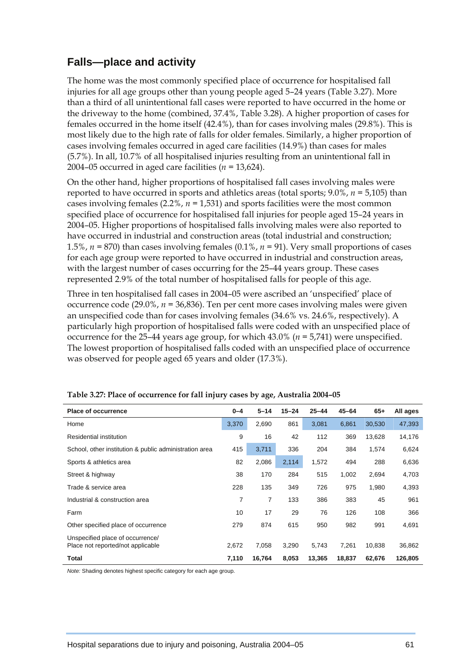## **Falls—place and activity**

The home was the most commonly specified place of occurrence for hospitalised fall injuries for all age groups other than young people aged 5–24 years (Table 3.27). More than a third of all unintentional fall cases were reported to have occurred in the home or the driveway to the home (combined, 37.4%, Table 3.28). A higher proportion of cases for females occurred in the home itself (42.4%), than for cases involving males (29.8%). This is most likely due to the high rate of falls for older females. Similarly, a higher proportion of cases involving females occurred in aged care facilities (14.9%) than cases for males (5.7%). In all, 10.7% of all hospitalised injuries resulting from an unintentional fall in 2004–05 occurred in aged care facilities (*n =* 13,624).

On the other hand, higher proportions of hospitalised fall cases involving males were reported to have occurred in sports and athletics areas (total sports; 9.0%, *n =* 5,105) than cases involving females (2.2%, *n =* 1,531) and sports facilities were the most common specified place of occurrence for hospitalised fall injuries for people aged 15–24 years in 2004–05. Higher proportions of hospitalised falls involving males were also reported to have occurred in industrial and construction areas (total industrial and construction; 1.5%, *n =* 870) than cases involving females (0.1%, *n =* 91). Very small proportions of cases for each age group were reported to have occurred in industrial and construction areas, with the largest number of cases occurring for the 25–44 years group. These cases represented 2.9% of the total number of hospitalised falls for people of this age.

Three in ten hospitalised fall cases in 2004–05 were ascribed an 'unspecified' place of occurrence code (29.0%, *n =* 36,836). Ten per cent more cases involving males were given an unspecified code than for cases involving females (34.6% vs. 24.6%, respectively). A particularly high proportion of hospitalised falls were coded with an unspecified place of occurrence for the 25–44 years age group, for which 43.0% (*n =* 5,741) were unspecified. The lowest proportion of hospitalised falls coded with an unspecified place of occurrence was observed for people aged 65 years and older (17.3%).

| <b>Place of occurrence</b>                                            | $0 - 4$ | $5 - 14$       | $15 - 24$ | $25 - 44$ | $45 - 64$ | $65+$  | All ages |
|-----------------------------------------------------------------------|---------|----------------|-----------|-----------|-----------|--------|----------|
| Home                                                                  | 3,370   | 2,690          | 861       | 3,081     | 6,861     | 30,530 | 47,393   |
| Residential institution                                               | 9       | 16             | 42        | 112       | 369       | 13,628 | 14,176   |
| School, other institution & public administration area                | 415     | 3,711          | 336       | 204       | 384       | 1,574  | 6,624    |
| Sports & athletics area                                               | 82      | 2,086          | 2,114     | 1,572     | 494       | 288    | 6,636    |
| Street & highway                                                      | 38      | 170            | 284       | 515       | 1,002     | 2,694  | 4,703    |
| Trade & service area                                                  | 228     | 135            | 349       | 726       | 975       | 1,980  | 4,393    |
| Industrial & construction area                                        | 7       | $\overline{7}$ | 133       | 386       | 383       | 45     | 961      |
| Farm                                                                  | 10      | 17             | 29        | 76        | 126       | 108    | 366      |
| Other specified place of occurrence                                   | 279     | 874            | 615       | 950       | 982       | 991    | 4,691    |
| Unspecified place of occurrence/<br>Place not reported/not applicable | 2,672   | 7,058          | 3,290     | 5,743     | 7,261     | 10,838 | 36,862   |
| Total                                                                 | 7,110   | 16,764         | 8,053     | 13,365    | 18,837    | 62,676 | 126,805  |

**Table 3.27: Place of occurrence for fall injury cases by age, Australia 2004–05** 

*Note:* Shading denotes highest specific category for each age group.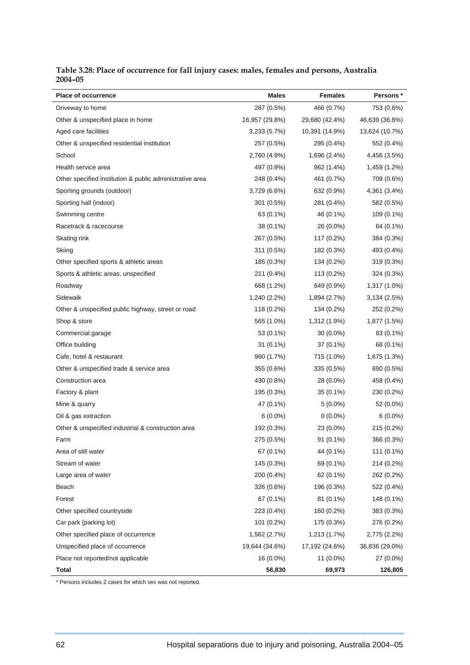| Table 3.28: Place of occurrence for fall injury cases: males, females and persons, Australia |  |  |
|----------------------------------------------------------------------------------------------|--|--|
| 2004-05                                                                                      |  |  |

| <b>Place of occurrence</b>                               | <b>Males</b>   | <b>Females</b> | Persons *      |
|----------------------------------------------------------|----------------|----------------|----------------|
| Driveway to home                                         | 287 (0.5%)     | 466 (0.7%)     | 753 (0.6%)     |
| Other & unspecified place in home                        | 16,957 (29.8%) | 29,680 (42.4%) | 46,639 (36.8%) |
| Aged care facilities                                     | 3,233 (5.7%)   | 10,391 (14.9%) | 13,624 (10.7%) |
| Other & unspecified residential institution              | 257 (0.5%)     | 295 (0.4%)     | 552 (0.4%)     |
| School                                                   | 2,760 (4.9%)   | 1,696 (2.4%)   | 4,456 (3.5%)   |
| Health service area                                      | 497 (0.9%)     | 962 (1.4%)     | 1,459 (1.2%)   |
| Other specified institution & public administrative area | 248 (0.4%)     | 461 (0.7%)     | 709 (0.6%)     |
| Sporting grounds (outdoor)                               | 3,729 (6.6%)   | 632 (0.9%)     | 4,361 (3.4%)   |
| Sporting hall (indoor)                                   | 301 (0.5%)     | 281 (0.4%)     | 582 (0.5%)     |
| Swimming centre                                          | 63 (0.1%)      | 46 (0.1%)      | 109 (0.1%)     |
| Racetrack & racecourse                                   | 38 (0.1%)      | 26 (0.0%)      | 64 (0.1%)      |
| Skating rink                                             | 267 (0.5%)     | 117 (0.2%)     | 384 (0.3%)     |
| Skiing                                                   | 311 (0.5%)     | 182 (0.3%)     | 493 (0.4%)     |
| Other specified sports & athletic areas                  | 185 (0.3%)     | 134 (0.2%)     | 319 (0.3%)     |
| Sports & athletic areas, unspecified                     | 211 (0.4%)     | 113 (0.2%)     | 324 (0.3%)     |
| Roadway                                                  | 668 (1.2%)     | 649 (0.9%)     | 1,317 (1.0%)   |
| Sidewalk                                                 | 1,240 (2.2%)   | 1,894 (2.7%)   | 3,134 (2.5%)   |
| Other & unspecified public highway, street or road       | 118 (0.2%)     | 134 (0.2%)     | 252 (0.2%)     |
| Shop & store                                             | 565 (1.0%)     | 1,312 (1.9%)   | 1,877 (1.5%)   |
| Commercial garage                                        | 53 (0.1%)      | 30 (0.0%)      | 83 (0.1%)      |
| Office building                                          | 31 (0.1%)      | 37 (0.1%)      | 68 (0.1%)      |
| Cafe, hotel & restaurant                                 | 960 (1.7%)     | 715 (1.0%)     | 1,675 (1.3%)   |
| Other & unspecified trade & service area                 | 355 (0.6%)     | 335 (0.5%)     | 690 (0.5%)     |
| Construction area                                        | 430 (0.8%)     | 28 (0.0%)      | 458 (0.4%)     |
| Factory & plant                                          | 195 (0.3%)     | 35 (0.1%)      | 230 (0.2%)     |
| Mine & quarry                                            | 47 (0.1%)      | $5(0.0\%)$     | 52 (0.0%)      |
| Oil & gas extraction                                     | $6(0.0\%)$     | $0(0.0\%)$     | $6(0.0\%)$     |
| Other & unspecified industrial & construction area       | 192 (0.3%)     | 23 (0.0%)      | 215 (0.2%)     |
| Farm                                                     | 275 (0.5%)     | $91(0.1\%)$    | 366 (0.3%)     |
| Area of still water                                      | 67 (0.1%)      | 44 (0.1%)      | 111 (0.1%)     |
| Stream of water                                          | 145 (0.3%)     | 69 (0.1%)      | 214 (0.2%)     |
| Large area of water                                      | 200 (0.4%)     | 62 (0.1%)      | 262 (0.2%)     |
| Beach                                                    | 326 (0.6%)     | 196 (0.3%)     | 522 (0.4%)     |
| Forest                                                   | 67 (0.1%)      | 81 (0.1%)      | 148 (0.1%)     |
| Other specified countryside                              | 223 (0.4%)     | 160 (0.2%)     | 383 (0.3%)     |
| Car park (parking lot)                                   | 101 (0.2%)     | 175 (0.3%)     | 276 (0.2%)     |
| Other specified place of occurrence                      | 1,562 (2.7%)   | 1,213 (1.7%)   | 2,775 (2.2%)   |
| Unspecified place of occurrence                          | 19,644 (34.6%) | 17,192 (24.6%) | 36,836 (29.0%) |
| Place not reported/not applicable                        | 16 (0.0%)      | 11 (0.0%)      | 27 (0.0%)      |
| Total                                                    | 56,830         | 69,973         | 126,805        |

\* Persons includes 2 cases for which sex was not reported.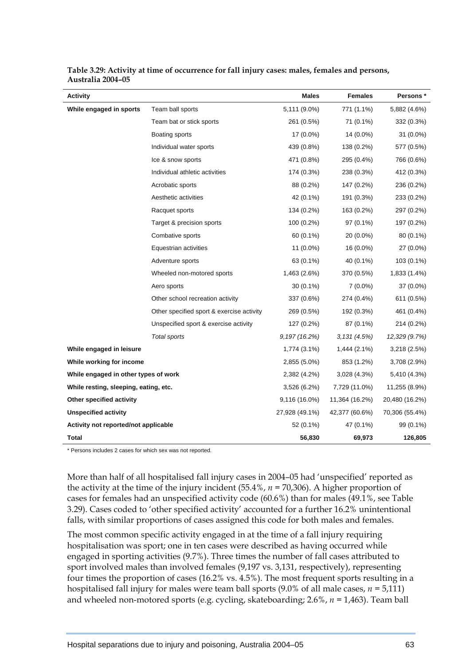| <b>Activity</b>                       |                                           | Males          | <b>Females</b> | Persons *      |
|---------------------------------------|-------------------------------------------|----------------|----------------|----------------|
| While engaged in sports               | Team ball sports                          | 5,111 (9.0%)   | 771 (1.1%)     | 5,882 (4.6%)   |
|                                       | Team bat or stick sports                  | 261 (0.5%)     | 71 (0.1%)      | 332 (0.3%)     |
|                                       | Boating sports                            | 17 (0.0%)      | 14 (0.0%)      | 31 (0.0%)      |
|                                       | Individual water sports                   | 439 (0.8%)     | 138 (0.2%)     | 577 (0.5%)     |
|                                       | Ice & snow sports                         | 471 (0.8%)     | 295 (0.4%)     | 766 (0.6%)     |
|                                       | Individual athletic activities            | 174 (0.3%)     | 238 (0.3%)     | 412 (0.3%)     |
|                                       | Acrobatic sports                          | 88 (0.2%)      | 147 (0.2%)     | 236 (0.2%)     |
|                                       | Aesthetic activities                      | 42 (0.1%)      | 191 (0.3%)     | 233 (0.2%)     |
|                                       | Racquet sports                            | 134 (0.2%)     | 163 (0.2%)     | 297 (0.2%)     |
|                                       | Target & precision sports                 | 100 (0.2%)     | 97 (0.1%)      | 197 (0.2%)     |
|                                       | Combative sports                          | 60 (0.1%)      | 20 (0.0%)      | 80 (0.1%)      |
|                                       | Equestrian activities                     | 11 (0.0%)      | 16 (0.0%)      | 27 (0.0%)      |
|                                       | Adventure sports                          | 63 (0.1%)      | 40 (0.1%)      | 103 (0.1%)     |
|                                       | Wheeled non-motored sports                | 1,463 (2.6%)   | 370 (0.5%)     | 1,833 (1.4%)   |
|                                       | Aero sports                               | 30 (0.1%)      | $7(0.0\%)$     | 37 (0.0%)      |
|                                       | Other school recreation activity          | 337 (0.6%)     | 274 (0.4%)     | 611 (0.5%)     |
|                                       | Other specified sport & exercise activity | 269 (0.5%)     | 192 (0.3%)     | 461 (0.4%)     |
|                                       | Unspecified sport & exercise activity     | 127 (0.2%)     | 87 (0.1%)      | 214 (0.2%)     |
|                                       | Total sports                              | 9, 197 (16.2%) | 3,131(4.5%)    | 12,329 (9.7%)  |
| While engaged in leisure              |                                           | 1,774 (3.1%)   | 1,444 (2.1%)   | 3,218 (2.5%)   |
| While working for income              |                                           | 2,855 (5.0%)   | 853 (1.2%)     | 3,708 (2.9%)   |
| While engaged in other types of work  |                                           | 2,382 (4.2%)   | 3,028 (4.3%)   | 5,410 (4.3%)   |
| While resting, sleeping, eating, etc. |                                           | 3,526 (6.2%)   | 7,729 (11.0%)  | 11,255 (8.9%)  |
| Other specified activity              |                                           | 9,116 (16.0%)  | 11,364 (16.2%) | 20,480 (16.2%) |
| <b>Unspecified activity</b>           |                                           | 27,928 (49.1%) | 42,377 (60.6%) | 70,306 (55.4%) |
| Activity not reported/not applicable  |                                           | 52 (0.1%)      | 47 (0.1%)      | 99 (0.1%)      |
| Total                                 |                                           | 56,830         | 69,973         | 126,805        |

**Table 3.29: Activity at time of occurrence for fall injury cases: males, females and persons, Australia 2004–05** 

\* Persons includes 2 cases for which sex was not reported.

More than half of all hospitalised fall injury cases in 2004–05 had 'unspecified' reported as the activity at the time of the injury incident (55.4%, *n =* 70,306). A higher proportion of cases for females had an unspecified activity code (60.6%) than for males (49.1%, see Table 3.29). Cases coded to 'other specified activity' accounted for a further 16.2% unintentional falls, with similar proportions of cases assigned this code for both males and females.

The most common specific activity engaged in at the time of a fall injury requiring hospitalisation was sport; one in ten cases were described as having occurred while engaged in sporting activities (9.7%). Three times the number of fall cases attributed to sport involved males than involved females (9,197 vs. 3,131, respectively), representing four times the proportion of cases (16.2% vs. 4.5%). The most frequent sports resulting in a hospitalised fall injury for males were team ball sports (9.0% of all male cases, *n =* 5,111) and wheeled non-motored sports (e.g. cycling, skateboarding; 2.6%, *n =* 1,463). Team ball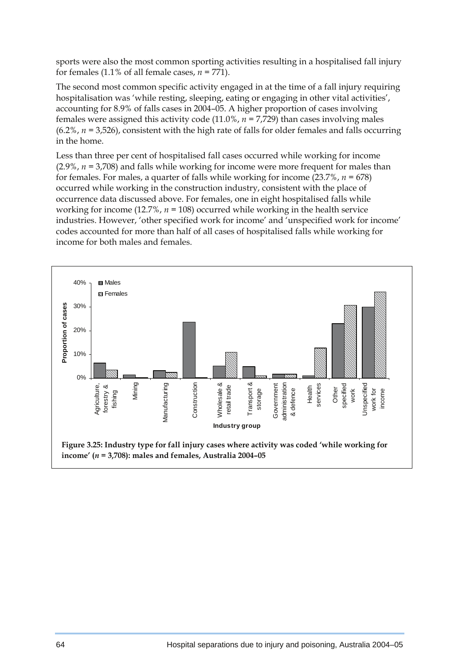sports were also the most common sporting activities resulting in a hospitalised fall injury for females (1.1% of all female cases,  $n = 771$ ).

The second most common specific activity engaged in at the time of a fall injury requiring hospitalisation was 'while resting, sleeping, eating or engaging in other vital activities', accounting for 8.9% of falls cases in 2004–05. A higher proportion of cases involving females were assigned this activity code  $(11.0\%$ ,  $n = 7.729)$  than cases involving males  $(6.2\%, n = 3.526)$ , consistent with the high rate of falls for older females and falls occurring in the home.

Less than three per cent of hospitalised fall cases occurred while working for income (2.9%, *n =* 3,708) and falls while working for income were more frequent for males than for females. For males, a quarter of falls while working for income  $(23.7\%), n = 678$ ) occurred while working in the construction industry, consistent with the place of occurrence data discussed above. For females, one in eight hospitalised falls while working for income (12.7%, *n =* 108) occurred while working in the health service industries. However, 'other specified work for income' and 'unspecified work for income' codes accounted for more than half of all cases of hospitalised falls while working for income for both males and females.

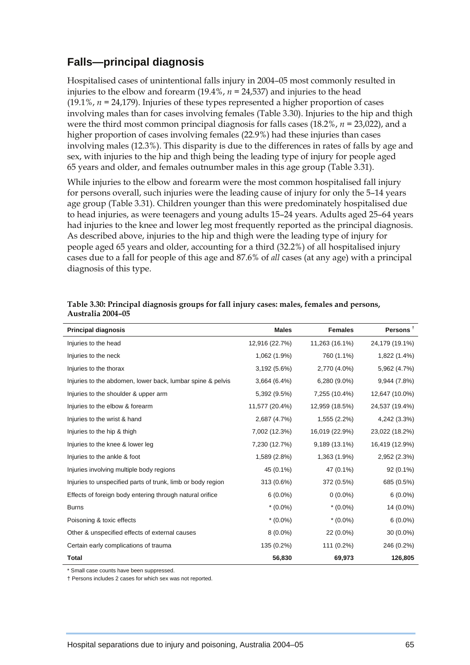### **Falls—principal diagnosis**

Hospitalised cases of unintentional falls injury in 2004–05 most commonly resulted in injuries to the elbow and forearm (19.4%, *n =* 24,537) and injuries to the head (19.1%, *n =* 24,179). Injuries of these types represented a higher proportion of cases involving males than for cases involving females (Table 3.30). Injuries to the hip and thigh were the third most common principal diagnosis for falls cases (18.2%, *n =* 23,022), and a higher proportion of cases involving females (22.9%) had these injuries than cases involving males (12.3%). This disparity is due to the differences in rates of falls by age and sex, with injuries to the hip and thigh being the leading type of injury for people aged 65 years and older, and females outnumber males in this age group (Table 3.31).

While injuries to the elbow and forearm were the most common hospitalised fall injury for persons overall, such injuries were the leading cause of injury for only the 5–14 years age group (Table 3.31). Children younger than this were predominately hospitalised due to head injuries, as were teenagers and young adults 15–24 years. Adults aged 25–64 years had injuries to the knee and lower leg most frequently reported as the principal diagnosis. As described above, injuries to the hip and thigh were the leading type of injury for people aged 65 years and older, accounting for a third (32.2%) of all hospitalised injury cases due to a fall for people of this age and 87.6% of *all* cases (at any age) with a principal diagnosis of this type.

| <b>Principal diagnosis</b>                                  | <b>Males</b>   | <b>Females</b> | Persons $†$    |
|-------------------------------------------------------------|----------------|----------------|----------------|
| Injuries to the head                                        | 12,916 (22.7%) | 11,263 (16.1%) | 24,179 (19.1%) |
| Injuries to the neck                                        | 1,062 (1.9%)   | 760 (1.1%)     | 1,822 (1.4%)   |
| Injuries to the thorax                                      | 3,192 (5.6%)   | 2,770 (4.0%)   | 5,962 (4.7%)   |
| Injuries to the abdomen, lower back, lumbar spine & pelvis  | 3,664(6.4%)    | 6,280 (9.0%)   | 9,944 (7.8%)   |
| Injuries to the shoulder & upper arm                        | 5,392 (9.5%)   | 7,255 (10.4%)  | 12,647 (10.0%) |
| Injuries to the elbow & forearm                             | 11,577 (20.4%) | 12,959 (18.5%) | 24,537 (19.4%) |
| Injuries to the wrist & hand                                | 2,687 (4.7%)   | 1,555 (2.2%)   | 4,242 (3.3%)   |
| Injuries to the hip & thigh                                 | 7,002 (12.3%)  | 16,019 (22.9%) | 23,022 (18.2%) |
| Injuries to the knee & lower leg                            | 7,230 (12.7%)  | 9,189 (13.1%)  | 16,419 (12.9%) |
| Injuries to the ankle & foot                                | 1,589 (2.8%)   | 1,363 (1.9%)   | 2,952 (2.3%)   |
| Injuries involving multiple body regions                    | 45 (0.1%)      | 47 (0.1%)      | $92(0.1\%)$    |
| Injuries to unspecified parts of trunk, limb or body region | 313 (0.6%)     | 372 (0.5%)     | 685 (0.5%)     |
| Effects of foreign body entering through natural orifice    | $6(0.0\%)$     | $0(0.0\%)$     | $6(0.0\%)$     |
| <b>Burns</b>                                                | $*(0.0\%)$     | $*(0.0\%)$     | 14 (0.0%)      |
| Poisoning & toxic effects                                   | $*(0.0\%)$     | $*(0.0\%)$     | $6(0.0\%)$     |
| Other & unspecified effects of external causes              | $8(0.0\%)$     | 22 (0.0%)      | $30(0.0\%)$    |
| Certain early complications of trauma                       | 135 (0.2%)     | 111 (0.2%)     | 246 (0.2%)     |
| <b>Total</b>                                                | 56,830         | 69,973         | 126,805        |

**Table 3.30: Principal diagnosis groups for fall injury cases: males, females and persons, Australia 2004–05** 

\* Small case counts have been suppressed.

† Persons includes 2 cases for which sex was not reported.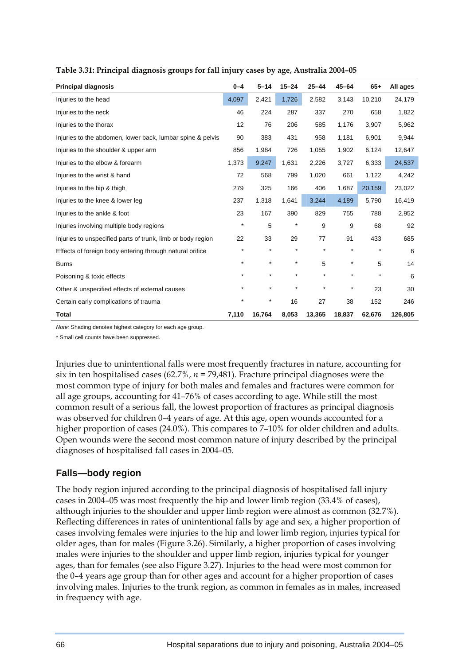| <b>Principal diagnosis</b>                                  | $0 - 4$  | $5 - 14$ | $15 - 24$ | $25 - 44$ | $45 - 64$ | $65+$   | All ages |
|-------------------------------------------------------------|----------|----------|-----------|-----------|-----------|---------|----------|
| Injuries to the head                                        | 4,097    | 2,421    | 1,726     | 2,582     | 3,143     | 10,210  | 24,179   |
| Injuries to the neck                                        | 46       | 224      | 287       | 337       | 270       | 658     | 1,822    |
| Injuries to the thorax                                      | 12       | 76       | 206       | 585       | 1,176     | 3,907   | 5,962    |
| Injuries to the abdomen, lower back, lumbar spine & pelvis  | 90       | 383      | 431       | 958       | 1,181     | 6,901   | 9,944    |
| Injuries to the shoulder & upper arm                        | 856      | 1,984    | 726       | 1,055     | 1,902     | 6,124   | 12,647   |
| Injuries to the elbow & forearm                             | 1,373    | 9,247    | 1,631     | 2,226     | 3,727     | 6,333   | 24,537   |
| Injuries to the wrist & hand                                | 72       | 568      | 799       | 1,020     | 661       | 1,122   | 4,242    |
| Injuries to the hip & thigh                                 | 279      | 325      | 166       | 406       | 1,687     | 20,159  | 23,022   |
| Injuries to the knee & lower leg                            | 237      | 1,318    | 1,641     | 3,244     | 4,189     | 5,790   | 16,419   |
| Injuries to the ankle & foot                                | 23       | 167      | 390       | 829       | 755       | 788     | 2,952    |
| Injuries involving multiple body regions                    | $\star$  | 5        | $\star$   | 9         | 9         | 68      | 92       |
| Injuries to unspecified parts of trunk, limb or body region | 22       | 33       | 29        | 77        | 91        | 433     | 685      |
| Effects of foreign body entering through natural orifice    | $\star$  | $\star$  | $\star$   | $\star$   | $\star$   | $\star$ | 6        |
| <b>Burns</b>                                                | $\star$  | $\star$  | $\star$   | 5         | $\star$   | 5       | 14       |
| Poisoning & toxic effects                                   | $\star$  | $\star$  | $\star$   | $\star$   | $\star$   | $\star$ | 6        |
| Other & unspecified effects of external causes              | $\star$  | $\star$  | $\star$   | $\star$   | $\star$   | 23      | 30       |
| Certain early complications of trauma                       | $^\star$ | $\star$  | 16        | 27        | 38        | 152     | 246      |
| <b>Total</b>                                                | 7,110    | 16,764   | 8,053     | 13,365    | 18,837    | 62,676  | 126,805  |

#### **Table 3.31: Principal diagnosis groups for fall injury cases by age, Australia 2004–05**

*Note:* Shading denotes highest category for each age group.

\* Small cell counts have been suppressed.

Injuries due to unintentional falls were most frequently fractures in nature, accounting for six in ten hospitalised cases (62.7%, *n =* 79,481). Fracture principal diagnoses were the most common type of injury for both males and females and fractures were common for all age groups, accounting for 41–76% of cases according to age. While still the most common result of a serious fall, the lowest proportion of fractures as principal diagnosis was observed for children 0–4 years of age. At this age, open wounds accounted for a higher proportion of cases (24.0%). This compares to 7-10% for older children and adults. Open wounds were the second most common nature of injury described by the principal diagnoses of hospitalised fall cases in 2004–05.

#### **Falls—body region**

The body region injured according to the principal diagnosis of hospitalised fall injury cases in 2004–05 was most frequently the hip and lower limb region (33.4% of cases), although injuries to the shoulder and upper limb region were almost as common (32.7%). Reflecting differences in rates of unintentional falls by age and sex, a higher proportion of cases involving females were injuries to the hip and lower limb region, injuries typical for older ages, than for males (Figure 3.26). Similarly, a higher proportion of cases involving males were injuries to the shoulder and upper limb region, injuries typical for younger ages, than for females (see also Figure 3.27). Injuries to the head were most common for the 0–4 years age group than for other ages and account for a higher proportion of cases involving males. Injuries to the trunk region, as common in females as in males, increased in frequency with age.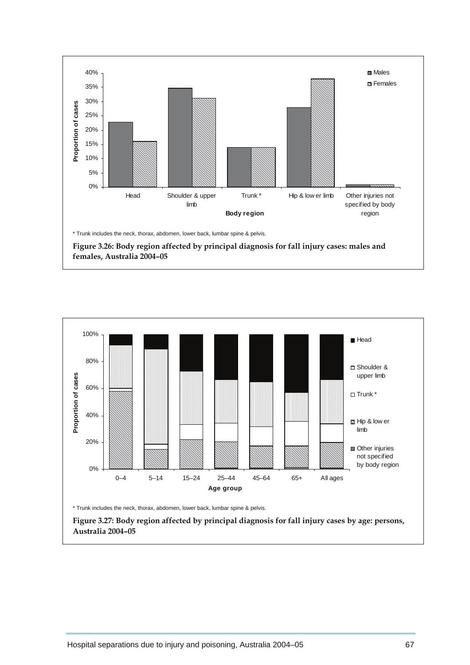



\* Trunk includes the neck, thorax, abdomen, lower back, lumbar spine & pelvis.

 **Figure 3.27: Body region affected by principal diagnosis for fall injury cases by age: persons, Australia 2004–05**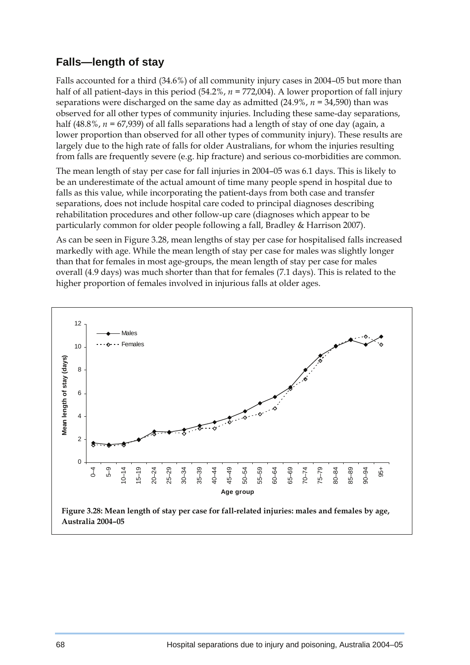### **Falls—length of stay**

Falls accounted for a third (34.6%) of all community injury cases in 2004–05 but more than half of all patient-days in this period (54.2%, *n* = 772,004). A lower proportion of fall injury separations were discharged on the same day as admitted (24.9%, *n =* 34,590) than was observed for all other types of community injuries. Including these same-day separations, half (48.8%,  $n = 67,939$ ) of all falls separations had a length of stay of one day (again, a lower proportion than observed for all other types of community injury). These results are largely due to the high rate of falls for older Australians, for whom the injuries resulting from falls are frequently severe (e.g. hip fracture) and serious co-morbidities are common.

The mean length of stay per case for fall injuries in 2004–05 was 6.1 days. This is likely to be an underestimate of the actual amount of time many people spend in hospital due to falls as this value, while incorporating the patient-days from both case and transfer separations, does not include hospital care coded to principal diagnoses describing rehabilitation procedures and other follow-up care (diagnoses which appear to be particularly common for older people following a fall, Bradley & Harrison 2007).

As can be seen in Figure 3.28, mean lengths of stay per case for hospitalised falls increased markedly with age. While the mean length of stay per case for males was slightly longer than that for females in most age-groups, the mean length of stay per case for males overall (4.9 days) was much shorter than that for females (7.1 days). This is related to the higher proportion of females involved in injurious falls at older ages.

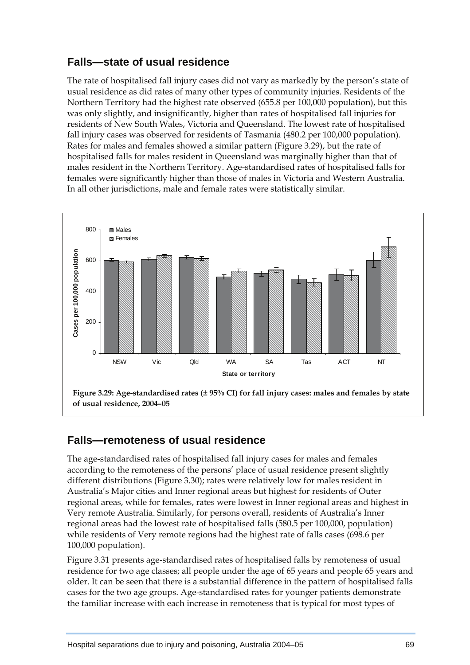### **Falls—state of usual residence**

The rate of hospitalised fall injury cases did not vary as markedly by the person's state of usual residence as did rates of many other types of community injuries. Residents of the Northern Territory had the highest rate observed (655.8 per 100,000 population), but this was only slightly, and insignificantly, higher than rates of hospitalised fall injuries for residents of New South Wales, Victoria and Queensland. The lowest rate of hospitalised fall injury cases was observed for residents of Tasmania (480.2 per 100,000 population). Rates for males and females showed a similar pattern (Figure 3.29), but the rate of hospitalised falls for males resident in Queensland was marginally higher than that of males resident in the Northern Territory. Age-standardised rates of hospitalised falls for females were significantly higher than those of males in Victoria and Western Australia. In all other jurisdictions, male and female rates were statistically similar.



### **Falls—remoteness of usual residence**

The age-standardised rates of hospitalised fall injury cases for males and females according to the remoteness of the persons' place of usual residence present slightly different distributions (Figure 3.30); rates were relatively low for males resident in Australia's Major cities and Inner regional areas but highest for residents of Outer regional areas, while for females, rates were lowest in Inner regional areas and highest in Very remote Australia. Similarly, for persons overall, residents of Australia's Inner regional areas had the lowest rate of hospitalised falls (580.5 per 100,000, population) while residents of Very remote regions had the highest rate of falls cases (698.6 per 100,000 population).

Figure 3.31 presents age-standardised rates of hospitalised falls by remoteness of usual residence for two age classes; all people under the age of 65 years and people 65 years and older. It can be seen that there is a substantial difference in the pattern of hospitalised falls cases for the two age groups. Age-standardised rates for younger patients demonstrate the familiar increase with each increase in remoteness that is typical for most types of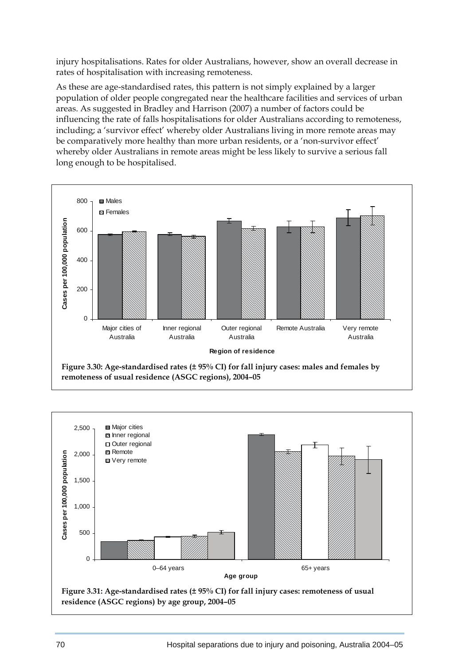injury hospitalisations. Rates for older Australians, however, show an overall decrease in rates of hospitalisation with increasing remoteness.

As these are age-standardised rates, this pattern is not simply explained by a larger population of older people congregated near the healthcare facilities and services of urban areas. As suggested in Bradley and Harrison (2007) a number of factors could be influencing the rate of falls hospitalisations for older Australians according to remoteness, including; a 'survivor effect' whereby older Australians living in more remote areas may be comparatively more healthy than more urban residents, or a 'non-survivor effect' whereby older Australians in remote areas might be less likely to survive a serious fall long enough to be hospitalised.



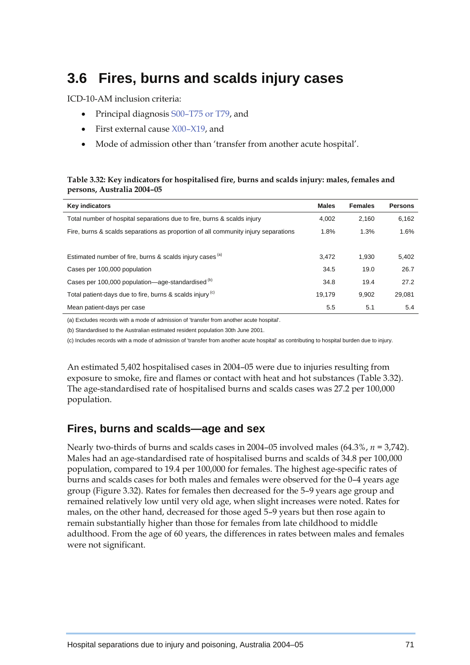# **3.6 Fires, burns and scalds injury cases**

ICD-10-AM inclusion criteria:

- Principal diagnosis S00–T75 or T79, and
- First external cause  $X00-X19$ , and
- Mode of admission other than 'transfer from another acute hospital'.

#### **Table 3.32: Key indicators for hospitalised fire, burns and scalds injury: males, females and persons, Australia 2004–05**

| <b>Key indicators</b>                                                              | <b>Males</b> | <b>Females</b> | <b>Persons</b> |
|------------------------------------------------------------------------------------|--------------|----------------|----------------|
| Total number of hospital separations due to fire, burns & scalds injury            | 4.002        | 2.160          | 6.162          |
| Fire, burns & scalds separations as proportion of all community injury separations | 1.8%         | 1.3%           | 1.6%           |
|                                                                                    |              |                |                |
| Estimated number of fire, burns & scalds injury cases <sup>(a)</sup>               | 3.472        | 1.930          | 5,402          |
| Cases per 100,000 population                                                       | 34.5         | 19.0           | 26.7           |
| Cases per 100,000 population—age-standardised <sup>(b)</sup>                       | 34.8         | 19.4           | 27.2           |
| Total patient-days due to fire, burns & scalds injury <sup>(c)</sup>               | 19.179       | 9.902          | 29.081         |
| Mean patient-days per case                                                         | 5.5          | 5.1            | 5.4            |

(a) Excludes records with a mode of admission of 'transfer from another acute hospital'.

(b) Standardised to the Australian estimated resident population 30th June 2001.

(c) Includes records with a mode of admission of 'transfer from another acute hospital' as contributing to hospital burden due to injury.

An estimated 5,402 hospitalised cases in 2004–05 were due to injuries resulting from exposure to smoke, fire and flames or contact with heat and hot substances (Table 3.32). The age-standardised rate of hospitalised burns and scalds cases was 27.2 per 100,000 population.

#### **Fires, burns and scalds—age and sex**

Nearly two-thirds of burns and scalds cases in 2004–05 involved males (64.3%, *n =* 3,742). Males had an age-standardised rate of hospitalised burns and scalds of 34.8 per 100,000 population, compared to 19.4 per 100,000 for females. The highest age-specific rates of burns and scalds cases for both males and females were observed for the 0–4 years age group (Figure 3.32). Rates for females then decreased for the 5–9 years age group and remained relatively low until very old age, when slight increases were noted. Rates for males, on the other hand, decreased for those aged 5–9 years but then rose again to remain substantially higher than those for females from late childhood to middle adulthood. From the age of 60 years, the differences in rates between males and females were not significant.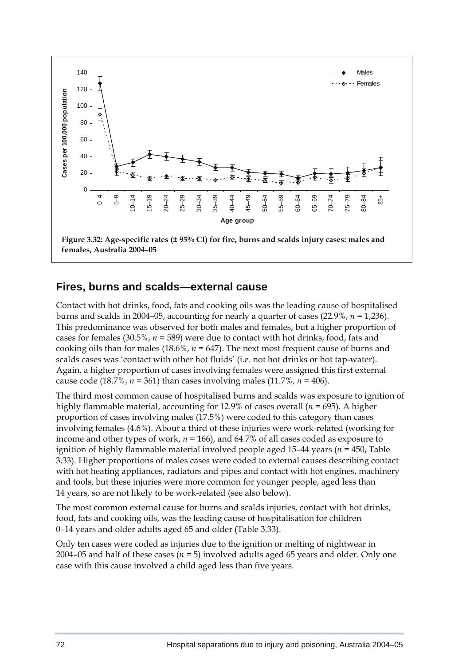

#### **Fires, burns and scalds—external cause**

Contact with hot drinks, food, fats and cooking oils was the leading cause of hospitalised burns and scalds in 2004–05, accounting for nearly a quarter of cases (22.9%, *n =* 1,236). This predominance was observed for both males and females, but a higher proportion of cases for females (30.5%, *n =* 589) were due to contact with hot drinks, food, fats and cooking oils than for males (18.6%, *n =* 647). The next most frequent cause of burns and scalds cases was 'contact with other hot fluids' (i.e. not hot drinks or hot tap-water). Again, a higher proportion of cases involving females were assigned this first external cause code (18.7%,  $n = 361$ ) than cases involving males (11.7%,  $n = 406$ ).

The third most common cause of hospitalised burns and scalds was exposure to ignition of highly flammable material, accounting for 12.9% of cases overall (*n =* 695). A higher proportion of cases involving males (17.5%) were coded to this category than cases involving females (4.6%). About a third of these injuries were work-related (working for income and other types of work, *n =* 166), and 64.7% of all cases coded as exposure to ignition of highly flammable material involved people aged 15–44 years (*n =* 450, Table 3.33). Higher proportions of males cases were coded to external causes describing contact with hot heating appliances, radiators and pipes and contact with hot engines, machinery and tools, but these injuries were more common for younger people, aged less than 14 years, so are not likely to be work-related (see also below).

The most common external cause for burns and scalds injuries, contact with hot drinks, food, fats and cooking oils, was the leading cause of hospitalisation for children 0–14 years and older adults aged 65 and older (Table 3.33).

Only ten cases were coded as injuries due to the ignition or melting of nightwear in 2004–05 and half of these cases (*n =* 5) involved adults aged 65 years and older. Only one case with this cause involved a child aged less than five years.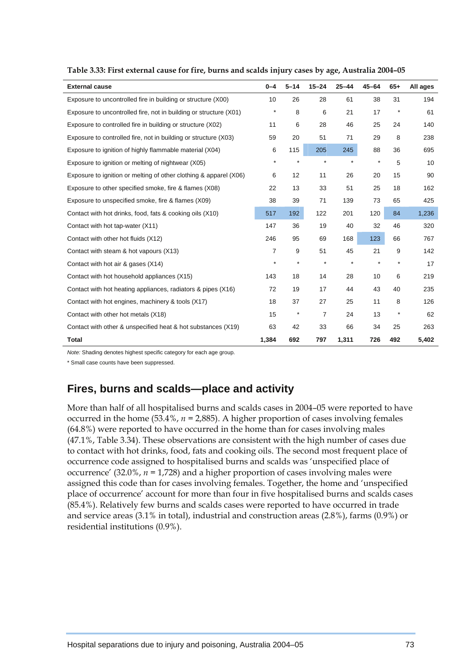| <b>External cause</b>                                             | $0 - 4$ | $5 - 14$   | $15 - 24$      | $25 - 44$ | $45 - 64$ | $65+$   | All ages |
|-------------------------------------------------------------------|---------|------------|----------------|-----------|-----------|---------|----------|
| Exposure to uncontrolled fire in building or structure (X00)      | 10      | 26         | 28             | 61        | 38        | 31      | 194      |
| Exposure to uncontrolled fire, not in building or structure (X01) | $\star$ | 8          | 6              | 21        | 17        | $\star$ | 61       |
| Exposure to controlled fire in building or structure (X02)        | 11      | 6          | 28             | 46        | 25        | 24      | 140      |
| Exposure to controlled fire, not in building or structure (X03)   | 59      | 20         | 51             | 71        | 29        | 8       | 238      |
| Exposure to ignition of highly flammable material (X04)           | 6       | 115        | 205            | 245       | 88        | 36      | 695      |
| Exposure to ignition or melting of nightwear (X05)                | $\star$ | $\star$    | $\star$        | $\star$   | $\star$   | 5       | 10       |
| Exposure to ignition or melting of other clothing & apparel (X06) | 6       | 12         | 11             | 26        | 20        | 15      | 90       |
| Exposure to other specified smoke, fire & flames (X08)            | 22      | 13         | 33             | 51        | 25        | 18      | 162      |
| Exposure to unspecified smoke, fire & flames (X09)                | 38      | 39         | 71             | 139       | 73        | 65      | 425      |
| Contact with hot drinks, food, fats & cooking oils (X10)          | 517     | 192        | 122            | 201       | 120       | 84      | 1,236    |
| Contact with hot tap-water (X11)                                  | 147     | 36         | 19             | 40        | 32        | 46      | 320      |
| Contact with other hot fluids (X12)                               | 246     | 95         | 69             | 168       | 123       | 66      | 767      |
| Contact with steam & hot vapours (X13)                            | 7       | 9          | 51             | 45        | 21        | 9       | 142      |
| Contact with hot air & gases (X14)                                | $\star$ | $\star$    | $\star$        | $\star$   | $^\star$  | $\star$ | 17       |
| Contact with hot household appliances (X15)                       | 143     | 18         | 14             | 28        | 10        | 6       | 219      |
| Contact with hot heating appliances, radiators & pipes (X16)      | 72      | 19         | 17             | 44        | 43        | 40      | 235      |
| Contact with hot engines, machinery & tools (X17)                 | 18      | 37         | 27             | 25        | 11        | 8       | 126      |
| Contact with other hot metals (X18)                               | 15      | $^{\star}$ | $\overline{7}$ | 24        | 13        | $\star$ | 62       |
| Contact with other & unspecified heat & hot substances (X19)      | 63      | 42         | 33             | 66        | 34        | 25      | 263      |
| <b>Total</b>                                                      | 1,384   | 692        | 797            | 1,311     | 726       | 492     | 5,402    |

**Table 3.33: First external cause for fire, burns and scalds injury cases by age, Australia 2004–05** 

*Note:* Shading denotes highest specific category for each age group.

\* Small case counts have been suppressed.

### **Fires, burns and scalds—place and activity**

More than half of all hospitalised burns and scalds cases in 2004–05 were reported to have occurred in the home  $(53.4\%, n = 2,885)$ . A higher proportion of cases involving females (64.8%) were reported to have occurred in the home than for cases involving males (47.1%, Table 3.34). These observations are consistent with the high number of cases due to contact with hot drinks, food, fats and cooking oils. The second most frequent place of occurrence code assigned to hospitalised burns and scalds was 'unspecified place of occurrence' (32.0%, *n =* 1,728) and a higher proportion of cases involving males were assigned this code than for cases involving females. Together, the home and 'unspecified place of occurrence' account for more than four in five hospitalised burns and scalds cases (85.4%). Relatively few burns and scalds cases were reported to have occurred in trade and service areas (3.1% in total), industrial and construction areas (2.8%), farms (0.9%) or residential institutions (0.9%).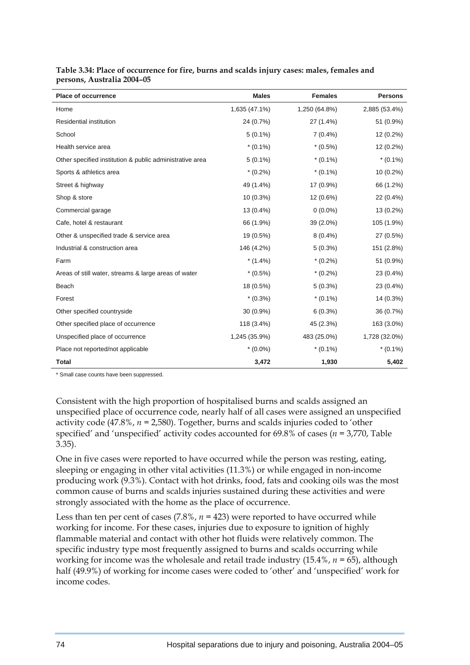| <b>Place of occurrence</b>                               | <b>Males</b>  | <b>Females</b> | <b>Persons</b> |
|----------------------------------------------------------|---------------|----------------|----------------|
| Home                                                     | 1,635 (47.1%) | 1,250 (64.8%)  | 2,885 (53.4%)  |
| <b>Residential institution</b>                           | 24 (0.7%)     | 27 (1.4%)      | 51 (0.9%)      |
| School                                                   | $5(0.1\%)$    | $7(0.4\%)$     | 12 (0.2%)      |
| Health service area                                      | $*(0.1\%)$    | $*(0.5\%)$     | 12 (0.2%)      |
| Other specified institution & public administrative area | $5(0.1\%)$    | $*(0.1\%)$     | $*(0.1\%)$     |
| Sports & athletics area                                  | $*(0.2\%)$    | $*(0.1\%)$     | $10(0.2\%)$    |
| Street & highway                                         | 49 (1.4%)     | 17 (0.9%)      | 66 (1.2%)      |
| Shop & store                                             | $10(0.3\%)$   | 12 (0.6%)      | 22 (0.4%)      |
| Commercial garage                                        | 13 (0.4%)     | $0(0.0\%)$     | 13 (0.2%)      |
| Cafe, hotel & restaurant                                 | 66 (1.9%)     | 39 (2.0%)      | 105 (1.9%)     |
| Other & unspecified trade & service area                 | 19 (0.5%)     | $8(0.4\%)$     | 27 (0.5%)      |
| Industrial & construction area                           | 146 (4.2%)    | $5(0.3\%)$     | 151 (2.8%)     |
| Farm                                                     | $*(1.4\%)$    | $*(0.2\%)$     | 51 (0.9%)      |
| Areas of still water, streams & large areas of water     | $*(0.5\%)$    | $*(0.2\%)$     | 23 (0.4%)      |
| Beach                                                    | 18 (0.5%)     | $5(0.3\%)$     | 23 (0.4%)      |
| Forest                                                   | $*(0.3\%)$    | $*(0.1\%)$     | 14 (0.3%)      |
| Other specified countryside                              | 30 (0.9%)     | $6(0.3\%)$     | 36 (0.7%)      |
| Other specified place of occurrence                      | 118 (3.4%)    | 45 (2.3%)      | 163 (3.0%)     |
| Unspecified place of occurrence                          | 1,245 (35.9%) | 483 (25.0%)    | 1,728 (32.0%)  |
| Place not reported/not applicable                        | $*(0.0\%)$    | $*(0.1\%)$     | $*(0.1\%)$     |
| <b>Total</b>                                             | 3,472         | 1,930          | 5,402          |

**Table 3.34: Place of occurrence for fire, burns and scalds injury cases: males, females and persons, Australia 2004–05** 

\* Small case counts have been suppressed.

Consistent with the high proportion of hospitalised burns and scalds assigned an unspecified place of occurrence code, nearly half of all cases were assigned an unspecified activity code (47.8%, *n =* 2,580). Together, burns and scalds injuries coded to 'other specified' and 'unspecified' activity codes accounted for 69.8% of cases (*n =* 3,770, Table 3.35).

One in five cases were reported to have occurred while the person was resting, eating, sleeping or engaging in other vital activities (11.3%) or while engaged in non-income producing work (9.3%). Contact with hot drinks, food, fats and cooking oils was the most common cause of burns and scalds injuries sustained during these activities and were strongly associated with the home as the place of occurrence.

Less than ten per cent of cases  $(7.8\%, n = 423)$  were reported to have occurred while working for income. For these cases, injuries due to exposure to ignition of highly flammable material and contact with other hot fluids were relatively common. The specific industry type most frequently assigned to burns and scalds occurring while working for income was the wholesale and retail trade industry (15.4%, *n =* 65), although half (49.9%) of working for income cases were coded to 'other' and 'unspecified' work for income codes.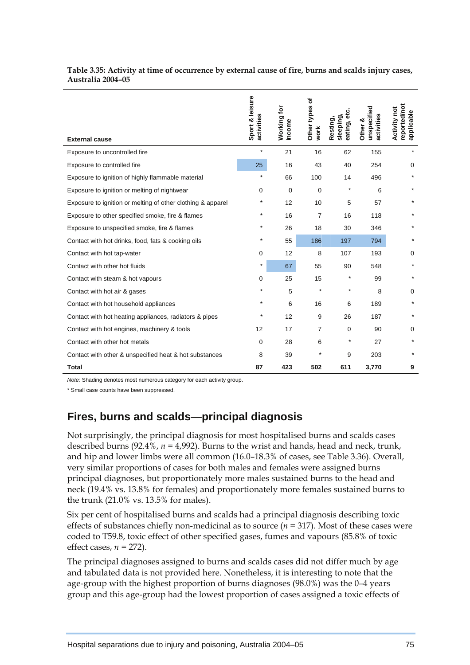| <b>External cause</b>                                       | Sport & leisure<br>activities | <b>Working for</b><br>income | ৳<br>Other types<br>work | eating, etc.<br>sleeping,<br>Resting, | unspecified<br>activities<br>Other & | reported/not<br><b>Activity not</b><br>applicable |
|-------------------------------------------------------------|-------------------------------|------------------------------|--------------------------|---------------------------------------|--------------------------------------|---------------------------------------------------|
| Exposure to uncontrolled fire                               | $\star$                       | 21                           | 16                       | 62                                    | 155                                  | $\star$                                           |
| Exposure to controlled fire                                 | 25                            | 16                           | 43                       | 40                                    | 254                                  | 0                                                 |
| Exposure to ignition of highly flammable material           | $\star$                       | 66                           | 100                      | 14                                    | 496                                  | $\star$                                           |
| Exposure to ignition or melting of nightwear                | 0                             | 0                            | $\Omega$                 | $\star$                               | 6                                    | $^\star$                                          |
| Exposure to ignition or melting of other clothing & apparel | *                             | 12                           | 10                       | 5                                     | 57                                   | *                                                 |
| Exposure to other specified smoke, fire & flames            | $\star$                       | 16                           | 7                        | 16                                    | 118                                  | $\star$                                           |
| Exposure to unspecified smoke, fire & flames                | $\star$                       | 26                           | 18                       | 30                                    | 346                                  |                                                   |
| Contact with hot drinks, food, fats & cooking oils          |                               | 55                           | 186                      | 197                                   | 794                                  |                                                   |
| Contact with hot tap-water                                  | 0                             | 12                           | 8                        | 107                                   | 193                                  | 0                                                 |
| Contact with other hot fluids                               | *                             | 67                           | 55                       | 90                                    | 548                                  | $^\star$                                          |
| Contact with steam & hot vapours                            | $\mathbf 0$                   | 25                           | 15                       | $\star$                               | 99                                   | $^\star$                                          |
| Contact with hot air & gases                                | $\star$                       | 5                            | $\star$                  | $\star$                               | 8                                    | $\Omega$                                          |
| Contact with hot household appliances                       | $\star$                       | 6                            | 16                       | 6                                     | 189                                  | $^\star$                                          |
| Contact with hot heating appliances, radiators & pipes      | $\star$                       | 12                           | 9                        | 26                                    | 187                                  | $\star$                                           |
| Contact with hot engines, machinery & tools                 | 12                            | 17                           | $\overline{7}$           | 0                                     | 90                                   | 0                                                 |
| Contact with other hot metals                               | $\Omega$                      | 28                           | 6                        | $\star$                               | 27                                   | $^\star$                                          |
| Contact with other & unspecified heat & hot substances      | 8                             | 39                           | $\star$                  | 9                                     | 203                                  |                                                   |
| <b>Total</b>                                                | 87                            | 423                          | 502                      | 611                                   | 3,770                                | 9                                                 |

**Table 3.35: Activity at time of occurrence by external cause of fire, burns and scalds injury cases, Australia 2004–05** 

*Note:* Shading denotes most numerous category for each activity group.

\* Small case counts have been suppressed.

### **Fires, burns and scalds—principal diagnosis**

Not surprisingly, the principal diagnosis for most hospitalised burns and scalds cases described burns (92.4%, *n =* 4,992). Burns to the wrist and hands, head and neck, trunk, and hip and lower limbs were all common (16.0–18.3% of cases, see Table 3.36). Overall, very similar proportions of cases for both males and females were assigned burns principal diagnoses, but proportionately more males sustained burns to the head and neck (19.4% vs. 13.8% for females) and proportionately more females sustained burns to the trunk (21.0% vs. 13.5% for males).

Six per cent of hospitalised burns and scalds had a principal diagnosis describing toxic effects of substances chiefly non-medicinal as to source (*n =* 317). Most of these cases were coded to T59.8, toxic effect of other specified gases, fumes and vapours (85.8% of toxic effect cases,  $n = 272$ ).

The principal diagnoses assigned to burns and scalds cases did not differ much by age and tabulated data is not provided here. Nonetheless, it is interesting to note that the age-group with the highest proportion of burns diagnoses (98.0%) was the 0–4 years group and this age-group had the lowest proportion of cases assigned a toxic effects of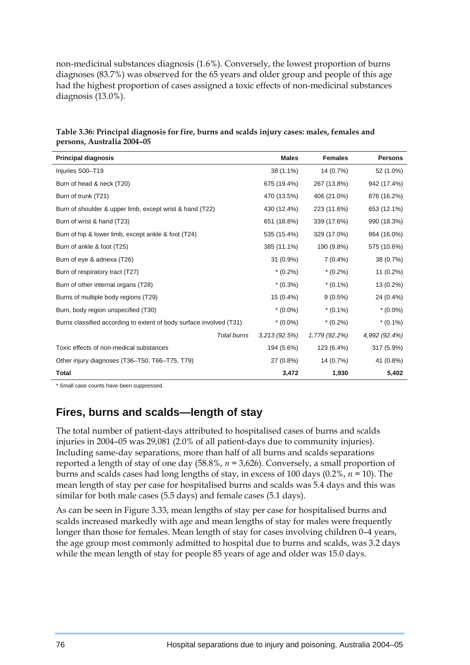non-medicinal substances diagnosis (1.6%). Conversely, the lowest proportion of burns diagnoses (83.7%) was observed for the 65 years and older group and people of this age had the highest proportion of cases assigned a toxic effects of non-medicinal substances diagnosis (13.0%).

| <b>Principal diagnosis</b>                                          | <b>Males</b> | <b>Females</b> | <b>Persons</b> |
|---------------------------------------------------------------------|--------------|----------------|----------------|
| Injuries S00-T19                                                    | 38 (1.1%)    | 14 (0.7%)      | 52 (1.0%)      |
| Burn of head & neck (T20)                                           | 675 (19.4%)  | 267 (13.8%)    | 942 (17.4%)    |
| Burn of trunk (T21)                                                 | 470 (13.5%)  | 406 (21.0%)    | 876 (16.2%)    |
| Burn of shoulder & upper limb, except wrist & hand (T22)            | 430 (12.4%)  | 223 (11.6%)    | 653 (12.1%)    |
| Burn of wrist & hand (T23)                                          | 651 (18.8%)  | 339 (17.6%)    | 990 (18.3%)    |
| Burn of hip & lower limb, except ankle & foot (T24)                 | 535 (15.4%)  | 329 (17.0%)    | 864 (16.0%)    |
| Burn of ankle & foot (T25)                                          | 385 (11.1%)  | 190 (9.8%)     | 575 (10.6%)    |
| Burn of eye & adnexa (T26)                                          | 31 (0.9%)    | $7(0.4\%)$     | 38 (0.7%)      |
| Burn of respiratory tract (T27)                                     | $*(0.2\%)$   | $*(0.2\%)$     | 11 (0.2%)      |
| Burn of other internal organs (T28)                                 | $*(0.3\%)$   | $*(0.1\%)$     | 13 (0.2%)      |
| Burns of multiple body regions (T29)                                | 15 (0.4%)    | $9(0.5\%)$     | 24 (0.4%)      |
| Burn, body region unspecified (T30)                                 | $*(0.0\%)$   | $*(0.1\%)$     | $*(0.0\%)$     |
| Burns classified according to extent of body surface involved (T31) | $*(0.0\%)$   | $*(0.2\%)$     | $*(0.1\%)$     |
| Total burns                                                         | 3,213(92.5%) | 1,779 (92.2%)  | 4,992 (92.4%)  |
| Toxic effects of non-medical substances                             | 194 (5.6%)   | 123 (6.4%)     | 317 (5.9%)     |
| Other injury diagnoses (T36-T50, T66-T75, T79)                      | 27 (0.8%)    | 14 (0.7%)      | 41 (0.8%)      |
| <b>Total</b>                                                        | 3,472        | 1,930          | 5,402          |

**Table 3.36: Principal diagnosis for fire, burns and scalds injury cases: males, females and persons, Australia 2004–05** 

\* Small case counts have been suppressed.

## **Fires, burns and scalds—length of stay**

The total number of patient-days attributed to hospitalised cases of burns and scalds injuries in 2004–05 was 29,081 (2.0% of all patient-days due to community injuries). Including same-day separations, more than half of all burns and scalds separations reported a length of stay of one day (58.8%, *n =* 3,626). Conversely, a small proportion of burns and scalds cases had long lengths of stay, in excess of 100 days (0.2%, *n =* 10). The mean length of stay per case for hospitalised burns and scalds was 5.4 days and this was similar for both male cases (5.5 days) and female cases (5.1 days).

As can be seen in Figure 3.33, mean lengths of stay per case for hospitalised burns and scalds increased markedly with age and mean lengths of stay for males were frequently longer than those for females. Mean length of stay for cases involving children 0–4 years, the age group most commonly admitted to hospital due to burns and scalds, was 3.2 days while the mean length of stay for people 85 years of age and older was 15.0 days.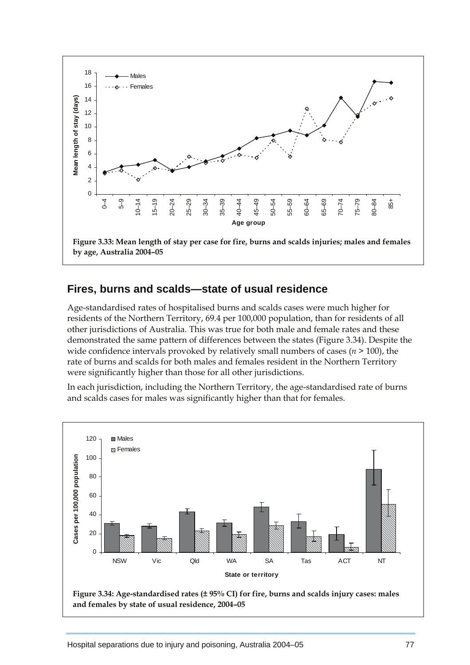

#### **Fires, burns and scalds—state of usual residence**

Age-standardised rates of hospitalised burns and scalds cases were much higher for residents of the Northern Territory, 69.4 per 100,000 population, than for residents of all other jurisdictions of Australia. This was true for both male and female rates and these demonstrated the same pattern of differences between the states (Figure 3.34). Despite the wide confidence intervals provoked by relatively small numbers of cases  $(n \geq 100)$ , the rate of burns and scalds for both males and females resident in the Northern Territory were significantly higher than those for all other jurisdictions.

In each jurisdiction, including the Northern Territory, the age-standardised rate of burns and scalds cases for males was significantly higher than that for females.



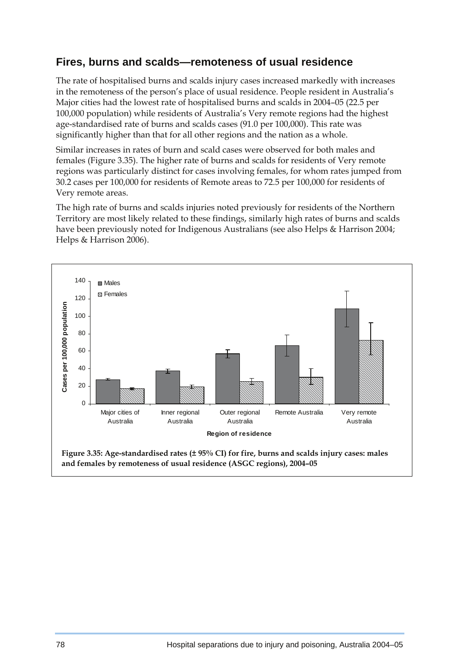### **Fires, burns and scalds—remoteness of usual residence**

The rate of hospitalised burns and scalds injury cases increased markedly with increases in the remoteness of the person's place of usual residence. People resident in Australia's Major cities had the lowest rate of hospitalised burns and scalds in 2004–05 (22.5 per 100,000 population) while residents of Australia's Very remote regions had the highest age-standardised rate of burns and scalds cases (91.0 per 100,000). This rate was significantly higher than that for all other regions and the nation as a whole.

Similar increases in rates of burn and scald cases were observed for both males and females (Figure 3.35). The higher rate of burns and scalds for residents of Very remote regions was particularly distinct for cases involving females, for whom rates jumped from 30.2 cases per 100,000 for residents of Remote areas to 72.5 per 100,000 for residents of Very remote areas.

The high rate of burns and scalds injuries noted previously for residents of the Northern Territory are most likely related to these findings, similarly high rates of burns and scalds have been previously noted for Indigenous Australians (see also Helps & Harrison 2004; Helps & Harrison 2006).

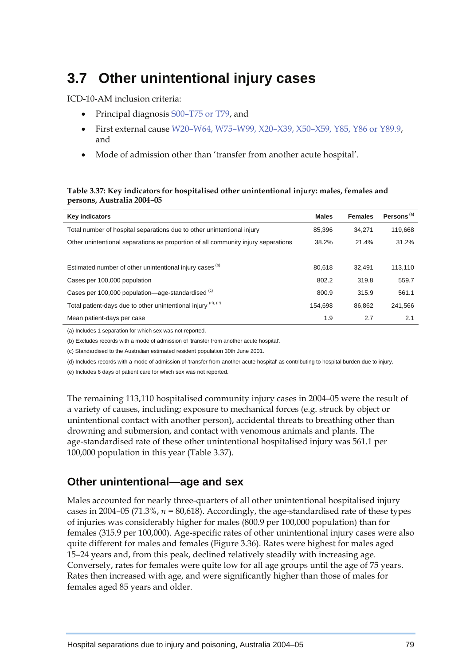# **3.7 Other unintentional injury cases**

ICD-10-AM inclusion criteria:

- Principal diagnosis S00–T75 or T79, and
- First external cause W20–W64, W75–W99, X20–X39, X50–X59, Y85, Y86 or Y89.9, and
- Mode of admission other than 'transfer from another acute hospital'.

#### **Table 3.37: Key indicators for hospitalised other unintentional injury: males, females and persons, Australia 2004–05**

| <b>Key indicators</b>                                                             | <b>Males</b> | <b>Females</b> | Persons <sup>(a)</sup> |
|-----------------------------------------------------------------------------------|--------------|----------------|------------------------|
| Total number of hospital separations due to other unintentional injury            | 85.396       | 34.271         | 119.668                |
| Other unintentional separations as proportion of all community injury separations | 38.2%        | 21.4%          | 31.2%                  |
|                                                                                   |              |                |                        |
| Estimated number of other unintentional injury cases <sup>(b)</sup>               | 80.618       | 32.491         | 113.110                |
| Cases per 100,000 population                                                      | 802.2        | 319.8          | 559.7                  |
| Cases per 100,000 population-age-standardised (c)                                 | 800.9        | 315.9          | 561.1                  |
| Total patient-days due to other unintentional injury (d), (e)                     | 154.698      | 86.862         | 241.566                |
| Mean patient-days per case                                                        | 1.9          | 2.7            | 2.1                    |

(a) Includes 1 separation for which sex was not reported.

(b) Excludes records with a mode of admission of 'transfer from another acute hospital'.

(c) Standardised to the Australian estimated resident population 30th June 2001.

(d) Includes records with a mode of admission of 'transfer from another acute hospital' as contributing to hospital burden due to injury.

(e) Includes 6 days of patient care for which sex was not reported.

The remaining 113,110 hospitalised community injury cases in 2004–05 were the result of a variety of causes, including; exposure to mechanical forces (e.g. struck by object or unintentional contact with another person), accidental threats to breathing other than drowning and submersion, and contact with venomous animals and plants. The age-standardised rate of these other unintentional hospitalised injury was 561.1 per 100,000 population in this year (Table 3.37).

## **Other unintentional—age and sex**

Males accounted for nearly three-quarters of all other unintentional hospitalised injury cases in 2004–05 (71.3%, *n =* 80,618). Accordingly, the age-standardised rate of these types of injuries was considerably higher for males (800.9 per 100,000 population) than for females (315.9 per 100,000). Age-specific rates of other unintentional injury cases were also quite different for males and females (Figure 3.36). Rates were highest for males aged 15–24 years and, from this peak, declined relatively steadily with increasing age. Conversely, rates for females were quite low for all age groups until the age of 75 years. Rates then increased with age, and were significantly higher than those of males for females aged 85 years and older.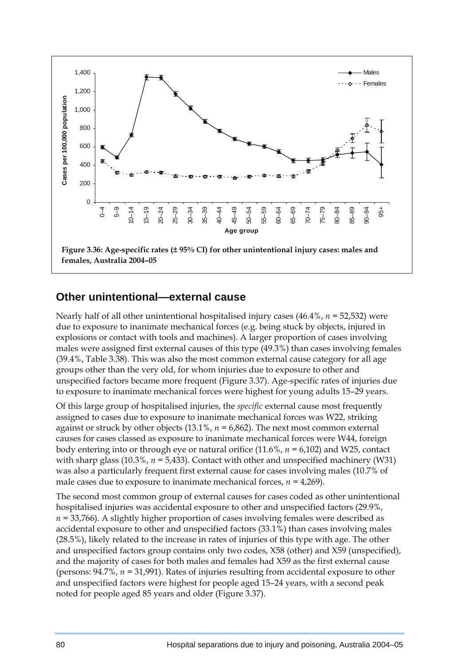

#### **Other unintentional—external cause**

Nearly half of all other unintentional hospitalised injury cases (46.4%, *n =* 52,532) were due to exposure to inanimate mechanical forces (e.g. being stuck by objects, injured in explosions or contact with tools and machines). A larger proportion of cases involving males were assigned first external causes of this type (49.3%) than cases involving females (39.4%, Table 3.38). This was also the most common external cause category for all age groups other than the very old, for whom injuries due to exposure to other and unspecified factors became more frequent (Figure 3.37). Age-specific rates of injuries due to exposure to inanimate mechanical forces were highest for young adults 15–29 years.

Of this large group of hospitalised injuries, the *specific* external cause most frequently assigned to cases due to exposure to inanimate mechanical forces was W22, striking against or struck by other objects (13.1%, *n =* 6,862). The next most common external causes for cases classed as exposure to inanimate mechanical forces were W44, foreign body entering into or through eye or natural orifice (11.6%, *n =* 6,102) and W25, contact with sharp glass  $(10.3\%$ ,  $n = 5,433$ ). Contact with other and unspecified machinery (W31) was also a particularly frequent first external cause for cases involving males (10.7% of male cases due to exposure to inanimate mechanical forces,  $n = 4,269$ ).

The second most common group of external causes for cases coded as other unintentional hospitalised injuries was accidental exposure to other and unspecified factors (29.9%, *n =* 33,766). A slightly higher proportion of cases involving females were described as accidental exposure to other and unspecified factors (33.1%) than cases involving males (28.5%), likely related to the increase in rates of injuries of this type with age. The other and unspecified factors group contains only two codes, X58 (other) and X59 (unspecified), and the majority of cases for both males and females had X59 as the first external cause (persons: 94.7%, *n =* 31,991). Rates of injuries resulting from accidental exposure to other and unspecified factors were highest for people aged 15–24 years, with a second peak noted for people aged 85 years and older (Figure 3.37).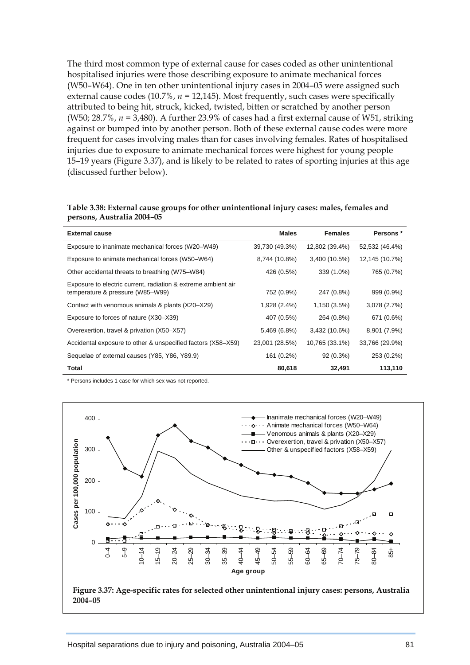The third most common type of external cause for cases coded as other unintentional hospitalised injuries were those describing exposure to animate mechanical forces (W50–W64). One in ten other unintentional injury cases in 2004–05 were assigned such external cause codes (10.7%, *n =* 12,145). Most frequently, such cases were specifically attributed to being hit, struck, kicked, twisted, bitten or scratched by another person (W50; 28.7%, *n =* 3,480). A further 23.9% of cases had a first external cause of W51, striking against or bumped into by another person. Both of these external cause codes were more frequent for cases involving males than for cases involving females. Rates of hospitalised injuries due to exposure to animate mechanical forces were highest for young people 15–19 years (Figure 3.37), and is likely to be related to rates of sporting injuries at this age (discussed further below).

| <b>External cause</b>                                         | <b>Males</b>   | <b>Females</b> | Persons *      |
|---------------------------------------------------------------|----------------|----------------|----------------|
| Exposure to inanimate mechanical forces (W20-W49)             | 39,730 (49.3%) | 12,802 (39.4%) | 52,532 (46.4%) |
| Exposure to animate mechanical forces (W50-W64)               | 8,744 (10.8%)  | 3,400 (10.5%)  | 12,145 (10.7%) |
| Other accidental threats to breathing (W75–W84)               | 426 (0.5%)     | 339 (1.0%)     | 765 (0.7%)     |
| Exposure to electric current, radiation & extreme ambient air |                |                |                |
| temperature & pressure (W85-W99)                              | 752 (0.9%)     | 247 (0.8%)     | 999 (0.9%)     |
| Contact with venomous animals & plants (X20-X29)              | 1,928 (2.4%)   | 1,150 (3.5%)   | 3,078(2.7%)    |
| Exposure to forces of nature (X30-X39)                        | 407 (0.5%)     | 264 (0.8%)     | 671 (0.6%)     |
| Overexertion, travel & privation (X50-X57)                    | 5,469 (6.8%)   | 3,432 (10.6%)  | 8,901 (7.9%)   |
| Accidental exposure to other & unspecified factors (X58-X59)  | 23,001 (28.5%) | 10,765 (33.1%) | 33,766 (29.9%) |
| Sequelae of external causes (Y85, Y86, Y89.9)                 | 161 (0.2%)     | 92 (0.3%)      | 253 (0.2%)     |
| Total                                                         | 80,618         | 32,491         | 113,110        |

| Table 3.38: External cause groups for other unintentional injury cases: males, females and |  |
|--------------------------------------------------------------------------------------------|--|
| persons, Australia 2004–05                                                                 |  |

\* Persons includes 1 case for which sex was not reported.

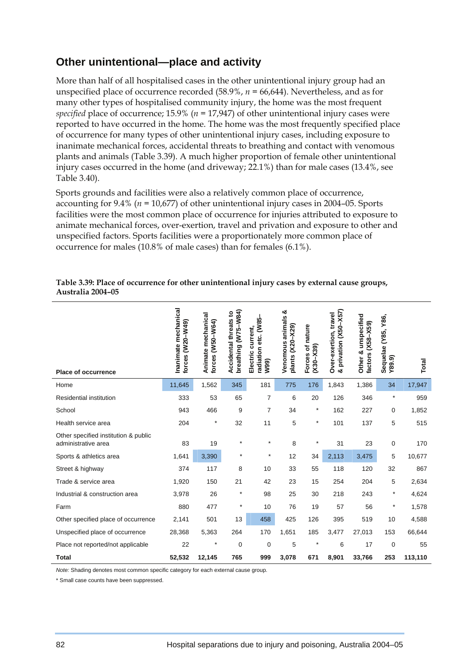### **Other unintentional—place and activity**

More than half of all hospitalised cases in the other unintentional injury group had an unspecified place of occurrence recorded (58.9%, *n =* 66,644). Nevertheless, and as for many other types of hospitalised community injury, the home was the most frequent *specified* place of occurrence; 15.9% (*n =* 17,947) of other unintentional injury cases were reported to have occurred in the home. The home was the most frequently specified place of occurrence for many types of other unintentional injury cases, including exposure to inanimate mechanical forces, accidental threats to breathing and contact with venomous plants and animals (Table 3.39). A much higher proportion of female other unintentional injury cases occurred in the home (and driveway; 22.1%) than for male cases (13.4%, see Table 3.40).

Sports grounds and facilities were also a relatively common place of occurrence, accounting for 9.4% (*n =* 10,677) of other unintentional injury cases in 2004–05. Sports facilities were the most common place of occurrence for injuries attributed to exposure to animate mechanical forces, over-exertion, travel and privation and exposure to other and unspecified factors. Sports facilities were a proportionately more common place of occurrence for males (10.8% of male cases) than for females (6.1%).

| Place of occurrence                                         | Inanimate mechanical<br>forces (W20-W49) | Animate mechanical<br>(W50-W64)<br>forces | breathing (W75-W84)<br>Accidental threats to | radiation etc. (W85-<br>current,<br>Electric<br>W99) | ఱ<br>Venomous animals<br>plants (X20-X29) | Forces of nature<br>$(X30 - X39)$ | & privation (X50-X57)<br>Over-exertion, travel | unspecified<br>factors (X58-X59)<br>Other & | Sequelae (Y85, Y86,<br>Y89.9) | Total   |
|-------------------------------------------------------------|------------------------------------------|-------------------------------------------|----------------------------------------------|------------------------------------------------------|-------------------------------------------|-----------------------------------|------------------------------------------------|---------------------------------------------|-------------------------------|---------|
| Home                                                        | 11,645                                   | 1,562                                     | 345                                          | 181                                                  | 775                                       | 176                               | 1,843                                          | 1,386                                       | 34                            | 17,947  |
| Residential institution                                     | 333                                      | 53                                        | 65                                           | $\overline{7}$                                       | 6                                         | 20                                | 126                                            | 346                                         | $\star$                       | 959     |
| School                                                      | 943                                      | 466                                       | 9                                            | 7                                                    | 34                                        | $^\star$                          | 162                                            | 227                                         | 0                             | 1,852   |
| Health service area                                         | 204                                      | $\ast$                                    | 32                                           | 11                                                   | 5                                         | $^\star$                          | 101                                            | 137                                         | 5                             | 515     |
| Other specified institution & public<br>administrative area | 83                                       | 19                                        | $\star$                                      | $\star$                                              | 8                                         | $\star$                           | 31                                             | 23                                          | 0                             | 170     |
| Sports & athletics area                                     | 1,641                                    | 3,390                                     | $\star$                                      | $\star$                                              | 12                                        | 34                                | 2,113                                          | 3,475                                       | 5                             | 10,677  |
| Street & highway                                            | 374                                      | 117                                       | 8                                            | 10                                                   | 33                                        | 55                                | 118                                            | 120                                         | 32                            | 867     |
| Trade & service area                                        | 1,920                                    | 150                                       | 21                                           | 42                                                   | 23                                        | 15                                | 254                                            | 204                                         | 5                             | 2,634   |
| Industrial & construction area                              | 3,978                                    | 26                                        | $\ast$                                       | 98                                                   | 25                                        | 30                                | 218                                            | 243                                         | $\star$                       | 4,624   |
| Farm                                                        | 880                                      | 477                                       | $\star$                                      | 10                                                   | 76                                        | 19                                | 57                                             | 56                                          | $\star$                       | 1,578   |
| Other specified place of occurrence                         | 2,141                                    | 501                                       | 13                                           | 458                                                  | 425                                       | 126                               | 395                                            | 519                                         | 10                            | 4,588   |
| Unspecified place of occurrence                             | 28,368                                   | 5,363                                     | 264                                          | 170                                                  | 1,651                                     | 185                               | 3,477                                          | 27,013                                      | 153                           | 66,644  |
| Place not reported/not applicable                           | 22                                       | ×                                         | 0                                            | 0                                                    | 5                                         | $^{\star}$                        | 6                                              | 17                                          | 0                             | 55      |
| <b>Total</b>                                                | 52,532                                   | 12,145                                    | 765                                          | 999                                                  | 3,078                                     | 671                               | 8,901                                          | 33,766                                      | 253                           | 113,110 |

#### **Table 3.39: Place of occurrence for other unintentional injury cases by external cause groups, Australia 2004–05**

*Note:* Shading denotes most common specific category for each external cause group.

\* Small case counts have been suppressed.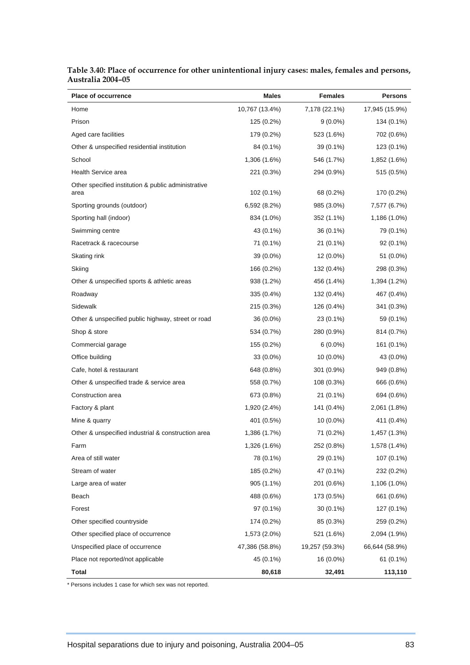| 7,178 (22.1%)<br>Home<br>10,767 (13.4%)<br>17,945 (15.9%)<br>Prison<br>125 (0.2%)<br>$9(0.0\%)$<br>134 (0.1%)<br>Aged care facilities<br>179 (0.2%)<br>523 (1.6%)<br>702 (0.6%)<br>Other & unspecified residential institution<br>84 (0.1%)<br>39 (0.1%)<br>123 (0.1%)<br>School<br>1,306 (1.6%)<br>546 (1.7%)<br>1,852 (1.6%)<br>Health Service area<br>221 (0.3%)<br>294 (0.9%)<br>515 (0.5%)<br>Other specified institution & public administrative<br>102 (0.1%)<br>68 (0.2%)<br>170 (0.2%)<br>area<br>Sporting grounds (outdoor)<br>6,592 (8.2%)<br>985 (3.0%)<br>7,577 (6.7%)<br>Sporting hall (indoor)<br>834 (1.0%)<br>352 (1.1%)<br>1,186 (1.0%)<br>Swimming centre<br>43 (0.1%)<br>36 (0.1%)<br>79 (0.1%)<br>Racetrack & racecourse<br>71 (0.1%)<br>21 (0.1%)<br>92 (0.1%)<br>Skating rink<br>39 (0.0%)<br>12 (0.0%)<br>51 (0.0%)<br>Skiing<br>166 (0.2%)<br>132 (0.4%)<br>298 (0.3%)<br>Other & unspecified sports & athletic areas<br>938 (1.2%)<br>456 (1.4%)<br>1,394 (1.2%)<br>Roadway<br>335 (0.4%)<br>132 (0.4%)<br>467 (0.4%)<br>Sidewalk<br>215 (0.3%)<br>126 (0.4%)<br>341 (0.3%)<br>Other & unspecified public highway, street or road<br>36 (0.0%)<br>23 (0.1%)<br>59 (0.1%)<br>Shop & store<br>534 (0.7%)<br>280 (0.9%)<br>814 (0.7%)<br>Commercial garage<br>155 (0.2%)<br>161 (0.1%)<br>$6(0.0\%)$<br>Office building<br>33 (0.0%)<br>$10(0.0\%)$<br>43 (0.0%)<br>Cafe, hotel & restaurant<br>648 (0.8%)<br>301 (0.9%)<br>949 (0.8%)<br>Other & unspecified trade & service area<br>558 (0.7%)<br>108 (0.3%)<br>666 (0.6%)<br>Construction area<br>673 (0.8%)<br>21 (0.1%)<br>694 (0.6%)<br>Factory & plant<br>1,920 (2.4%)<br>141 (0.4%)<br>2,061 (1.8%)<br>Mine & quarry<br>401 (0.5%)<br>$10(0.0\%)$<br>411 (0.4%)<br>Other & unspecified industrial & construction area<br>1,386 (1.7%)<br>71 (0.2%)<br>1,457 (1.3%)<br>Farm<br>1,326 (1.6%)<br>252 (0.8%)<br>1,578 (1.4%)<br>Area of still water<br>78 (0.1%)<br>29 (0.1%)<br>107 (0.1%)<br>185 (0.2%)<br>Stream of water<br>47 (0.1%)<br>232 (0.2%) | <b>Place of occurrence</b> | Males | <b>Females</b> | <b>Persons</b> |
|------------------------------------------------------------------------------------------------------------------------------------------------------------------------------------------------------------------------------------------------------------------------------------------------------------------------------------------------------------------------------------------------------------------------------------------------------------------------------------------------------------------------------------------------------------------------------------------------------------------------------------------------------------------------------------------------------------------------------------------------------------------------------------------------------------------------------------------------------------------------------------------------------------------------------------------------------------------------------------------------------------------------------------------------------------------------------------------------------------------------------------------------------------------------------------------------------------------------------------------------------------------------------------------------------------------------------------------------------------------------------------------------------------------------------------------------------------------------------------------------------------------------------------------------------------------------------------------------------------------------------------------------------------------------------------------------------------------------------------------------------------------------------------------------------------------------------------------------------------------------------------------------------------------------------------------------------------------------------------------------------------------------------------|----------------------------|-------|----------------|----------------|
|                                                                                                                                                                                                                                                                                                                                                                                                                                                                                                                                                                                                                                                                                                                                                                                                                                                                                                                                                                                                                                                                                                                                                                                                                                                                                                                                                                                                                                                                                                                                                                                                                                                                                                                                                                                                                                                                                                                                                                                                                                    |                            |       |                |                |
|                                                                                                                                                                                                                                                                                                                                                                                                                                                                                                                                                                                                                                                                                                                                                                                                                                                                                                                                                                                                                                                                                                                                                                                                                                                                                                                                                                                                                                                                                                                                                                                                                                                                                                                                                                                                                                                                                                                                                                                                                                    |                            |       |                |                |
|                                                                                                                                                                                                                                                                                                                                                                                                                                                                                                                                                                                                                                                                                                                                                                                                                                                                                                                                                                                                                                                                                                                                                                                                                                                                                                                                                                                                                                                                                                                                                                                                                                                                                                                                                                                                                                                                                                                                                                                                                                    |                            |       |                |                |
|                                                                                                                                                                                                                                                                                                                                                                                                                                                                                                                                                                                                                                                                                                                                                                                                                                                                                                                                                                                                                                                                                                                                                                                                                                                                                                                                                                                                                                                                                                                                                                                                                                                                                                                                                                                                                                                                                                                                                                                                                                    |                            |       |                |                |
|                                                                                                                                                                                                                                                                                                                                                                                                                                                                                                                                                                                                                                                                                                                                                                                                                                                                                                                                                                                                                                                                                                                                                                                                                                                                                                                                                                                                                                                                                                                                                                                                                                                                                                                                                                                                                                                                                                                                                                                                                                    |                            |       |                |                |
|                                                                                                                                                                                                                                                                                                                                                                                                                                                                                                                                                                                                                                                                                                                                                                                                                                                                                                                                                                                                                                                                                                                                                                                                                                                                                                                                                                                                                                                                                                                                                                                                                                                                                                                                                                                                                                                                                                                                                                                                                                    |                            |       |                |                |
|                                                                                                                                                                                                                                                                                                                                                                                                                                                                                                                                                                                                                                                                                                                                                                                                                                                                                                                                                                                                                                                                                                                                                                                                                                                                                                                                                                                                                                                                                                                                                                                                                                                                                                                                                                                                                                                                                                                                                                                                                                    |                            |       |                |                |
|                                                                                                                                                                                                                                                                                                                                                                                                                                                                                                                                                                                                                                                                                                                                                                                                                                                                                                                                                                                                                                                                                                                                                                                                                                                                                                                                                                                                                                                                                                                                                                                                                                                                                                                                                                                                                                                                                                                                                                                                                                    |                            |       |                |                |
|                                                                                                                                                                                                                                                                                                                                                                                                                                                                                                                                                                                                                                                                                                                                                                                                                                                                                                                                                                                                                                                                                                                                                                                                                                                                                                                                                                                                                                                                                                                                                                                                                                                                                                                                                                                                                                                                                                                                                                                                                                    |                            |       |                |                |
|                                                                                                                                                                                                                                                                                                                                                                                                                                                                                                                                                                                                                                                                                                                                                                                                                                                                                                                                                                                                                                                                                                                                                                                                                                                                                                                                                                                                                                                                                                                                                                                                                                                                                                                                                                                                                                                                                                                                                                                                                                    |                            |       |                |                |
|                                                                                                                                                                                                                                                                                                                                                                                                                                                                                                                                                                                                                                                                                                                                                                                                                                                                                                                                                                                                                                                                                                                                                                                                                                                                                                                                                                                                                                                                                                                                                                                                                                                                                                                                                                                                                                                                                                                                                                                                                                    |                            |       |                |                |
|                                                                                                                                                                                                                                                                                                                                                                                                                                                                                                                                                                                                                                                                                                                                                                                                                                                                                                                                                                                                                                                                                                                                                                                                                                                                                                                                                                                                                                                                                                                                                                                                                                                                                                                                                                                                                                                                                                                                                                                                                                    |                            |       |                |                |
|                                                                                                                                                                                                                                                                                                                                                                                                                                                                                                                                                                                                                                                                                                                                                                                                                                                                                                                                                                                                                                                                                                                                                                                                                                                                                                                                                                                                                                                                                                                                                                                                                                                                                                                                                                                                                                                                                                                                                                                                                                    |                            |       |                |                |
|                                                                                                                                                                                                                                                                                                                                                                                                                                                                                                                                                                                                                                                                                                                                                                                                                                                                                                                                                                                                                                                                                                                                                                                                                                                                                                                                                                                                                                                                                                                                                                                                                                                                                                                                                                                                                                                                                                                                                                                                                                    |                            |       |                |                |
|                                                                                                                                                                                                                                                                                                                                                                                                                                                                                                                                                                                                                                                                                                                                                                                                                                                                                                                                                                                                                                                                                                                                                                                                                                                                                                                                                                                                                                                                                                                                                                                                                                                                                                                                                                                                                                                                                                                                                                                                                                    |                            |       |                |                |
|                                                                                                                                                                                                                                                                                                                                                                                                                                                                                                                                                                                                                                                                                                                                                                                                                                                                                                                                                                                                                                                                                                                                                                                                                                                                                                                                                                                                                                                                                                                                                                                                                                                                                                                                                                                                                                                                                                                                                                                                                                    |                            |       |                |                |
|                                                                                                                                                                                                                                                                                                                                                                                                                                                                                                                                                                                                                                                                                                                                                                                                                                                                                                                                                                                                                                                                                                                                                                                                                                                                                                                                                                                                                                                                                                                                                                                                                                                                                                                                                                                                                                                                                                                                                                                                                                    |                            |       |                |                |
|                                                                                                                                                                                                                                                                                                                                                                                                                                                                                                                                                                                                                                                                                                                                                                                                                                                                                                                                                                                                                                                                                                                                                                                                                                                                                                                                                                                                                                                                                                                                                                                                                                                                                                                                                                                                                                                                                                                                                                                                                                    |                            |       |                |                |
|                                                                                                                                                                                                                                                                                                                                                                                                                                                                                                                                                                                                                                                                                                                                                                                                                                                                                                                                                                                                                                                                                                                                                                                                                                                                                                                                                                                                                                                                                                                                                                                                                                                                                                                                                                                                                                                                                                                                                                                                                                    |                            |       |                |                |
|                                                                                                                                                                                                                                                                                                                                                                                                                                                                                                                                                                                                                                                                                                                                                                                                                                                                                                                                                                                                                                                                                                                                                                                                                                                                                                                                                                                                                                                                                                                                                                                                                                                                                                                                                                                                                                                                                                                                                                                                                                    |                            |       |                |                |
|                                                                                                                                                                                                                                                                                                                                                                                                                                                                                                                                                                                                                                                                                                                                                                                                                                                                                                                                                                                                                                                                                                                                                                                                                                                                                                                                                                                                                                                                                                                                                                                                                                                                                                                                                                                                                                                                                                                                                                                                                                    |                            |       |                |                |
|                                                                                                                                                                                                                                                                                                                                                                                                                                                                                                                                                                                                                                                                                                                                                                                                                                                                                                                                                                                                                                                                                                                                                                                                                                                                                                                                                                                                                                                                                                                                                                                                                                                                                                                                                                                                                                                                                                                                                                                                                                    |                            |       |                |                |
|                                                                                                                                                                                                                                                                                                                                                                                                                                                                                                                                                                                                                                                                                                                                                                                                                                                                                                                                                                                                                                                                                                                                                                                                                                                                                                                                                                                                                                                                                                                                                                                                                                                                                                                                                                                                                                                                                                                                                                                                                                    |                            |       |                |                |
|                                                                                                                                                                                                                                                                                                                                                                                                                                                                                                                                                                                                                                                                                                                                                                                                                                                                                                                                                                                                                                                                                                                                                                                                                                                                                                                                                                                                                                                                                                                                                                                                                                                                                                                                                                                                                                                                                                                                                                                                                                    |                            |       |                |                |
|                                                                                                                                                                                                                                                                                                                                                                                                                                                                                                                                                                                                                                                                                                                                                                                                                                                                                                                                                                                                                                                                                                                                                                                                                                                                                                                                                                                                                                                                                                                                                                                                                                                                                                                                                                                                                                                                                                                                                                                                                                    |                            |       |                |                |
|                                                                                                                                                                                                                                                                                                                                                                                                                                                                                                                                                                                                                                                                                                                                                                                                                                                                                                                                                                                                                                                                                                                                                                                                                                                                                                                                                                                                                                                                                                                                                                                                                                                                                                                                                                                                                                                                                                                                                                                                                                    |                            |       |                |                |
|                                                                                                                                                                                                                                                                                                                                                                                                                                                                                                                                                                                                                                                                                                                                                                                                                                                                                                                                                                                                                                                                                                                                                                                                                                                                                                                                                                                                                                                                                                                                                                                                                                                                                                                                                                                                                                                                                                                                                                                                                                    |                            |       |                |                |
|                                                                                                                                                                                                                                                                                                                                                                                                                                                                                                                                                                                                                                                                                                                                                                                                                                                                                                                                                                                                                                                                                                                                                                                                                                                                                                                                                                                                                                                                                                                                                                                                                                                                                                                                                                                                                                                                                                                                                                                                                                    |                            |       |                |                |
|                                                                                                                                                                                                                                                                                                                                                                                                                                                                                                                                                                                                                                                                                                                                                                                                                                                                                                                                                                                                                                                                                                                                                                                                                                                                                                                                                                                                                                                                                                                                                                                                                                                                                                                                                                                                                                                                                                                                                                                                                                    |                            |       |                |                |
| 905 (1.1%)<br>201 (0.6%)<br>Large area of water<br>1,106 (1.0%)                                                                                                                                                                                                                                                                                                                                                                                                                                                                                                                                                                                                                                                                                                                                                                                                                                                                                                                                                                                                                                                                                                                                                                                                                                                                                                                                                                                                                                                                                                                                                                                                                                                                                                                                                                                                                                                                                                                                                                    |                            |       |                |                |
| Beach<br>488 (0.6%)<br>173 (0.5%)<br>661 (0.6%)                                                                                                                                                                                                                                                                                                                                                                                                                                                                                                                                                                                                                                                                                                                                                                                                                                                                                                                                                                                                                                                                                                                                                                                                                                                                                                                                                                                                                                                                                                                                                                                                                                                                                                                                                                                                                                                                                                                                                                                    |                            |       |                |                |
| Forest<br>97 (0.1%)<br>$30(0.1\%)$<br>127 (0.1%)                                                                                                                                                                                                                                                                                                                                                                                                                                                                                                                                                                                                                                                                                                                                                                                                                                                                                                                                                                                                                                                                                                                                                                                                                                                                                                                                                                                                                                                                                                                                                                                                                                                                                                                                                                                                                                                                                                                                                                                   |                            |       |                |                |
| Other specified countryside<br>174 (0.2%)<br>85 (0.3%)<br>259 (0.2%)                                                                                                                                                                                                                                                                                                                                                                                                                                                                                                                                                                                                                                                                                                                                                                                                                                                                                                                                                                                                                                                                                                                                                                                                                                                                                                                                                                                                                                                                                                                                                                                                                                                                                                                                                                                                                                                                                                                                                               |                            |       |                |                |
| Other specified place of occurrence<br>1,573 (2.0%)<br>521 (1.6%)<br>2,094 (1.9%)                                                                                                                                                                                                                                                                                                                                                                                                                                                                                                                                                                                                                                                                                                                                                                                                                                                                                                                                                                                                                                                                                                                                                                                                                                                                                                                                                                                                                                                                                                                                                                                                                                                                                                                                                                                                                                                                                                                                                  |                            |       |                |                |
| Unspecified place of occurrence<br>47,386 (58.8%)<br>19,257 (59.3%)<br>66,644 (58.9%)                                                                                                                                                                                                                                                                                                                                                                                                                                                                                                                                                                                                                                                                                                                                                                                                                                                                                                                                                                                                                                                                                                                                                                                                                                                                                                                                                                                                                                                                                                                                                                                                                                                                                                                                                                                                                                                                                                                                              |                            |       |                |                |
| Place not reported/not applicable<br>45 (0.1%)<br>16 (0.0%)<br>61 (0.1%)                                                                                                                                                                                                                                                                                                                                                                                                                                                                                                                                                                                                                                                                                                                                                                                                                                                                                                                                                                                                                                                                                                                                                                                                                                                                                                                                                                                                                                                                                                                                                                                                                                                                                                                                                                                                                                                                                                                                                           |                            |       |                |                |
| Total<br>80,618<br>32,491<br>113,110                                                                                                                                                                                                                                                                                                                                                                                                                                                                                                                                                                                                                                                                                                                                                                                                                                                                                                                                                                                                                                                                                                                                                                                                                                                                                                                                                                                                                                                                                                                                                                                                                                                                                                                                                                                                                                                                                                                                                                                               |                            |       |                |                |

#### **Table 3.40: Place of occurrence for other unintentional injury cases: males, females and persons, Australia 2004–05**

\* Persons includes 1 case for which sex was not reported.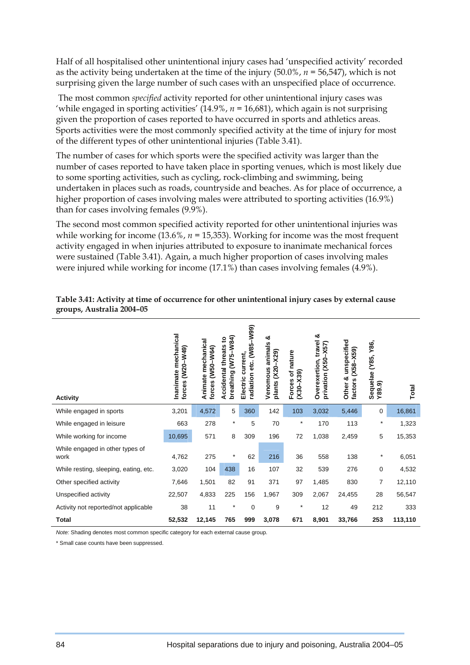Half of all hospitalised other unintentional injury cases had 'unspecified activity' recorded as the activity being undertaken at the time of the injury (50.0%, *n =* 56,547), which is not surprising given the large number of such cases with an unspecified place of occurrence.

 The most common *specified* activity reported for other unintentional injury cases was 'while engaged in sporting activities' (14.9%, *n =* 16,681), which again is not surprising given the proportion of cases reported to have occurred in sports and athletics areas. Sports activities were the most commonly specified activity at the time of injury for most of the different types of other unintentional injuries (Table 3.41).

The number of cases for which sports were the specified activity was larger than the number of cases reported to have taken place in sporting venues, which is most likely due to some sporting activities, such as cycling, rock-climbing and swimming, being undertaken in places such as roads, countryside and beaches. As for place of occurrence, a higher proportion of cases involving males were attributed to sporting activities (16.9%) than for cases involving females (9.9%).

The second most common specified activity reported for other unintentional injuries was while working for income  $(13.6\%, n = 15,353)$ . Working for income was the most frequent activity engaged in when injuries attributed to exposure to inanimate mechanical forces were sustained (Table 3.41). Again, a much higher proportion of cases involving males were injured while working for income (17.1%) than cases involving females (4.9%).

| <b>Activity</b>                         | Inanimate mechanical<br>(W20-W49)<br>forces | Animate mechanical<br>forces (W50-W64) | breathing (W75-W84)<br>$\mathbf{S}$<br><b>Accidental threats</b> | radiation etc. (W85-W99)<br>current,<br>Electric | ఱ<br>animals<br>$(X20 - X29)$<br>Venomous<br>plants | Forces of nature<br>$(X30 - X39)$ | ఱ<br>Overexertion, travel<br>$-X57$<br>privation (X50 | Other & unspecified<br>$(X58 - X59)$<br>factors | Y86,<br>(Y85,<br>Sequelae<br>Y89.9 | Total   |
|-----------------------------------------|---------------------------------------------|----------------------------------------|------------------------------------------------------------------|--------------------------------------------------|-----------------------------------------------------|-----------------------------------|-------------------------------------------------------|-------------------------------------------------|------------------------------------|---------|
| While engaged in sports                 | 3,201                                       | 4,572                                  | 5                                                                | 360                                              | 142                                                 | 103                               | 3,032                                                 | 5,446                                           | 0                                  | 16,861  |
| While engaged in leisure                | 663                                         | 278                                    | $\star$                                                          | 5                                                | 70                                                  | $\star$                           | 170                                                   | 113                                             | $\star$                            | 1,323   |
| While working for income                | 10,695                                      | 571                                    | 8                                                                | 309                                              | 196                                                 | 72                                | 1,038                                                 | 2,459                                           | 5                                  | 15,353  |
| While engaged in other types of<br>work | 4,762                                       | 275                                    | $^\star$                                                         | 62                                               | 216                                                 | 36                                | 558                                                   | 138                                             | $\star$                            | 6,051   |
| While resting, sleeping, eating, etc.   | 3,020                                       | 104                                    | 438                                                              | 16                                               | 107                                                 | 32                                | 539                                                   | 276                                             | $\mathbf 0$                        | 4,532   |
| Other specified activity                | 7,646                                       | 1,501                                  | 82                                                               | 91                                               | 371                                                 | 97                                | 1,485                                                 | 830                                             | 7                                  | 12,110  |
| Unspecified activity                    | 22,507                                      | 4,833                                  | 225                                                              | 156                                              | 1,967                                               | 309                               | 2,067                                                 | 24,455                                          | 28                                 | 56,547  |
| Activity not reported/not applicable    | 38                                          | 11                                     | $^\star$                                                         | $\mathbf 0$                                      | 9                                                   | $\star$                           | 12                                                    | 49                                              | 212                                | 333     |
| <b>Total</b>                            | 52,532                                      | 12,145                                 | 765                                                              | 999                                              | 3,078                                               | 671                               | 8,901                                                 | 33,766                                          | 253                                | 113,110 |

#### **Table 3.41: Activity at time of occurrence for other unintentional injury cases by external cause groups, Australia 2004–05**

*Note:* Shading denotes most common specific category for each external cause group.

\* Small case counts have been suppressed.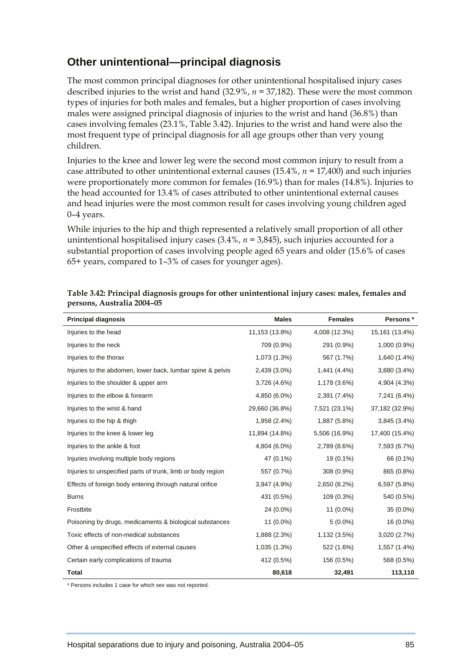## **Other unintentional—principal diagnosis**

The most common principal diagnoses for other unintentional hospitalised injury cases described injuries to the wrist and hand (32.9%, *n =* 37,182). These were the most common types of injuries for both males and females, but a higher proportion of cases involving males were assigned principal diagnosis of injuries to the wrist and hand (36.8%) than cases involving females (23.1%, Table 3.42). Injuries to the wrist and hand were also the most frequent type of principal diagnosis for all age groups other than very young children.

Injuries to the knee and lower leg were the second most common injury to result from a case attributed to other unintentional external causes (15.4%, *n =* 17,400) and such injuries were proportionately more common for females (16.9%) than for males (14.8%). Injuries to the head accounted for 13.4% of cases attributed to other unintentional external causes and head injuries were the most common result for cases involving young children aged 0–4 years.

While injuries to the hip and thigh represented a relatively small proportion of all other unintentional hospitalised injury cases (3.4%, *n =* 3,845), such injuries accounted for a substantial proportion of cases involving people aged 65 years and older (15.6% of cases 65+ years, compared to 1–3% of cases for younger ages).

| <b>Principal diagnosis</b>                                  | <b>Males</b>   | <b>Females</b> | Persons *      |
|-------------------------------------------------------------|----------------|----------------|----------------|
| Injuries to the head                                        | 11,153 (13.8%) | 4,008 (12.3%)  | 15,161 (13.4%) |
| Injuries to the neck                                        | 709 (0.9%)     | 291 (0.9%)     | 1,000 (0.9%)   |
| Injuries to the thorax                                      | 1,073 (1.3%)   | 567 (1.7%)     | 1,640 (1.4%)   |
| Injuries to the abdomen, lower back, lumbar spine & pelvis  | 2,439 (3.0%)   | 1,441 (4.4%)   | 3,880 (3.4%)   |
| Injuries to the shoulder & upper arm                        | 3,726 (4.6%)   | 1,178 (3.6%)   | 4,904 (4.3%)   |
| Injuries to the elbow & forearm                             | 4,850 (6.0%)   | 2,391 (7.4%)   | 7,241 (6.4%)   |
| Injuries to the wrist & hand                                | 29,660 (36.8%) | 7,521 (23.1%)  | 37,182 (32.9%) |
| Injuries to the hip & thigh                                 | 1,958 (2.4%)   | 1,887 (5.8%)   | 3,845 (3.4%)   |
| Injuries to the knee & lower leg                            | 11,894 (14.8%) | 5,506 (16.9%)  | 17,400 (15.4%) |
| Injuries to the ankle & foot                                | 4,804 (6.0%)   | 2,789 (8.6%)   | 7,593 (6.7%)   |
| Injuries involving multiple body regions                    | 47 (0.1%)      | 19 (0.1%)      | 66 (0.1%)      |
| Injuries to unspecified parts of trunk, limb or body region | 557 (0.7%)     | 308 (0.9%)     | 865 (0.8%)     |
| Effects of foreign body entering through natural orifice    | 3,947 (4.9%)   | 2,650 (8.2%)   | 6,597 (5.8%)   |
| <b>Burns</b>                                                | 431 (0.5%)     | 109 (0.3%)     | 540 (0.5%)     |
| Frostbite                                                   | 24 (0.0%)      | 11 (0.0%)      | 35 (0.0%)      |
| Poisoning by drugs, medicaments & biological substances     | 11 (0.0%)      | $5(0.0\%)$     | 16 (0.0%)      |
| Toxic effects of non-medical substances                     | 1,888 (2.3%)   | 1,132 (3.5%)   | 3,020 (2.7%)   |
| Other & unspecified effects of external causes              | 1,035 (1.3%)   | 522 (1.6%)     | 1,557 (1.4%)   |
| Certain early complications of trauma                       | 412 (0.5%)     | 156 (0.5%)     | 568 (0.5%)     |
| <b>Total</b>                                                | 80,618         | 32,491         | 113,110        |

| Table 3.42: Principal diagnosis groups for other unintentional injury cases: males, females and |  |  |
|-------------------------------------------------------------------------------------------------|--|--|
| persons, Australia 2004–05                                                                      |  |  |

\* Persons includes 1 case for which sex was not reported.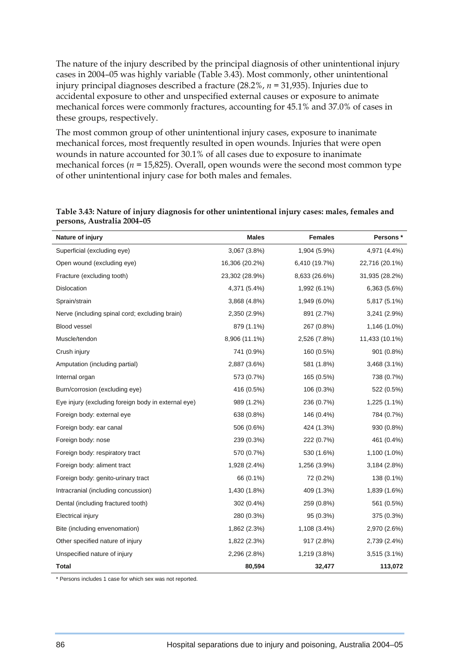The nature of the injury described by the principal diagnosis of other unintentional injury cases in 2004–05 was highly variable (Table 3.43). Most commonly, other unintentional injury principal diagnoses described a fracture (28.2%, *n =* 31,935). Injuries due to accidental exposure to other and unspecified external causes or exposure to animate mechanical forces were commonly fractures, accounting for 45.1% and 37.0% of cases in these groups, respectively.

The most common group of other unintentional injury cases, exposure to inanimate mechanical forces, most frequently resulted in open wounds. Injuries that were open wounds in nature accounted for 30.1% of all cases due to exposure to inanimate mechanical forces (*n =* 15,825). Overall, open wounds were the second most common type of other unintentional injury case for both males and females.

| Nature of injury                                    | <b>Males</b>   | <b>Females</b> | Persons*       |
|-----------------------------------------------------|----------------|----------------|----------------|
| Superficial (excluding eye)                         | 3,067 (3.8%)   | 1,904 (5.9%)   | 4,971 (4.4%)   |
| Open wound (excluding eye)                          | 16,306 (20.2%) | 6,410 (19.7%)  | 22,716 (20.1%) |
| Fracture (excluding tooth)                          | 23,302 (28.9%) | 8,633 (26.6%)  | 31,935 (28.2%) |
| Dislocation                                         | 4,371 (5.4%)   | 1,992 (6.1%)   | 6,363 (5.6%)   |
| Sprain/strain                                       | 3,868 (4.8%)   | 1,949 (6.0%)   | 5,817 (5.1%)   |
| Nerve (including spinal cord; excluding brain)      | 2,350 (2.9%)   | 891 (2.7%)     | 3,241 (2.9%)   |
| Blood vessel                                        | 879 (1.1%)     | 267 (0.8%)     | 1,146 (1.0%)   |
| Muscle/tendon                                       | 8,906 (11.1%)  | 2,526 (7.8%)   | 11,433 (10.1%) |
| Crush injury                                        | 741 (0.9%)     | 160 (0.5%)     | 901 (0.8%)     |
| Amputation (including partial)                      | 2,887 (3.6%)   | 581 (1.8%)     | 3,468 (3.1%)   |
| Internal organ                                      | 573 (0.7%)     | 165 (0.5%)     | 738 (0.7%)     |
| Burn/corrosion (excluding eye)                      | 416 (0.5%)     | 106 (0.3%)     | 522 (0.5%)     |
| Eye injury (excluding foreign body in external eye) | 989 (1.2%)     | 236 (0.7%)     | 1,225 (1.1%)   |
| Foreign body: external eye                          | 638 (0.8%)     | 146 (0.4%)     | 784 (0.7%)     |
| Foreign body: ear canal                             | 506 (0.6%)     | 424 (1.3%)     | 930 (0.8%)     |
| Foreign body: nose                                  | 239 (0.3%)     | 222 (0.7%)     | 461 (0.4%)     |
| Foreign body: respiratory tract                     | 570 (0.7%)     | 530 (1.6%)     | 1,100 (1.0%)   |
| Foreign body: aliment tract                         | 1,928 (2.4%)   | 1,256 (3.9%)   | 3,184(2.8%)    |
| Foreign body: genito-urinary tract                  | 66 (0.1%)      | 72 (0.2%)      | 138 (0.1%)     |
| Intracranial (including concussion)                 | 1,430 (1.8%)   | 409 (1.3%)     | 1,839 (1.6%)   |
| Dental (including fractured tooth)                  | 302 (0.4%)     | 259 (0.8%)     | 561 (0.5%)     |
| Electrical injury                                   | 280 (0.3%)     | 95 (0.3%)      | 375 (0.3%)     |
| Bite (including envenomation)                       | 1,862 (2.3%)   | 1,108 (3.4%)   | 2,970 (2.6%)   |
| Other specified nature of injury                    | 1,822 (2.3%)   | 917 (2.8%)     | 2,739 (2.4%)   |
| Unspecified nature of injury                        | 2,296 (2.8%)   | 1,219 (3.8%)   | 3,515 (3.1%)   |
| Total                                               | 80,594         | 32,477         | 113,072        |

**Table 3.43: Nature of injury diagnosis for other unintentional injury cases: males, females and persons, Australia 2004–05** 

\* Persons includes 1 case for which sex was not reported.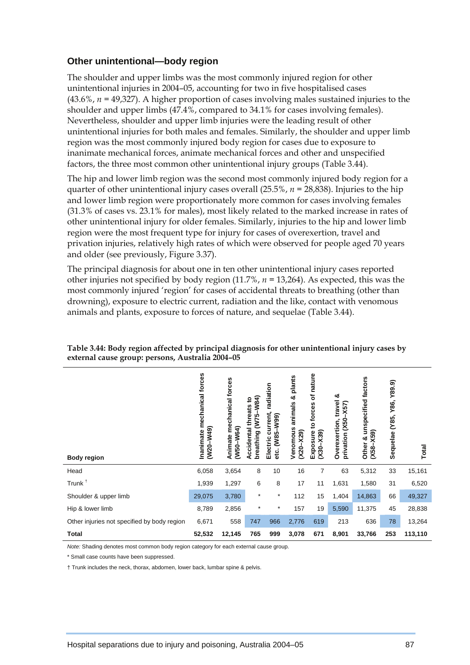#### **Other unintentional—body region**

The shoulder and upper limbs was the most commonly injured region for other unintentional injuries in 2004–05, accounting for two in five hospitalised cases (43.6%, *n =* 49,327). A higher proportion of cases involving males sustained injuries to the shoulder and upper limbs (47.4%, compared to 34.1% for cases involving females). Nevertheless, shoulder and upper limb injuries were the leading result of other unintentional injuries for both males and females. Similarly, the shoulder and upper limb region was the most commonly injured body region for cases due to exposure to inanimate mechanical forces, animate mechanical forces and other and unspecified factors, the three most common other unintentional injury groups (Table 3.44).

The hip and lower limb region was the second most commonly injured body region for a quarter of other unintentional injury cases overall (25.5%, *n =* 28,838). Injuries to the hip and lower limb region were proportionately more common for cases involving females (31.3% of cases vs. 23.1% for males), most likely related to the marked increase in rates of other unintentional injury for older females. Similarly, injuries to the hip and lower limb region were the most frequent type for injury for cases of overexertion, travel and privation injuries, relatively high rates of which were observed for people aged 70 years and older (see previously, Figure 3.37).

The principal diagnosis for about one in ten other unintentional injury cases reported other injuries not specified by body region (11.7%, *n =* 13,264). As expected, this was the most commonly injured 'region' for cases of accidental threats to breathing (other than drowning), exposure to electric current, radiation and the like, contact with venomous animals and plants, exposure to forces of nature, and sequelae (Table 3.44).

| <b>Body region</b>                          | mechanical forces<br>$-W49$<br>Inanimate<br>W <sup>20</sup> | mechanical forces<br>(W50-W64)<br>Animate | breathing (W75-W84)<br>S<br>threats<br>Accidental | radiation<br>current,<br>(W85-W99)<br>Electric<br>etc. | plants<br>න්<br>animals<br>Venomous<br>$(X20 - X29)$ | of nature<br>to forces<br>$(X30 - X39)$<br>Exposure | య<br>travel<br>$-X57$<br>privation (X50<br>Overexertion, | unspecified factors<br>X59<br>න්<br>Other<br>$X58-$ | Y89.9)<br>Y86,<br>Y85,<br>Sequelae | Total   |
|---------------------------------------------|-------------------------------------------------------------|-------------------------------------------|---------------------------------------------------|--------------------------------------------------------|------------------------------------------------------|-----------------------------------------------------|----------------------------------------------------------|-----------------------------------------------------|------------------------------------|---------|
| Head                                        | 6,058                                                       | 3,654                                     | 8                                                 | 10                                                     | 16                                                   | 7                                                   | 63                                                       | 5,312                                               | 33                                 | 15,161  |
| Trunk <sup>+</sup>                          | 1,939                                                       | 1,297                                     | 6                                                 | 8                                                      | 17                                                   | 11                                                  | 1,631                                                    | 1,580                                               | 31                                 | 6,520   |
| Shoulder & upper limb                       | 29,075                                                      | 3,780                                     | $\star$                                           | $^\ast$                                                | 112                                                  | 15                                                  | 1,404                                                    | 14,863                                              | 66                                 | 49,327  |
| Hip & lower limb                            | 8,789                                                       | 2,856                                     | $\star$                                           | $^\star$                                               | 157                                                  | 19                                                  | 5,590                                                    | 11,375                                              | 45                                 | 28,838  |
| Other injuries not specified by body region | 6,671                                                       | 558                                       | 747                                               | 966                                                    | 2,776                                                | 619                                                 | 213                                                      | 636                                                 | 78                                 | 13,264  |
| <b>Total</b>                                | 52,532                                                      | 12,145                                    | 765                                               | 999                                                    | 3,078                                                | 671                                                 | 8,901                                                    | 33,766                                              | 253                                | 113,110 |

#### **Table 3.44: Body region affected by principal diagnosis for other unintentional injury cases by external cause group: persons, Australia 2004–05**

*Note:* Shading denotes most common body region category for each external cause group.

\* Small case counts have been suppressed.

† Trunk includes the neck, thorax, abdomen, lower back, lumbar spine & pelvis.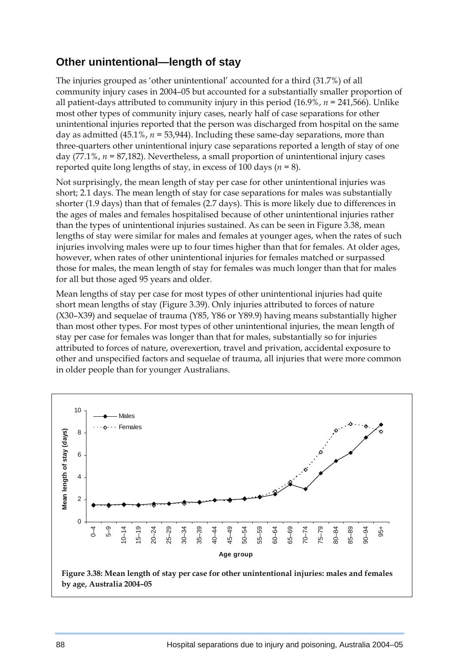### **Other unintentional—length of stay**

The injuries grouped as 'other unintentional' accounted for a third (31.7%) of all community injury cases in 2004–05 but accounted for a substantially smaller proportion of all patient-days attributed to community injury in this period (16.9%, *n =* 241,566). Unlike most other types of community injury cases, nearly half of case separations for other unintentional injuries reported that the person was discharged from hospital on the same day as admitted (45.1%, *n =* 53,944). Including these same-day separations, more than three-quarters other unintentional injury case separations reported a length of stay of one day (77.1%, *n =* 87,182). Nevertheless, a small proportion of unintentional injury cases reported quite long lengths of stay, in excess of 100 days (*n =* 8).

Not surprisingly, the mean length of stay per case for other unintentional injuries was short; 2.1 days. The mean length of stay for case separations for males was substantially shorter (1.9 days) than that of females (2.7 days). This is more likely due to differences in the ages of males and females hospitalised because of other unintentional injuries rather than the types of unintentional injuries sustained. As can be seen in Figure 3.38, mean lengths of stay were similar for males and females at younger ages, when the rates of such injuries involving males were up to four times higher than that for females. At older ages, however, when rates of other unintentional injuries for females matched or surpassed those for males, the mean length of stay for females was much longer than that for males for all but those aged 95 years and older.

Mean lengths of stay per case for most types of other unintentional injuries had quite short mean lengths of stay (Figure 3.39). Only injuries attributed to forces of nature (X30–X39) and sequelae of trauma (Y85, Y86 or Y89.9) having means substantially higher than most other types. For most types of other unintentional injuries, the mean length of stay per case for females was longer than that for males, substantially so for injuries attributed to forces of nature, overexertion, travel and privation, accidental exposure to other and unspecified factors and sequelae of trauma, all injuries that were more common in older people than for younger Australians.



**by age, Australia 2004–05**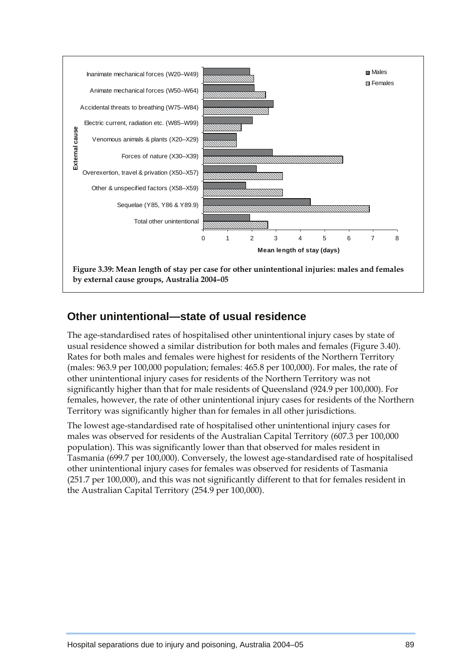

### **Other unintentional—state of usual residence**

The age-standardised rates of hospitalised other unintentional injury cases by state of usual residence showed a similar distribution for both males and females (Figure 3.40). Rates for both males and females were highest for residents of the Northern Territory (males: 963.9 per 100,000 population; females: 465.8 per 100,000). For males, the rate of other unintentional injury cases for residents of the Northern Territory was not significantly higher than that for male residents of Queensland (924.9 per 100,000). For females, however, the rate of other unintentional injury cases for residents of the Northern Territory was significantly higher than for females in all other jurisdictions.

The lowest age-standardised rate of hospitalised other unintentional injury cases for males was observed for residents of the Australian Capital Territory (607.3 per 100,000 population). This was significantly lower than that observed for males resident in Tasmania (699.7 per 100,000). Conversely, the lowest age-standardised rate of hospitalised other unintentional injury cases for females was observed for residents of Tasmania (251.7 per 100,000), and this was not significantly different to that for females resident in the Australian Capital Territory (254.9 per 100,000).